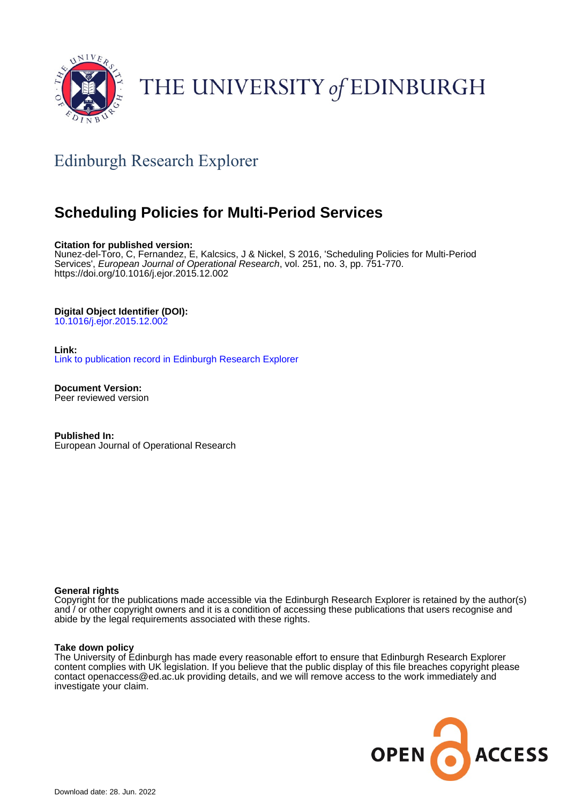

# THE UNIVERSITY of EDINBURGH

# Edinburgh Research Explorer

# **Scheduling Policies for Multi-Period Services**

#### **Citation for published version:**

Nunez-del-Toro, C, Fernandez, E, Kalcsics, J & Nickel, S 2016, 'Scheduling Policies for Multi-Period Services', European Journal of Operational Research, vol. 251, no. 3, pp. 751-770. <https://doi.org/10.1016/j.ejor.2015.12.002>

### **Digital Object Identifier (DOI):**

[10.1016/j.ejor.2015.12.002](https://doi.org/10.1016/j.ejor.2015.12.002)

### **Link:**

[Link to publication record in Edinburgh Research Explorer](https://www.research.ed.ac.uk/en/publications/d7cffe33-f84d-4804-8a31-4d87ae82e418)

**Document Version:** Peer reviewed version

**Published In:** European Journal of Operational Research

#### **General rights**

Copyright for the publications made accessible via the Edinburgh Research Explorer is retained by the author(s) and / or other copyright owners and it is a condition of accessing these publications that users recognise and abide by the legal requirements associated with these rights.

#### **Take down policy**

The University of Edinburgh has made every reasonable effort to ensure that Edinburgh Research Explorer content complies with UK legislation. If you believe that the public display of this file breaches copyright please contact openaccess@ed.ac.uk providing details, and we will remove access to the work immediately and investigate your claim.

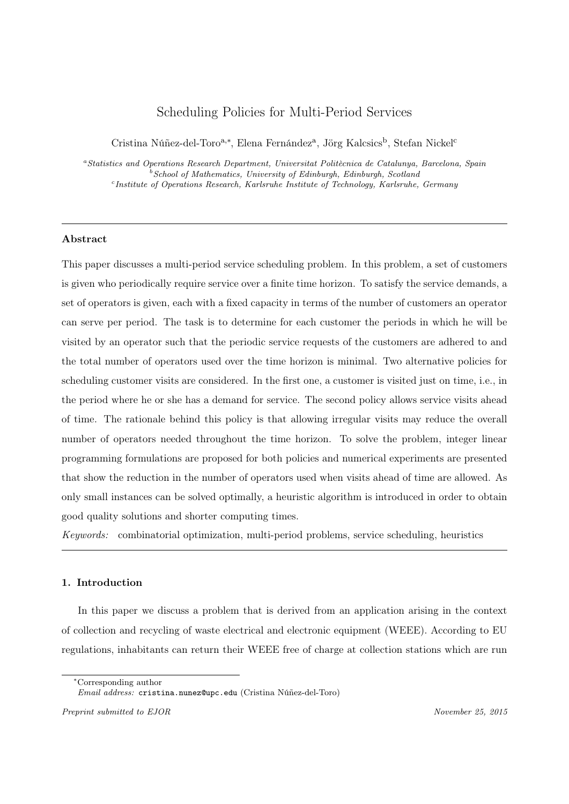## Scheduling Policies for Multi-Period Services

Cristina Núñez-del-Toro<sup>a,∗</sup>, Elena Fernández<sup>a</sup>, Jörg Kalcsics<sup>b</sup>, Stefan Nickel<sup>c</sup>

<sup>a</sup>Statistics and Operations Research Department, Universitat Politècnica de Catalunya, Barcelona, Spain  $bSchool$  of Mathematics, University of Edinburgh, Edinburgh, Scotland c Institute of Operations Research, Karlsruhe Institute of Technology, Karlsruhe, Germany

#### Abstract

This paper discusses a multi-period service scheduling problem. In this problem, a set of customers is given who periodically require service over a finite time horizon. To satisfy the service demands, a set of operators is given, each with a fixed capacity in terms of the number of customers an operator can serve per period. The task is to determine for each customer the periods in which he will be visited by an operator such that the periodic service requests of the customers are adhered to and the total number of operators used over the time horizon is minimal. Two alternative policies for scheduling customer visits are considered. In the first one, a customer is visited just on time, i.e., in the period where he or she has a demand for service. The second policy allows service visits ahead of time. The rationale behind this policy is that allowing irregular visits may reduce the overall number of operators needed throughout the time horizon. To solve the problem, integer linear programming formulations are proposed for both policies and numerical experiments are presented that show the reduction in the number of operators used when visits ahead of time are allowed. As only small instances can be solved optimally, a heuristic algorithm is introduced in order to obtain good quality solutions and shorter computing times.

Keywords: combinatorial optimization, multi-period problems, service scheduling, heuristics

#### 1. Introduction

In this paper we discuss a problem that is derived from an application arising in the context of collection and recycling of waste electrical and electronic equipment (WEEE). According to EU regulations, inhabitants can return their WEEE free of charge at collection stations which are run

<sup>∗</sup>Corresponding author

Email address: cristina.nunez@upc.edu (Cristina Núñez-del-Toro)

Preprint submitted to EJOR November 25, 2015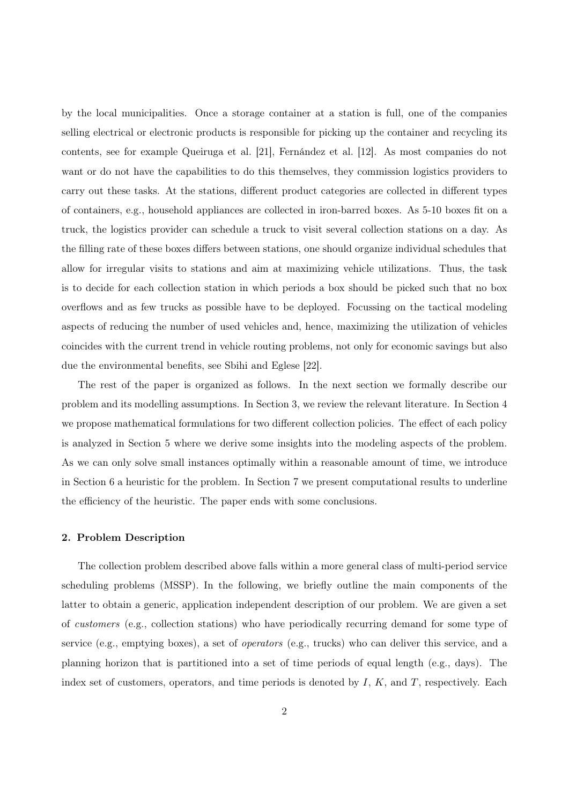by the local municipalities. Once a storage container at a station is full, one of the companies selling electrical or electronic products is responsible for picking up the container and recycling its contents, see for example Queiruga et al. [21], Fernández et al. [12]. As most companies do not want or do not have the capabilities to do this themselves, they commission logistics providers to carry out these tasks. At the stations, different product categories are collected in different types of containers, e.g., household appliances are collected in iron-barred boxes. As 5-10 boxes fit on a truck, the logistics provider can schedule a truck to visit several collection stations on a day. As the filling rate of these boxes differs between stations, one should organize individual schedules that allow for irregular visits to stations and aim at maximizing vehicle utilizations. Thus, the task is to decide for each collection station in which periods a box should be picked such that no box overflows and as few trucks as possible have to be deployed. Focussing on the tactical modeling aspects of reducing the number of used vehicles and, hence, maximizing the utilization of vehicles coincides with the current trend in vehicle routing problems, not only for economic savings but also due the environmental benefits, see Sbihi and Eglese [22].

The rest of the paper is organized as follows. In the next section we formally describe our problem and its modelling assumptions. In Section 3, we review the relevant literature. In Section 4 we propose mathematical formulations for two different collection policies. The effect of each policy is analyzed in Section 5 where we derive some insights into the modeling aspects of the problem. As we can only solve small instances optimally within a reasonable amount of time, we introduce in Section 6 a heuristic for the problem. In Section 7 we present computational results to underline the efficiency of the heuristic. The paper ends with some conclusions.

#### 2. Problem Description

The collection problem described above falls within a more general class of multi-period service scheduling problems (MSSP). In the following, we briefly outline the main components of the latter to obtain a generic, application independent description of our problem. We are given a set of customers (e.g., collection stations) who have periodically recurring demand for some type of service (e.g., emptying boxes), a set of operators (e.g., trucks) who can deliver this service, and a planning horizon that is partitioned into a set of time periods of equal length (e.g., days). The index set of customers, operators, and time periods is denoted by  $I, K$ , and  $T$ , respectively. Each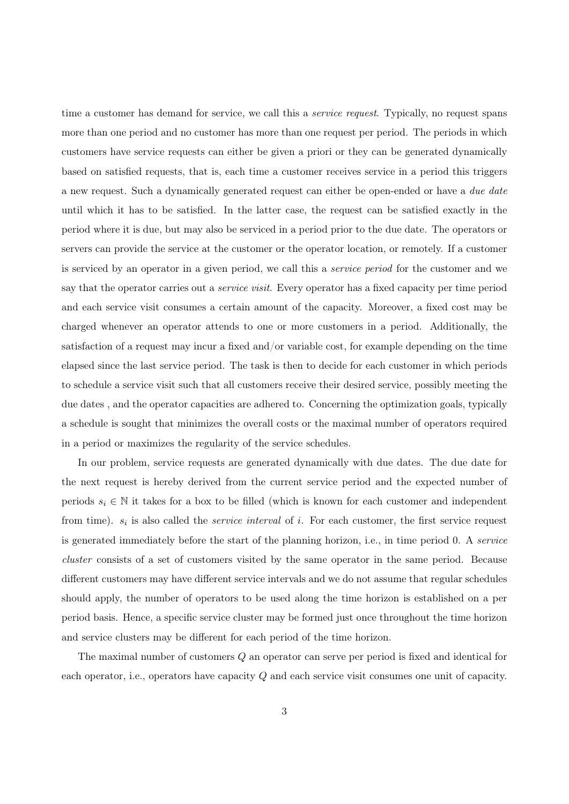time a customer has demand for service, we call this a *service request*. Typically, no request spans more than one period and no customer has more than one request per period. The periods in which customers have service requests can either be given a priori or they can be generated dynamically based on satisfied requests, that is, each time a customer receives service in a period this triggers a new request. Such a dynamically generated request can either be open-ended or have a due date until which it has to be satisfied. In the latter case, the request can be satisfied exactly in the period where it is due, but may also be serviced in a period prior to the due date. The operators or servers can provide the service at the customer or the operator location, or remotely. If a customer is serviced by an operator in a given period, we call this a service period for the customer and we say that the operator carries out a *service visit*. Every operator has a fixed capacity per time period and each service visit consumes a certain amount of the capacity. Moreover, a fixed cost may be charged whenever an operator attends to one or more customers in a period. Additionally, the satisfaction of a request may incur a fixed and/or variable cost, for example depending on the time elapsed since the last service period. The task is then to decide for each customer in which periods to schedule a service visit such that all customers receive their desired service, possibly meeting the due dates , and the operator capacities are adhered to. Concerning the optimization goals, typically a schedule is sought that minimizes the overall costs or the maximal number of operators required in a period or maximizes the regularity of the service schedules.

In our problem, service requests are generated dynamically with due dates. The due date for the next request is hereby derived from the current service period and the expected number of periods  $s_i \in \mathbb{N}$  it takes for a box to be filled (which is known for each customer and independent from time).  $s_i$  is also called the *service interval* of i. For each customer, the first service request is generated immediately before the start of the planning horizon, i.e., in time period 0. A service cluster consists of a set of customers visited by the same operator in the same period. Because different customers may have different service intervals and we do not assume that regular schedules should apply, the number of operators to be used along the time horizon is established on a per period basis. Hence, a specific service cluster may be formed just once throughout the time horizon and service clusters may be different for each period of the time horizon.

The maximal number of customers Q an operator can serve per period is fixed and identical for each operator, i.e., operators have capacity Q and each service visit consumes one unit of capacity.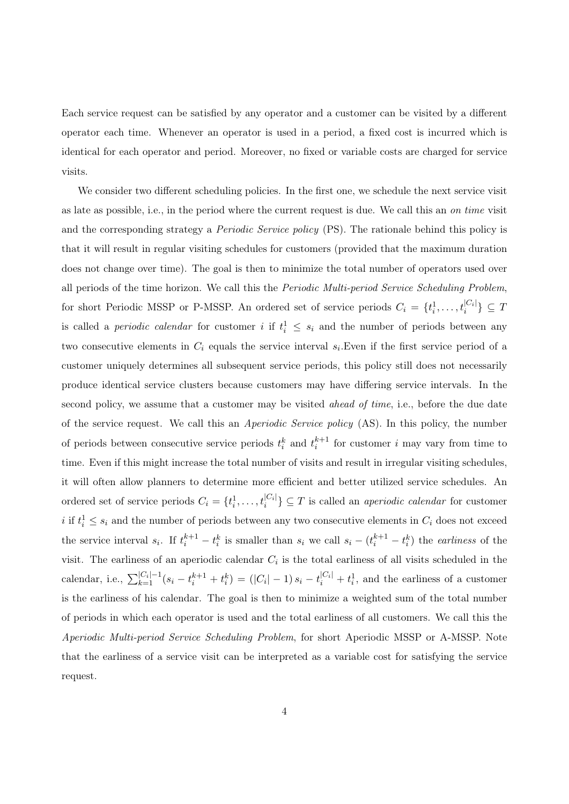Each service request can be satisfied by any operator and a customer can be visited by a different operator each time. Whenever an operator is used in a period, a fixed cost is incurred which is identical for each operator and period. Moreover, no fixed or variable costs are charged for service visits.

We consider two different scheduling policies. In the first one, we schedule the next service visit as late as possible, i.e., in the period where the current request is due. We call this an on time visit and the corresponding strategy a *Periodic Service policy* (PS). The rationale behind this policy is that it will result in regular visiting schedules for customers (provided that the maximum duration does not change over time). The goal is then to minimize the total number of operators used over all periods of the time horizon. We call this the Periodic Multi-period Service Scheduling Problem, for short Periodic MSSP or P-MSSP. An ordered set of service periods  $C_i = \{t_i^1, \ldots, t_i^{|C_i|}\} \subseteq T$ is called a *periodic calendar* for customer i if  $t_i^1 \leq s_i$  and the number of periods between any two consecutive elements in  $C_i$  equals the service interval  $s_i$ . Even if the first service period of a customer uniquely determines all subsequent service periods, this policy still does not necessarily produce identical service clusters because customers may have differing service intervals. In the second policy, we assume that a customer may be visited *ahead of time*, i.e., before the due date of the service request. We call this an Aperiodic Service policy (AS). In this policy, the number of periods between consecutive service periods  $t_i^k$  and  $t_i^{k+1}$  for customer i may vary from time to time. Even if this might increase the total number of visits and result in irregular visiting schedules, it will often allow planners to determine more efficient and better utilized service schedules. An ordered set of service periods  $C_i = \{t_i^1, \ldots, t_i^{|C_i|}\} \subseteq T$  is called an *aperiodic calendar* for customer i if  $t_i^1 \leq s_i$  and the number of periods between any two consecutive elements in  $C_i$  does not exceed the service interval  $s_i$ . If  $t_i^{k+1} - t_i^k$  is smaller than  $s_i$  we call  $s_i - (t_i^{k+1} - t_i^k)$  the *earliness* of the visit. The earliness of an aperiodic calendar  $C_i$  is the total earliness of all visits scheduled in the calendar, i.e.,  $\sum_{k=1}^{|C_i|-1} (s_i - t_i^{k+1} + t_i^k) = (|C_i|-1) s_i - t_i^{|C_i|} + t_i^1$ , and the earliness of a customer is the earliness of his calendar. The goal is then to minimize a weighted sum of the total number of periods in which each operator is used and the total earliness of all customers. We call this the Aperiodic Multi-period Service Scheduling Problem, for short Aperiodic MSSP or A-MSSP. Note that the earliness of a service visit can be interpreted as a variable cost for satisfying the service request.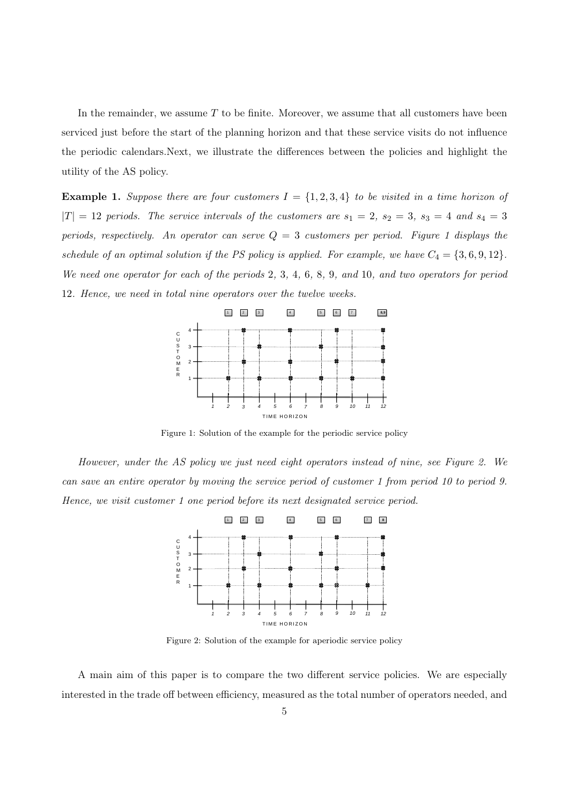In the remainder, we assume  $T$  to be finite. Moreover, we assume that all customers have been serviced just before the start of the planning horizon and that these service visits do not influence the periodic calendars.Next, we illustrate the differences between the policies and highlight the utility of the AS policy.

**Example 1.** Suppose there are four customers  $I = \{1, 2, 3, 4\}$  to be visited in a time horizon of  $|T| = 12$  periods. The service intervals of the customers are  $s_1 = 2$ ,  $s_2 = 3$ ,  $s_3 = 4$  and  $s_4 = 3$ periods, respectively. An operator can serve  $Q = 3$  customers per period. Figure 1 displays the schedule of an optimal solution if the PS policy is applied. For example, we have  $C_4 = \{3, 6, 9, 12\}$ . We need one operator for each of the periods 2, 3, 4, 6, 8, 9, and 10, and two operators for period 12. Hence, we need in total nine operators over the twelve weeks.



Figure 1: Solution of the example for the periodic service policy

However, under the AS policy we just need eight operators instead of nine, see Figure 2. We can save an entire operator by moving the service period of customer 1 from period 10 to period 9. Hence, we visit customer 1 one period before its next designated service period.



Figure 2: Solution of the example for aperiodic service policy

A main aim of this paper is to compare the two different service policies. We are especially interested in the trade off between efficiency, measured as the total number of operators needed, and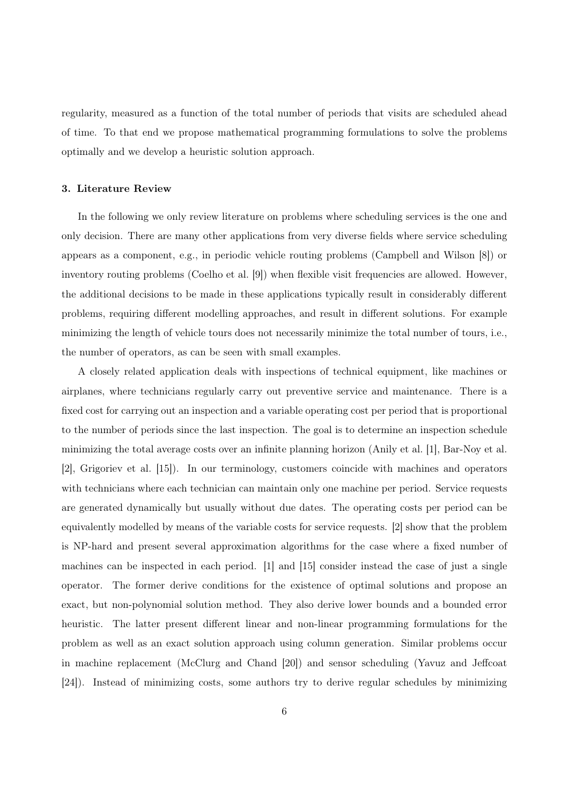regularity, measured as a function of the total number of periods that visits are scheduled ahead of time. To that end we propose mathematical programming formulations to solve the problems optimally and we develop a heuristic solution approach.

#### 3. Literature Review

In the following we only review literature on problems where scheduling services is the one and only decision. There are many other applications from very diverse fields where service scheduling appears as a component, e.g., in periodic vehicle routing problems (Campbell and Wilson [8]) or inventory routing problems (Coelho et al. [9]) when flexible visit frequencies are allowed. However, the additional decisions to be made in these applications typically result in considerably different problems, requiring different modelling approaches, and result in different solutions. For example minimizing the length of vehicle tours does not necessarily minimize the total number of tours, i.e., the number of operators, as can be seen with small examples.

A closely related application deals with inspections of technical equipment, like machines or airplanes, where technicians regularly carry out preventive service and maintenance. There is a fixed cost for carrying out an inspection and a variable operating cost per period that is proportional to the number of periods since the last inspection. The goal is to determine an inspection schedule minimizing the total average costs over an infinite planning horizon (Anily et al. [1], Bar-Noy et al. [2], Grigoriev et al. [15]). In our terminology, customers coincide with machines and operators with technicians where each technician can maintain only one machine per period. Service requests are generated dynamically but usually without due dates. The operating costs per period can be equivalently modelled by means of the variable costs for service requests. [2] show that the problem is NP-hard and present several approximation algorithms for the case where a fixed number of machines can be inspected in each period. [1] and [15] consider instead the case of just a single operator. The former derive conditions for the existence of optimal solutions and propose an exact, but non-polynomial solution method. They also derive lower bounds and a bounded error heuristic. The latter present different linear and non-linear programming formulations for the problem as well as an exact solution approach using column generation. Similar problems occur in machine replacement (McClurg and Chand [20]) and sensor scheduling (Yavuz and Jeffcoat [24]). Instead of minimizing costs, some authors try to derive regular schedules by minimizing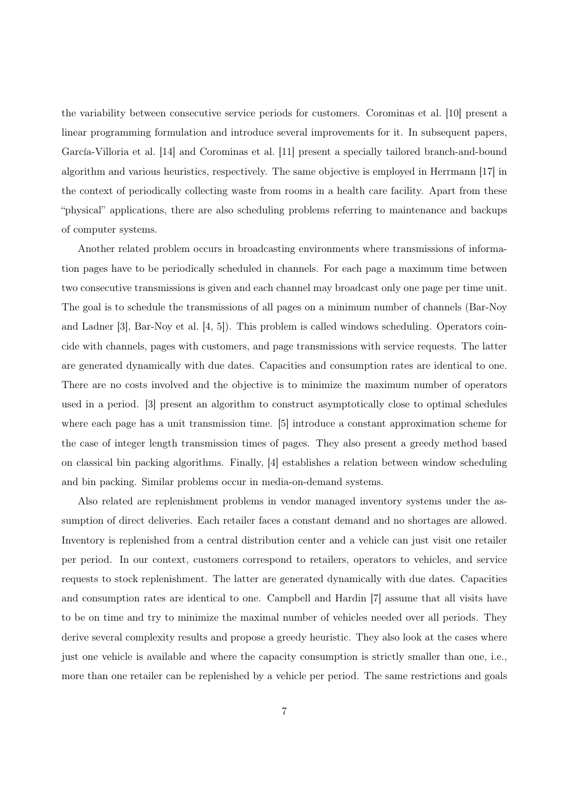the variability between consecutive service periods for customers. Corominas et al. [10] present a linear programming formulation and introduce several improvements for it. In subsequent papers, García-Villoria et al. [14] and Corominas et al. [11] present a specially tailored branch-and-bound algorithm and various heuristics, respectively. The same objective is employed in Herrmann [17] in the context of periodically collecting waste from rooms in a health care facility. Apart from these "physical" applications, there are also scheduling problems referring to maintenance and backups of computer systems.

Another related problem occurs in broadcasting environments where transmissions of information pages have to be periodically scheduled in channels. For each page a maximum time between two consecutive transmissions is given and each channel may broadcast only one page per time unit. The goal is to schedule the transmissions of all pages on a minimum number of channels (Bar-Noy and Ladner [3], Bar-Noy et al. [4, 5]). This problem is called windows scheduling. Operators coincide with channels, pages with customers, and page transmissions with service requests. The latter are generated dynamically with due dates. Capacities and consumption rates are identical to one. There are no costs involved and the objective is to minimize the maximum number of operators used in a period. [3] present an algorithm to construct asymptotically close to optimal schedules where each page has a unit transmission time. [5] introduce a constant approximation scheme for the case of integer length transmission times of pages. They also present a greedy method based on classical bin packing algorithms. Finally, [4] establishes a relation between window scheduling and bin packing. Similar problems occur in media-on-demand systems.

Also related are replenishment problems in vendor managed inventory systems under the assumption of direct deliveries. Each retailer faces a constant demand and no shortages are allowed. Inventory is replenished from a central distribution center and a vehicle can just visit one retailer per period. In our context, customers correspond to retailers, operators to vehicles, and service requests to stock replenishment. The latter are generated dynamically with due dates. Capacities and consumption rates are identical to one. Campbell and Hardin [7] assume that all visits have to be on time and try to minimize the maximal number of vehicles needed over all periods. They derive several complexity results and propose a greedy heuristic. They also look at the cases where just one vehicle is available and where the capacity consumption is strictly smaller than one, i.e., more than one retailer can be replenished by a vehicle per period. The same restrictions and goals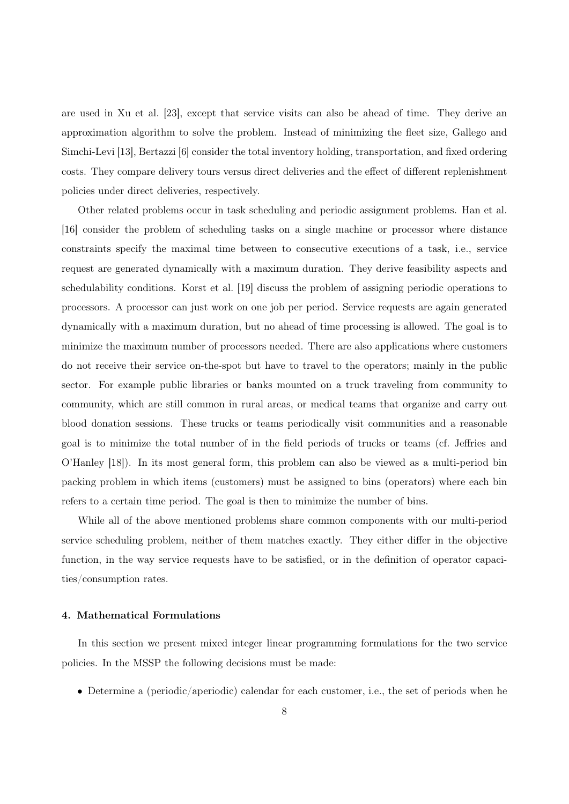are used in Xu et al. [23], except that service visits can also be ahead of time. They derive an approximation algorithm to solve the problem. Instead of minimizing the fleet size, Gallego and Simchi-Levi [13], Bertazzi [6] consider the total inventory holding, transportation, and fixed ordering costs. They compare delivery tours versus direct deliveries and the effect of different replenishment policies under direct deliveries, respectively.

Other related problems occur in task scheduling and periodic assignment problems. Han et al. [16] consider the problem of scheduling tasks on a single machine or processor where distance constraints specify the maximal time between to consecutive executions of a task, i.e., service request are generated dynamically with a maximum duration. They derive feasibility aspects and schedulability conditions. Korst et al. [19] discuss the problem of assigning periodic operations to processors. A processor can just work on one job per period. Service requests are again generated dynamically with a maximum duration, but no ahead of time processing is allowed. The goal is to minimize the maximum number of processors needed. There are also applications where customers do not receive their service on-the-spot but have to travel to the operators; mainly in the public sector. For example public libraries or banks mounted on a truck traveling from community to community, which are still common in rural areas, or medical teams that organize and carry out blood donation sessions. These trucks or teams periodically visit communities and a reasonable goal is to minimize the total number of in the field periods of trucks or teams (cf. Jeffries and O'Hanley [18]). In its most general form, this problem can also be viewed as a multi-period bin packing problem in which items (customers) must be assigned to bins (operators) where each bin refers to a certain time period. The goal is then to minimize the number of bins.

While all of the above mentioned problems share common components with our multi-period service scheduling problem, neither of them matches exactly. They either differ in the objective function, in the way service requests have to be satisfied, or in the definition of operator capacities/consumption rates.

#### 4. Mathematical Formulations

In this section we present mixed integer linear programming formulations for the two service policies. In the MSSP the following decisions must be made:

• Determine a (periodic/aperiodic) calendar for each customer, i.e., the set of periods when he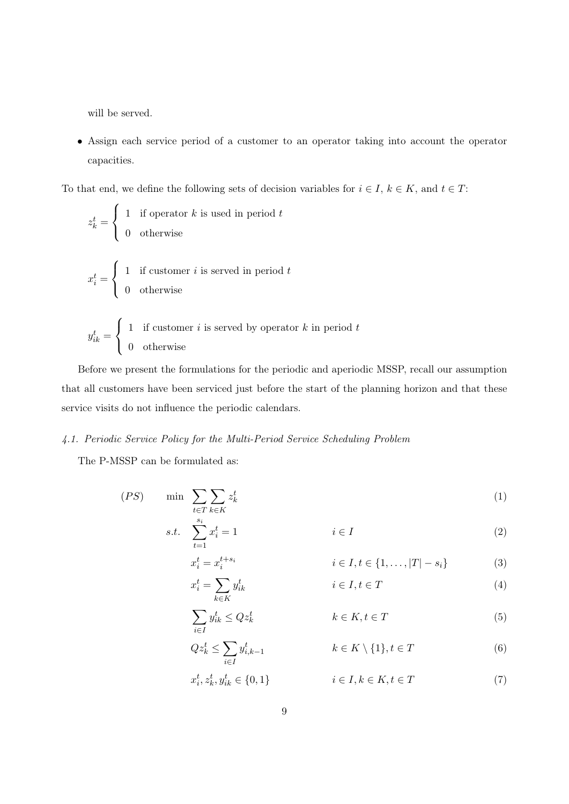will be served.

• Assign each service period of a customer to an operator taking into account the operator capacities.

To that end, we define the following sets of decision variables for  $i \in I$ ,  $k \in K$ , and  $t \in T$ :

$$
z_k^t = \begin{cases} 1 & \text{if operator } k \text{ is used in period } t \\ 0 & \text{otherwise} \end{cases}
$$
\n
$$
x_i^t = \begin{cases} 1 & \text{if customer } i \text{ is served in period } t \\ 0 & \text{otherwise} \end{cases}
$$
\n
$$
y_{ik}^t = \begin{cases} 1 & \text{if customer } i \text{ is served by operator } k \text{ in period } t \\ 0 & \text{otherwise} \end{cases}
$$

Before we present the formulations for the periodic and aperiodic MSSP, recall our assumption that all customers have been serviced just before the start of the planning horizon and that these service visits do not influence the periodic calendars.

#### 4.1. Periodic Service Policy for the Multi-Period Service Scheduling Problem

The P-MSSP can be formulated as:

$$
(PS) \qquad \min \sum_{t \in T} \sum_{k \in K} z_k^t \tag{1}
$$

s.t. 
$$
\sum_{t=1}^{s_i} x_i^t = 1
$$
  $i \in I$  (2)

$$
x_i^t = x_i^{t+s_i} \qquad i \in I, t \in \{1, ..., |T| - s_i\}
$$
 (3)

$$
x_i^t = \sum_{k \in K} y_{ik}^t \qquad \qquad i \in I, t \in T \tag{4}
$$

$$
\sum_{i \in I} y_{ik}^t \le Q z_k^t \qquad k \in K, t \in T \tag{5}
$$

$$
Qz_k^t \le \sum_{i \in I} y_{i,k-1}^t \qquad k \in K \setminus \{1\}, t \in T \tag{6}
$$
  

$$
x_i^t, z_k^t, y_{ik}^t \in \{0, 1\} \qquad i \in I, k \in K, t \in T \tag{7}
$$

$$
i_k^t \in \{0, 1\} \qquad i \in I, k \in K, t \in T \tag{7}
$$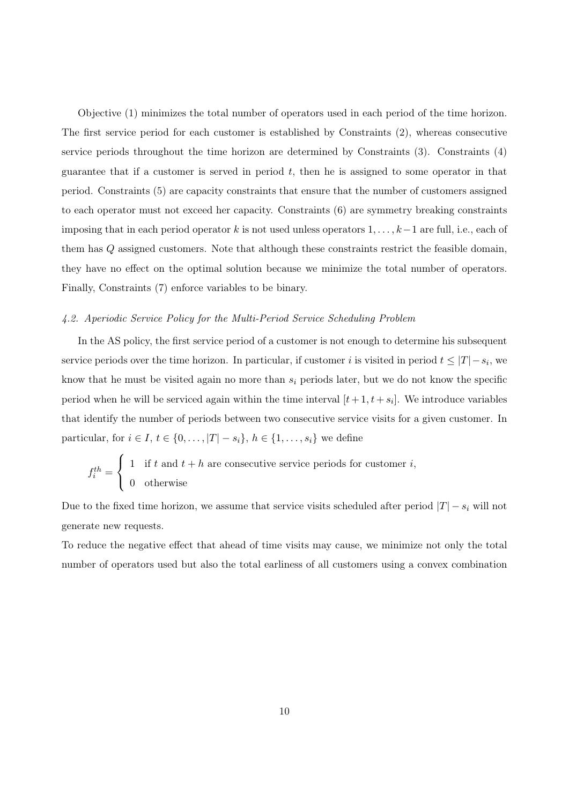Objective (1) minimizes the total number of operators used in each period of the time horizon. The first service period for each customer is established by Constraints (2), whereas consecutive service periods throughout the time horizon are determined by Constraints (3). Constraints (4) guarantee that if a customer is served in period  $t$ , then he is assigned to some operator in that period. Constraints (5) are capacity constraints that ensure that the number of customers assigned to each operator must not exceed her capacity. Constraints (6) are symmetry breaking constraints imposing that in each period operator k is not used unless operators  $1, \ldots, k-1$  are full, i.e., each of them has Q assigned customers. Note that although these constraints restrict the feasible domain, they have no effect on the optimal solution because we minimize the total number of operators. Finally, Constraints (7) enforce variables to be binary.

#### 4.2. Aperiodic Service Policy for the Multi-Period Service Scheduling Problem

In the AS policy, the first service period of a customer is not enough to determine his subsequent service periods over the time horizon. In particular, if customer i is visited in period  $t \leq |T| - s_i$ , we know that he must be visited again no more than  $s_i$  periods later, but we do not know the specific period when he will be serviced again within the time interval  $[t+1, t+s_i]$ . We introduce variables that identify the number of periods between two consecutive service visits for a given customer. In particular, for  $i \in I$ ,  $t \in \{0, \ldots, |T| - s_i\}$ ,  $h \in \{1, \ldots, s_i\}$  we define

$$
f_i^{th} = \begin{cases} 1 & \text{if } t \text{ and } t + h \text{ are consecutive service periods for customer } i, \\ 0 & \text{otherwise} \end{cases}
$$

Due to the fixed time horizon, we assume that service visits scheduled after period  $|T| - s_i$  will not generate new requests.

To reduce the negative effect that ahead of time visits may cause, we minimize not only the total number of operators used but also the total earliness of all customers using a convex combination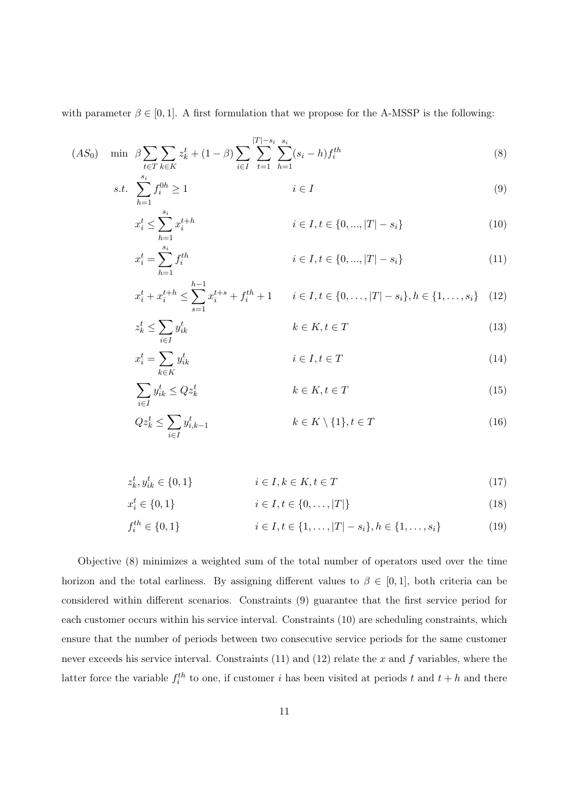with parameter  $\beta \in [0, 1]$ . A first formulation that we propose for the A-MSSP is the following:

 $z_k^t \leq$ 

$$
(AS_0) \quad \min \ \beta \sum_{t \in T} \sum_{k \in K} z_k^t + (1 - \beta) \sum_{i \in I} \sum_{t=1}^{|T| - s_i} \sum_{h=1}^{s_i} (s_i - h) f_i^{th} \tag{8}
$$

$$
s.t. \sum_{h=1}^{s_i} f_i^{0h} \ge 1 \qquad \qquad i \in I \tag{9}
$$

$$
x_i^t \le \sum_{h=1}^{s_i} x_i^{t+h} \qquad i \in I, t \in \{0, ..., |T| - s_i\}
$$
 (10)

$$
x_i^t = \sum_{h=1}^{s_i} f_i^{th} \qquad i \in I, t \in \{0, ..., |T| - s_i\}
$$
 (11)

$$
x_i^t + x_i^{t+h} \le \sum_{s=1}^{h-1} x_i^{t+s} + f_i^{th} + 1 \qquad i \in I, t \in \{0, \dots, |T| - s_i\}, h \in \{1, \dots, s_i\} \tag{12}
$$

$$
\sum_{i \in I} y_{ik}^t \qquad k \in K, t \in T \tag{13}
$$

$$
x_i^t = \sum_{k \in K} y_{ik}^t \qquad i \in I, t \in T
$$
\n
$$
(14)
$$

$$
\sum_{i \in I} y_{ik}^t \le Q z_k^t \qquad k \in K, t \in T
$$
\n
$$
Q z_k^t \le \sum_{i \in I} y_{i,k-1}^t \qquad k \in K \setminus \{1\}, t \in T
$$
\n(16)

$$
z_k^t, y_{ik}^t \in \{0, 1\} \qquad \qquad i \in I, k \in K, t \in T \tag{17}
$$

$$
x_i^t \in \{0, 1\} \qquad i \in I, t \in \{0, \dots, |T|\} \tag{18}
$$

$$
f_i^{th} \in \{0, 1\} \qquad i \in I, t \in \{1, \dots, |T| - s_i\}, h \in \{1, \dots, s_i\} \tag{19}
$$

Objective (8) minimizes a weighted sum of the total number of operators used over the time horizon and the total earliness. By assigning different values to  $\beta \in [0,1]$ , both criteria can be considered within different scenarios. Constraints (9) guarantee that the first service period for each customer occurs within his service interval. Constraints (10) are scheduling constraints, which ensure that the number of periods between two consecutive service periods for the same customer never exceeds his service interval. Constraints  $(11)$  and  $(12)$  relate the x and f variables, where the latter force the variable  $f_i^{th}$  to one, if customer i has been visited at periods t and  $t + h$  and there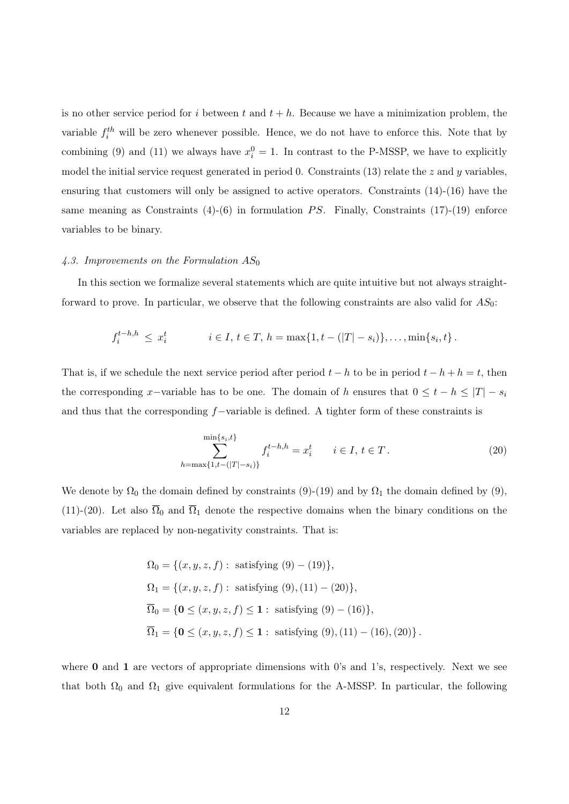is no other service period for i between t and  $t + h$ . Because we have a minimization problem, the variable  $f_i^{th}$  will be zero whenever possible. Hence, we do not have to enforce this. Note that by combining (9) and (11) we always have  $x_i^0 = 1$ . In contrast to the P-MSSP, we have to explicitly model the initial service request generated in period 0. Constraints (13) relate the  $z$  and  $y$  variables, ensuring that customers will only be assigned to active operators. Constraints (14)-(16) have the same meaning as Constraints  $(4)-(6)$  in formulation PS. Finally, Constraints  $(17)-(19)$  enforce variables to be binary.

#### 4.3. Improvements on the Formulation  $AS_0$

In this section we formalize several statements which are quite intuitive but not always straightforward to prove. In particular, we observe that the following constraints are also valid for  $AS_0$ :

$$
f_i^{t-h,h} \leq x_i^t
$$
  $i \in I, t \in T, h = \max\{1, t - (|T| - s_i)\}, \dots, \min\{s_i, t\}.$ 

That is, if we schedule the next service period after period  $t - h$  to be in period  $t - h + h = t$ , then the corresponding x-variable has to be one. The domain of h ensures that  $0 \leq t - h \leq |T| - s_i$ and thus that the corresponding f−variable is defined. A tighter form of these constraints is

$$
\sum_{h=\max\{1,t-(|T|-s_i)\}}^{\min\{s_i,t\}} f_i^{t-h,h} = x_i^t \qquad i \in I, t \in T.
$$
\n(20)

We denote by  $\Omega_0$  the domain defined by constraints (9)-(19) and by  $\Omega_1$  the domain defined by (9), (11)-(20). Let also  $\overline{\Omega}_0$  and  $\overline{\Omega}_1$  denote the respective domains when the binary conditions on the variables are replaced by non-negativity constraints. That is:

$$
\Omega_0 = \{(x, y, z, f) : \text{ satisfying } (9) - (19)\},\
$$
  
\n
$$
\Omega_1 = \{(x, y, z, f) : \text{ satisfying } (9), (11) - (20)\},\
$$
  
\n
$$
\overline{\Omega}_0 = \{\mathbf{0} \le (x, y, z, f) \le \mathbf{1} : \text{ satisfying } (9) - (16)\},\
$$
  
\n
$$
\overline{\Omega}_1 = \{\mathbf{0} \le (x, y, z, f) \le \mathbf{1} : \text{ satisfying } (9), (11) - (16), (20)\}.
$$

where  $\bf{0}$  and  $\bf{1}$  are vectors of appropriate dimensions with 0's and 1's, respectively. Next we see that both  $\Omega_0$  and  $\Omega_1$  give equivalent formulations for the A-MSSP. In particular, the following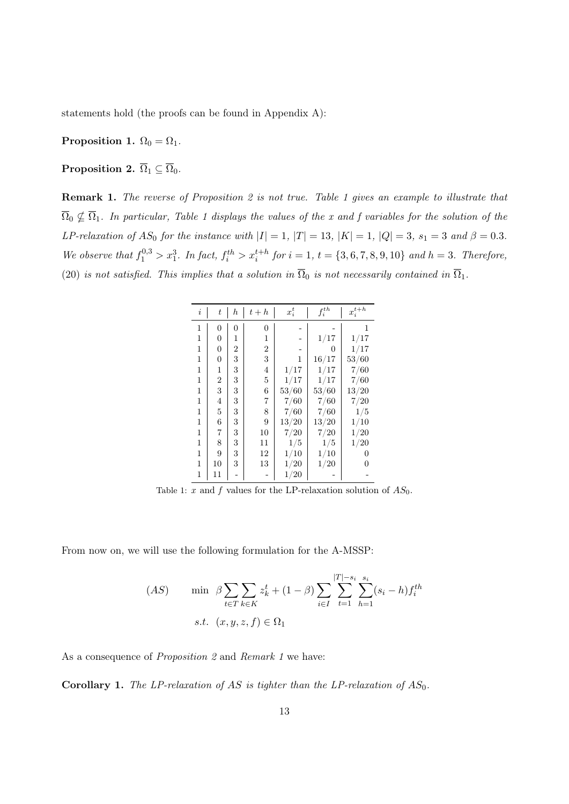statements hold (the proofs can be found in Appendix A):

Proposition 1.  $\Omega_0 = \Omega_1$ .

**Proposition 2.**  $\overline{\Omega}_1 \subseteq \overline{\Omega}_0$ .

Remark 1. The reverse of Proposition 2 is not true. Table 1 gives an example to illustrate that  $\overline{\Omega}_0 \nsubseteq \overline{\Omega}_1$ . In particular, Table 1 displays the values of the x and f variables for the solution of the LP-relaxation of AS<sub>0</sub> for the instance with  $|I| = 1$ ,  $|T| = 13$ ,  $|K| = 1$ ,  $|Q| = 3$ ,  $s_1 = 3$  and  $\beta = 0.3$ . We observe that  $f_1^{0,3} > x_1^3$ . In fact,  $f_i^{th} > x_i^{t+h}$  for  $i = 1, t = \{3, 6, 7, 8, 9, 10\}$  and  $h = 3$ . Therefore, (20) is not satisfied. This implies that a solution in  $\overline{\Omega}_0$  is not necessarily contained in  $\overline{\Omega}_1$ .

| i            | t  | $_{h}$ | $t+h$ | $x_i^t$  | $f_i^{th}$ | $\boldsymbol{x}_i^{t+h}$ |
|--------------|----|--------|-------|----------|------------|--------------------------|
| 1            | 0  | 0      | 0     |          |            | 1                        |
| 1            | 0  | 1      | 1     |          | $1/17\,$   | 1/17                     |
| 1            | 0  | 2      | 2     |          | 0          | 1/17                     |
| 1            | 0  | 3      | 3     | 1        | $16/17$    | 53/60                    |
| 1            | 1  | 3      | 4     | 1/17     | 1/17       | 7/60                     |
| 1            | 2  | 3      | 5     | 1/17     | 1/17       | 7/60                     |
| 1            | 3  | 3      | 6     | 53/60    | 53/60      | $13/20\,$                |
| 1            | 4  | 3      | 7     | 7/60     | 7/60       | 7/20                     |
| 1            | 5  | 3      | 8     | 7/60     | 7/60       | 1/5                      |
| 1            | 6  | 3      | 9     | 13/20    | 13/20      | 1/10                     |
| 1            | 7  | 3      | 10    | $7/20$   | $7/20$     | 1/20                     |
| 1            | 8  | 3      | 11    | 1/5      | $1/5\,$    | 1/20                     |
| 1            | 9  | 3      | 12    | 1/10     | 1/10       | 0                        |
| $\mathbf{1}$ | 10 | 3      | 13    | 1/20     | 1/20       | 0                        |
| 1            | 11 |        |       | $1/20\,$ |            |                          |

Table 1: x and f values for the LP-relaxation solution of  $AS_0$ .

From now on, we will use the following formulation for the A-MSSP:

$$
(AS) \quad \min \ \beta \sum_{t \in T} \sum_{k \in K} z_k^t + (1 - \beta) \sum_{i \in I} \sum_{t=1}^{|T| - s_i} \sum_{h=1}^{s_i} (s_i - h) f_i^{th}
$$
  
s.t.  $(x, y, z, f) \in \Omega_1$ 

As a consequence of *Proposition 2* and *Remark 1* we have:

**Corollary 1.** The LP-relaxation of AS is tighter than the LP-relaxation of  $AS_0$ .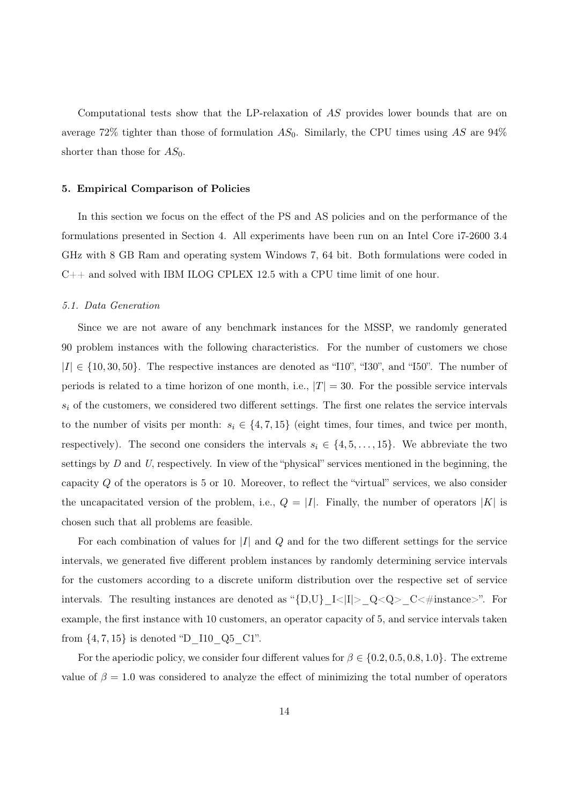Computational tests show that the LP-relaxation of AS provides lower bounds that are on average 72% tighter than those of formulation  $AS_0$ . Similarly, the CPU times using AS are 94% shorter than those for  $AS_0$ .

#### 5. Empirical Comparison of Policies

In this section we focus on the effect of the PS and AS policies and on the performance of the formulations presented in Section 4. All experiments have been run on an Intel Core i7-2600 3.4 GHz with 8 GB Ram and operating system Windows 7, 64 bit. Both formulations were coded in C++ and solved with IBM ILOG CPLEX 12.5 with a CPU time limit of one hour.

#### 5.1. Data Generation

Since we are not aware of any benchmark instances for the MSSP, we randomly generated 90 problem instances with the following characteristics. For the number of customers we chose  $|I| \in \{10, 30, 50\}$ . The respective instances are denoted as "110", "130", and "150". The number of periods is related to a time horizon of one month, i.e.,  $|T| = 30$ . For the possible service intervals  $s_i$  of the customers, we considered two different settings. The first one relates the service intervals to the number of visits per month:  $s_i \in \{4, 7, 15\}$  (eight times, four times, and twice per month, respectively). The second one considers the intervals  $s_i \in \{4, 5, \ldots, 15\}$ . We abbreviate the two settings by  $D$  and  $U$ , respectively. In view of the "physical" services mentioned in the beginning, the capacity  $Q$  of the operators is 5 or 10. Moreover, to reflect the "virtual" services, we also consider the uncapacitated version of the problem, i.e.,  $Q = |I|$ . Finally, the number of operators  $|K|$  is chosen such that all problems are feasible.

For each combination of values for  $|I|$  and  $Q$  and for the two different settings for the service intervals, we generated five different problem instances by randomly determining service intervals for the customers according to a discrete uniform distribution over the respective set of service intervals. The resulting instances are denoted as "{D,U}\_I<|I|>\_Q<Q>\_C<#instance>". For example, the first instance with 10 customers, an operator capacity of 5, and service intervals taken from  $\{4, 7, 15\}$  is denoted "D\_I10\_Q5\_C1".

For the aperiodic policy, we consider four different values for  $\beta \in \{0.2, 0.5, 0.8, 1.0\}$ . The extreme value of  $\beta = 1.0$  was considered to analyze the effect of minimizing the total number of operators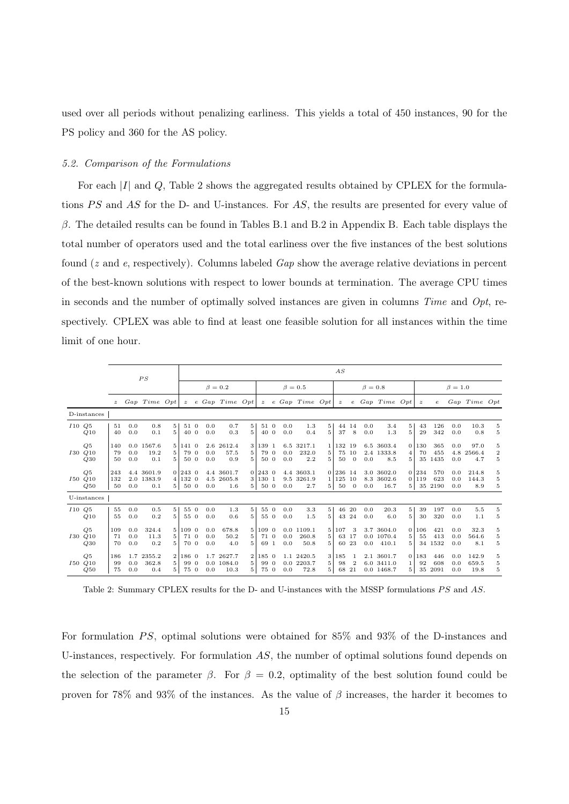used over all periods without penalizing earliness. This yields a total of 450 instances, 90 for the PS policy and 360 for the AS policy.

#### 5.2. Comparison of the Formulations

For each  $|I|$  and  $Q$ , Table 2 shows the aggregated results obtained by CPLEX for the formulations  $PS$  and  $AS$  for the D- and U-instances. For  $AS$ , the results are presented for every value of  $β$ . The detailed results can be found in Tables B.1 and B.2 in Appendix B. Each table displays the total number of operators used and the total earliness over the five instances of the best solutions found (z and e, respectively). Columns labeled Gap show the average relative deviations in percent of the best-known solutions with respect to lower bounds at termination. The average CPU times in seconds and the number of optimally solved instances are given in columns  $Time$  and  $Opt$ , respectively. CPLEX was able to find at least one feasible solution for all instances within the time limit of one hour.

|       |                             |                  |                   | PS                              |                                     |                         |                   |                                 |                          |                              |            |                                    |                                       | AS                        |                           |               |                                         |                |                   |                       |                   |                        |                                    |
|-------|-----------------------------|------------------|-------------------|---------------------------------|-------------------------------------|-------------------------|-------------------|---------------------------------|--------------------------|------------------------------|------------|------------------------------------|---------------------------------------|---------------------------|---------------------------|---------------|-----------------------------------------|----------------|-------------------|-----------------------|-------------------|------------------------|------------------------------------|
|       |                             |                  |                   |                                 |                                     |                         |                   | $\beta = 0.2$                   |                          |                              |            | $\beta = 0.5$                      |                                       |                           |                           | $\beta = 0.8$ |                                         |                |                   |                       | $\beta = 1.0$     |                        |                                    |
|       |                             | $\boldsymbol{z}$ |                   | Gap Time Opt                    |                                     | $\mathcal{Z}$           |                   | $e\;Gap\;Time\;Opt$             |                          |                              |            | $z \in Gap$ Time Opt               |                                       | $\boldsymbol{z}$          |                           |               | $e$ Gap Time Opt                        |                | $\boldsymbol{z}$  | $\epsilon$            |                   | Gap Time Opt           |                                    |
|       | D-instances                 |                  |                   |                                 |                                     |                         |                   |                                 |                          |                              |            |                                    |                                       |                           |                           |               |                                         |                |                   |                       |                   |                        |                                    |
| I10Q5 | Q10                         | 51<br>40         | 0.0<br>0.0        | 0.8<br>0.1                      | $5^{\circ}$<br>5 <sup>1</sup>       | 51 0<br>40 0            | 0.0<br>0.0        | 0.7<br>0.3                      | $5^{\circ}$<br>5         | 51 0<br>40 0                 | 0.0<br>0.0 | 1.3<br>0.4                         | 5<br>5                                | 37                        | 44 14<br>8                | 0.0<br>0.0    | 3.4<br>1.3                              | 5<br>5         | 43<br>29          | 126<br>342            | 0.0<br>0.0        | 10.3<br>0.8            | 5<br>5                             |
|       | Q5<br><i>I30 Q10</i><br>Q30 | 140<br>79<br>50  | 0.0<br>0.0        | 0.0 1567.6<br>19.2<br>0.1       | 5 <sub>1</sub><br>5<br>5            | 141 0<br>79 0<br>50 0   | 0.0<br>0.0        | 2.6 2612.4<br>57.5<br>0.9       | 3<br>5<br>5              | 139 1<br>79 0<br>50 0        | 0.0<br>0.0 | 6.5 3217.1<br>232.0<br>2.2         | 5<br>5                                | 1 1 1 3 2 1 9<br>75<br>50 | 10<br>$\theta$            | 0.0           | 6.5 3603.4<br>2.4 1333.8<br>8.5         | 4<br>5         | 0 130<br>70<br>35 | 365<br>455<br>1435    | 0.0<br>4.8<br>0.0 | 97.0<br>2566.4<br>4.7  | 5<br>$\,2$<br>$\overline{5}$       |
|       | Q5<br>I50 Q10<br>Q50        | 243<br>132<br>50 | 0.0               | 4.4 3601.9<br>2.0 1383.9<br>0.1 | $\overline{4}$<br>5 <sub>1</sub>    | 0 2430<br>132 0<br>50 0 | 0.0               | 4.4 3601.7<br>4.5 2605.8<br>1.6 | 3<br>5 <sup>1</sup>      | $0$ 243 $0$<br>130 1<br>50 0 | 0.0        | 4.4 3603.1<br>9.5 3261.9<br>2.7    | 11<br>5 <sup>1</sup>                  | 0 236 14<br>125<br>50     | 10<br>$\Omega$            | 0.0           | 3.0 3602.0<br>8.3 3602.6<br>16.7        | 5 <sup>1</sup> | 0 234<br>01119    | 570<br>623<br>35 2190 | 0.0<br>0.0<br>0.0 | 214.8<br>144.3<br>8.9  | 5<br>5<br>$\rm 5$                  |
|       | U-instances                 |                  |                   |                                 |                                     |                         |                   |                                 |                          |                              |            |                                    |                                       |                           |                           |               |                                         |                |                   |                       |                   |                        |                                    |
| I10Q5 | Q10                         | 55<br>55         | 0.0<br>0.0        | 0.5<br>0.2                      | $5^{\circ}$<br>5                    | 55 0<br>55 0            | 0.0<br>0.0        | 1.3<br>0.6                      | 5<br>5                   | 55 0<br>55 0                 | 0.0<br>0.0 | 3.3<br>1.5                         | 5 <sup>1</sup><br>$\overline{5}$      | 46                        | -20<br>43 24              | 0.0<br>0.0    | 20.3<br>6.0                             | 5<br>5         | 39<br>30          | 197<br>320            | 0.0<br>0.0        | 5.5<br>1.1             | 5<br>5                             |
|       | Q5<br>I30 Q10<br>Q30        | 109<br>71<br>70  | 0.0<br>0.0<br>0.0 | 324.4<br>11.3<br>0.2            | 5<br>5<br>5                         | 109 0<br>71 0<br>70 0   | 0.0<br>0.0<br>0.0 | 678.8<br>50.2<br>4.0            | $5^{\circ}$<br>5<br>5    | 109 0<br>71 0<br>69 1        | 0.0<br>0.0 | 0.01109.1<br>260.8<br>50.8         | 5 <sup>1</sup><br>5<br>5.             | 107<br>63                 | 3<br>17<br>60 23          |               | 3.7 3604.0<br>0.0 1070.4<br>$0.0$ 410.1 | 5<br>5.        | 01106<br>55       | 421<br>413<br>34 1532 | 0.0<br>0.0<br>0.0 | 32.3<br>564.6<br>8.1   | 5<br>$\overline{5}$<br>$\mathbf 5$ |
|       | Q5<br>I50 Q10<br>Q50        | 186<br>99<br>75  | 1.7<br>0.0<br>0.0 | 2355.2<br>362.8<br>0.4          | $\overline{2}$<br>$5^{\circ}$<br>5. | 186 0<br>99 0<br>75 0   | 0.0               | 1.7 2627.7<br>0.01084.0<br>10.3 | $\overline{2}$<br>5<br>5 | 185 0<br>99 0<br>75 0        | 0.0        | 1.1 2420.5<br>$0.0$ 2203.7<br>72.8 | 3 <sup>1</sup><br>5<br>5 <sup>1</sup> | 185<br>98<br>68           | 1<br>$\overline{2}$<br>21 |               | 2.1 3601.7<br>6.0 3411.0<br>0.0 1468.7  | 1<br>5         | 0 183<br>92<br>35 | 446<br>608<br>2091    | 0.0<br>0.0<br>0.0 | 142.9<br>659.5<br>19.8 | 5<br>5<br>5                        |

Table 2: Summary CPLEX results for the D- and U-instances with the MSSP formulations PS and AS.

For formulation  $PS$ , optimal solutions were obtained for 85% and 93% of the D-instances and U-instances, respectively. For formulation  $AS$ , the number of optimal solutions found depends on the selection of the parameter  $\beta$ . For  $\beta = 0.2$ , optimality of the best solution found could be proven for 78% and 93% of the instances. As the value of  $\beta$  increases, the harder it becomes to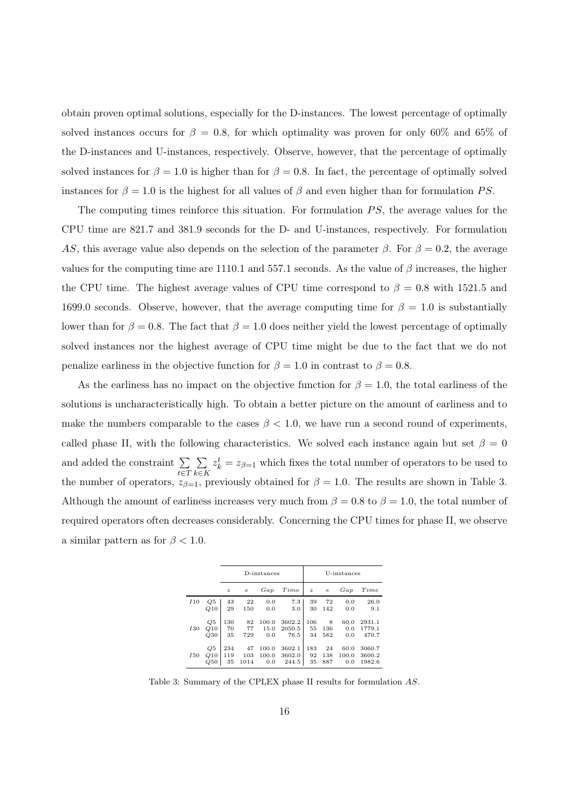obtain proven optimal solutions, especially for the D-instances. The lowest percentage of optimally solved instances occurs for  $\beta = 0.8$ , for which optimality was proven for only 60% and 65% of the D-instances and U-instances, respectively. Observe, however, that the percentage of optimally solved instances for  $\beta = 1.0$  is higher than for  $\beta = 0.8$ . In fact, the percentage of optimally solved instances for  $\beta = 1.0$  is the highest for all values of  $\beta$  and even higher than for formulation PS.

The computing times reinforce this situation. For formulation  $PS$ , the average values for the CPU time are 821.7 and 381.9 seconds for the D- and U-instances, respectively. For formulation AS, this average value also depends on the selection of the parameter  $\beta$ . For  $\beta = 0.2$ , the average values for the computing time are 1110.1 and 557.1 seconds. As the value of  $\beta$  increases, the higher the CPU time. The highest average values of CPU time correspond to  $\beta = 0.8$  with 1521.5 and 1699.0 seconds. Observe, however, that the average computing time for  $\beta = 1.0$  is substantially lower than for  $\beta = 0.8$ . The fact that  $\beta = 1.0$  does neither yield the lowest percentage of optimally solved instances nor the highest average of CPU time might be due to the fact that we do not penalize earliness in the objective function for  $\beta = 1.0$  in contrast to  $\beta = 0.8$ .

As the earliness has no impact on the objective function for  $\beta = 1.0$ , the total earliness of the solutions is uncharacteristically high. To obtain a better picture on the amount of earliness and to make the numbers comparable to the cases  $\beta$  < 1.0, we have run a second round of experiments, called phase II, with the following characteristics. We solved each instance again but set  $\beta = 0$ and added the constraint  $\Sigma$ t∈T  $\sum$ k∈K  $z_k^t = z_{\beta=1}$  which fixes the total number of operators to be used to the number of operators,  $z_{\beta=1}$ , previously obtained for  $\beta=1.0$ . The results are shown in Table 3. Although the amount of earliness increases very much from  $\beta = 0.8$  to  $\beta = 1.0$ , the total number of required operators often decreases considerably. Concerning the CPU times for phase II, we observe a similar pattern as for  $\beta$  < 1.0.

|                        |     |                  |            | D-instances |        |                  |            | U-instances |        |
|------------------------|-----|------------------|------------|-------------|--------|------------------|------------|-------------|--------|
|                        |     | $\boldsymbol{z}$ | $\epsilon$ | Gap         | Time   | $\boldsymbol{z}$ | $\epsilon$ | Gap         | Time   |
| I10                    | Q5  | 43               | 22         | 0.0         | 7.3    | 39               | 72         | 0.0         | 26.0   |
|                        | Q10 | 29               | 150        | 0.0         | 3.0    | 30               | 142        | 0.0         | 9.1    |
| 130                    | Q5  | 130              | 82         | 100.0       | 3602.2 | 106              | 8          | 60.0        | 2931.1 |
|                        | Q10 | 70               | 77         | 15.0        | 2050.5 | 55               | 136        | 0.0         | 1779.1 |
|                        | Q30 | 35               | 729        | 0.0         | 76.5   | 34               | 582        | 0.0         | 470.7  |
| <i>I</i> <sub>50</sub> | Q5  | 234              | 47         | 100.0       | 3602.1 | 183              | 24         | 60.0        | 3060.7 |
|                        | Q10 | 119              | 103        | 100.0       | 3602.0 | 92               | 138        | 100.0       | 3600.2 |
|                        | Q50 | 35               | 1014       | 0.0         | 244.5  | 35               | 887        | 0.0         | 1982.6 |

Table 3: Summary of the CPLEX phase II results for formulation AS.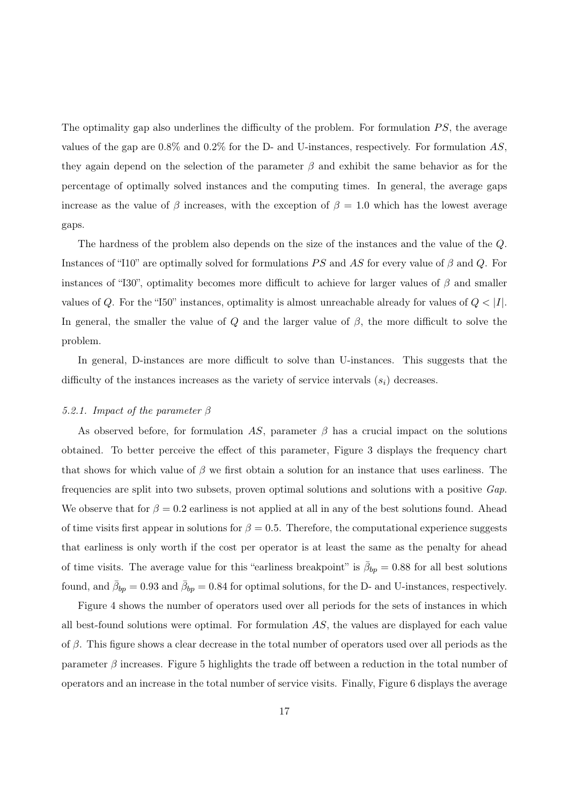The optimality gap also underlines the difficulty of the problem. For formulation  $PS$ , the average values of the gap are  $0.8\%$  and  $0.2\%$  for the D- and U-instances, respectively. For formulation AS, they again depend on the selection of the parameter  $\beta$  and exhibit the same behavior as for the percentage of optimally solved instances and the computing times. In general, the average gaps increase as the value of β increases, with the exception of  $\beta = 1.0$  which has the lowest average gaps.

The hardness of the problem also depends on the size of the instances and the value of the Q. Instances of "I10" are optimally solved for formulations PS and AS for every value of  $\beta$  and Q. For instances of "I30", optimality becomes more difficult to achieve for larger values of  $\beta$  and smaller values of  $Q$ . For the "I50" instances, optimality is almost unreachable already for values of  $Q < |I|$ . In general, the smaller the value of Q and the larger value of  $\beta$ , the more difficult to solve the problem.

In general, D-instances are more difficult to solve than U-instances. This suggests that the difficulty of the instances increases as the variety of service intervals  $(s_i)$  decreases.

#### 5.2.1. Impact of the parameter  $\beta$

As observed before, for formulation AS, parameter  $\beta$  has a crucial impact on the solutions obtained. To better perceive the effect of this parameter, Figure 3 displays the frequency chart that shows for which value of  $\beta$  we first obtain a solution for an instance that uses earliness. The frequencies are split into two subsets, proven optimal solutions and solutions with a positive Gap. We observe that for  $\beta = 0.2$  earliness is not applied at all in any of the best solutions found. Ahead of time visits first appear in solutions for  $\beta = 0.5$ . Therefore, the computational experience suggests that earliness is only worth if the cost per operator is at least the same as the penalty for ahead of time visits. The average value for this "earliness breakpoint" is  $\bar{\beta}_{bp} = 0.88$  for all best solutions found, and  $\bar{\beta}_{bp} = 0.93$  and  $\bar{\beta}_{bp} = 0.84$  for optimal solutions, for the D- and U-instances, respectively.

Figure 4 shows the number of operators used over all periods for the sets of instances in which all best-found solutions were optimal. For formulation  $AS$ , the values are displayed for each value of  $\beta$ . This figure shows a clear decrease in the total number of operators used over all periods as the parameter  $\beta$  increases. Figure 5 highlights the trade off between a reduction in the total number of operators and an increase in the total number of service visits. Finally, Figure 6 displays the average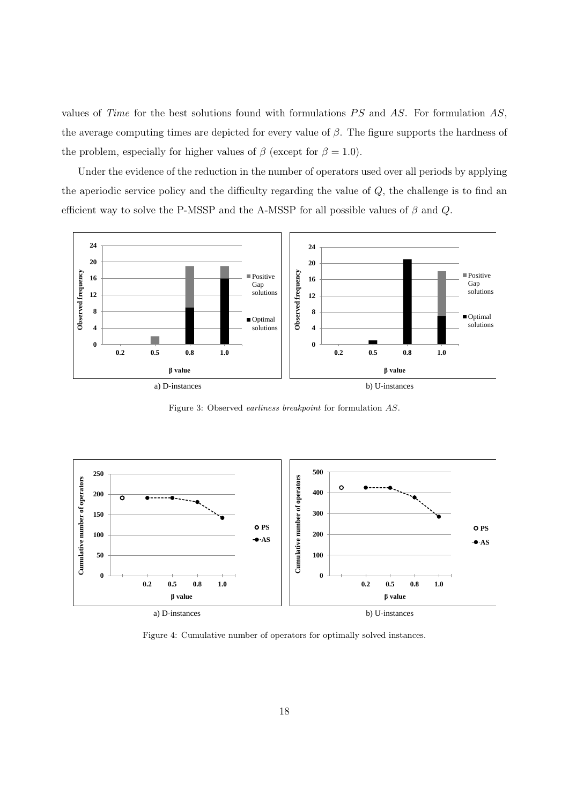values of Time for the best solutions found with formulations  $PS$  and  $AS$ . For formulation  $AS$ , the average computing times are depicted for every value of  $\beta$ . The figure supports the hardness of the problem, especially for higher values of  $\beta$  (except for  $\beta = 1.0$ ).

Under the evidence of the reduction in the number of operators used over all periods by applying the aperiodic service policy and the difficulty regarding the value of  $Q$ , the challenge is to find an efficient way to solve the P-MSSP and the A-MSSP for all possible values of  $\beta$  and  $Q$ .



Figure 3: Observed earliness breakpoint for formulation AS.



Figure 4: Cumulative number of operators for optimally solved instances.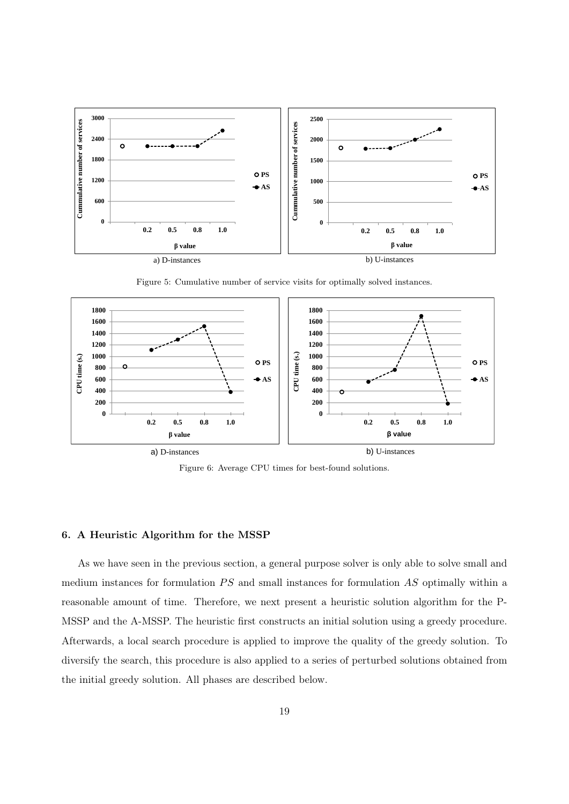

Figure 5: Cumulative number of service visits for optimally solved instances.



Figure 6: Average CPU times for best-found solutions.

#### 6. A Heuristic Algorithm for the MSSP

As we have seen in the previous section, a general purpose solver is only able to solve small and medium instances for formulation  $PS$  and small instances for formulation  $AS$  optimally within a reasonable amount of time. Therefore, we next present a heuristic solution algorithm for the P-MSSP and the A-MSSP. The heuristic first constructs an initial solution using a greedy procedure. Afterwards, a local search procedure is applied to improve the quality of the greedy solution. To diversify the search, this procedure is also applied to a series of perturbed solutions obtained from the initial greedy solution. All phases are described below.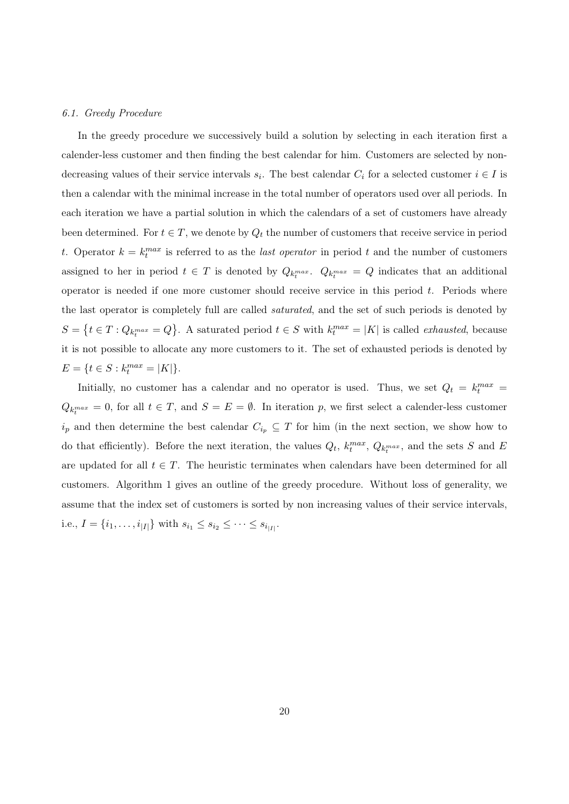#### 6.1. Greedy Procedure

In the greedy procedure we successively build a solution by selecting in each iteration first a calender-less customer and then finding the best calendar for him. Customers are selected by nondecreasing values of their service intervals  $s_i$ . The best calendar  $C_i$  for a selected customer  $i \in I$  is then a calendar with the minimal increase in the total number of operators used over all periods. In each iteration we have a partial solution in which the calendars of a set of customers have already been determined. For  $t \in T$ , we denote by  $Q_t$  the number of customers that receive service in period t. Operator  $k = k_t^{max}$  is referred to as the *last operator* in period t and the number of customers assigned to her in period  $t \in T$  is denoted by  $Q_{k_t^{max}}$ .  $Q_{k_t^{max}} = Q$  indicates that an additional operator is needed if one more customer should receive service in this period  $t$ . Periods where the last operator is completely full are called saturated, and the set of such periods is denoted by  $S = \{t \in T : Q_{k_t^{max}} = Q\}$ . A saturated period  $t \in S$  with  $k_t^{max} = |K|$  is called *exhausted*, because it is not possible to allocate any more customers to it. The set of exhausted periods is denoted by  $E = \{t \in S : k_t^{max} = |K|\}.$ 

Initially, no customer has a calendar and no operator is used. Thus, we set  $Q_t = k_t^{max}$  $Q_{k_t^{max}} = 0$ , for all  $t \in T$ , and  $S = E = \emptyset$ . In iteration p, we first select a calender-less customer  $i_p$  and then determine the best calendar  $C_{i_p} \subseteq T$  for him (in the next section, we show how to do that efficiently). Before the next iteration, the values  $Q_t$ ,  $k_t^{max}$ ,  $Q_{k_t^{max}}$ , and the sets S and E are updated for all  $t \in T$ . The heuristic terminates when calendars have been determined for all customers. Algorithm 1 gives an outline of the greedy procedure. Without loss of generality, we assume that the index set of customers is sorted by non increasing values of their service intervals, i.e.,  $I = \{i_1, \ldots, i_{|I|}\}\$  with  $s_{i_1} \leq s_{i_2} \leq \cdots \leq s_{i_{|I|}}\$ .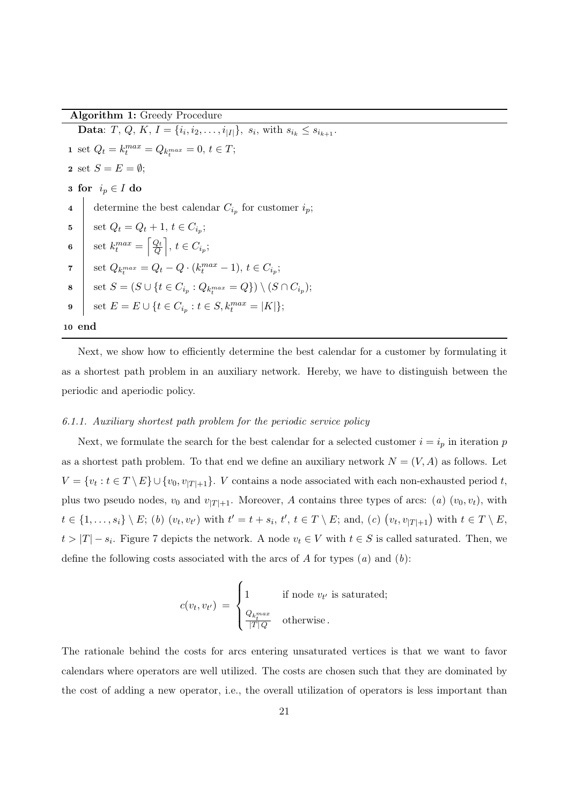Algorithm 1: Greedy Procedure

**Data**: *T*, *Q*, *K*, *I* = { $i_i$ ,  $i_2$ , . . . ,  $i_{|I|}$ },  $s_i$ , with  $s_{i_k} \leq s_{i_{k+1}}$ . 1 set  $Q_t = k_t^{max} = Q_{k_t^{max}} = 0, t \in T;$ 2 set  $S = E = \emptyset$ ; 3 for  $i_p \in I$  do 4 determine the best calendar  $C_{i_p}$  for customer  $i_p$ ; 5 | set  $Q_t = Q_t + 1, t \in C_{i_p};$ 6 set  $k_t^{max} = \left\lceil \frac{Q_t}{Q} \right\rceil$  $\left[\frac{Q_t}{Q}\right]$ ,  $t \in C_{i_p}$ ; 7  $\left| \text{ set } Q_{k_t^{max}} = Q_t - Q \cdot (k_t^{max} - 1), t \in C_{i_p}; \right|$ 8  $\Big\{\quad \text{set } S = (S \cup \{t \in C_{i_p} : Q_{k_l^{max}} = Q\}) \setminus (S \cap C_{i_p});$ 9  $\Big|$  set  $E = E \cup \{t \in C_{i_p} : t \in S, k_t^{max} = |K|\};$ 10 end

Next, we show how to efficiently determine the best calendar for a customer by formulating it as a shortest path problem in an auxiliary network. Hereby, we have to distinguish between the periodic and aperiodic policy.

#### 6.1.1. Auxiliary shortest path problem for the periodic service policy

Next, we formulate the search for the best calendar for a selected customer  $i = i_p$  in iteration p as a shortest path problem. To that end we define an auxiliary network  $N = (V, A)$  as follows. Let  $V = \{v_t : t \in T \setminus E\} \cup \{v_0, v_{|T|+1}\}.$  V contains a node associated with each non-exhausted period t, plus two pseudo nodes,  $v_0$  and  $v_{|T|+1}$ . Moreover, A contains three types of arcs: (a)  $(v_0, v_t)$ , with  $t \in \{1, \ldots, s_i\} \setminus E$ ; (b)  $(v_t, v_{t'})$  with  $t' = t + s_i, t', t \in T \setminus E$ ; and, (c)  $(v_t, v_{|T|+1})$  with  $t \in T \setminus E$ ,  $t > |T| - s_i$ . Figure 7 depicts the network. A node  $v_t \in V$  with  $t \in S$  is called saturated. Then, we define the following costs associated with the arcs of A for types  $(a)$  and  $(b)$ :

$$
c(v_t, v_{t'}) = \begin{cases} 1 & \text{if node } v_{t'} \text{ is saturated;} \\ \frac{Q_{k_t^{max}}}{|T|Q} & \text{otherwise.} \end{cases}
$$

The rationale behind the costs for arcs entering unsaturated vertices is that we want to favor calendars where operators are well utilized. The costs are chosen such that they are dominated by the cost of adding a new operator, i.e., the overall utilization of operators is less important than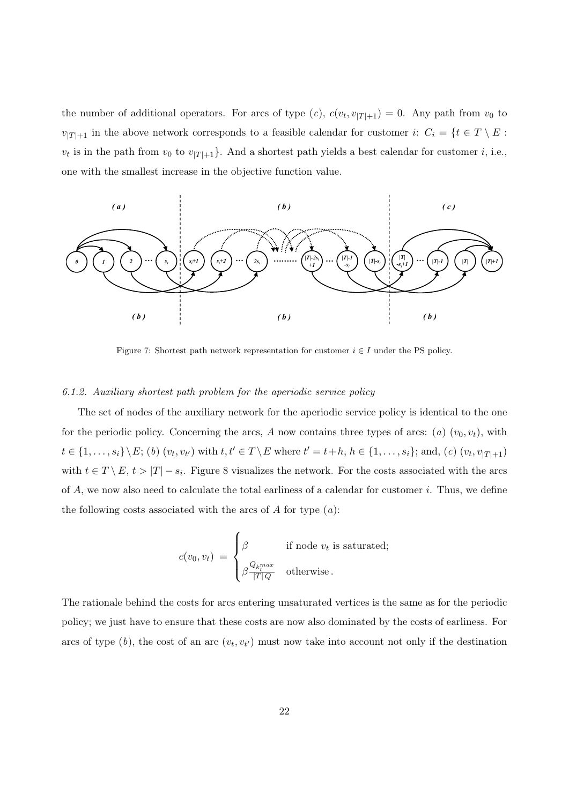the number of additional operators. For arcs of type  $(c)$ ,  $c(v_t, v_{|T|+1}) = 0$ . Any path from  $v_0$  to  $v_{|T|+1}$  in the above network corresponds to a feasible calendar for customer i:  $C_i = \{t \in T \setminus E :$  $v_t$  is in the path from  $v_0$  to  $v_{|T|+1}$ . And a shortest path yields a best calendar for customer i, i.e., one with the smallest increase in the objective function value.



Figure 7: Shortest path network representation for customer  $i \in I$  under the PS policy.

#### 6.1.2. Auxiliary shortest path problem for the aperiodic service policy

The set of nodes of the auxiliary network for the aperiodic service policy is identical to the one for the periodic policy. Concerning the arcs, A now contains three types of arcs: (a)  $(v_0, v_t)$ , with  $t \in \{1, ..., s_i\} \setminus E$ ; (b)  $(v_t, v_{t'})$  with  $t, t' \in T \setminus E$  where  $t' = t + h, h \in \{1, ..., s_i\}$ ; and, (c)  $(v_t, v_{|T|+1})$ with  $t \in T \setminus E$ ,  $t > |T| - s_i$ . Figure 8 visualizes the network. For the costs associated with the arcs of A, we now also need to calculate the total earliness of a calendar for customer i. Thus, we define the following costs associated with the arcs of  $A$  for type  $(a)$ :

$$
c(v_0, v_t) = \begin{cases} \beta & \text{if node } v_t \text{ is saturated;} \\ \beta \frac{Q_{k_t^{max}}}{|T|Q} & \text{otherwise.} \end{cases}
$$

The rationale behind the costs for arcs entering unsaturated vertices is the same as for the periodic policy; we just have to ensure that these costs are now also dominated by the costs of earliness. For arcs of type  $(b)$ , the cost of an arc  $(v_t, v_{t'})$  must now take into account not only if the destination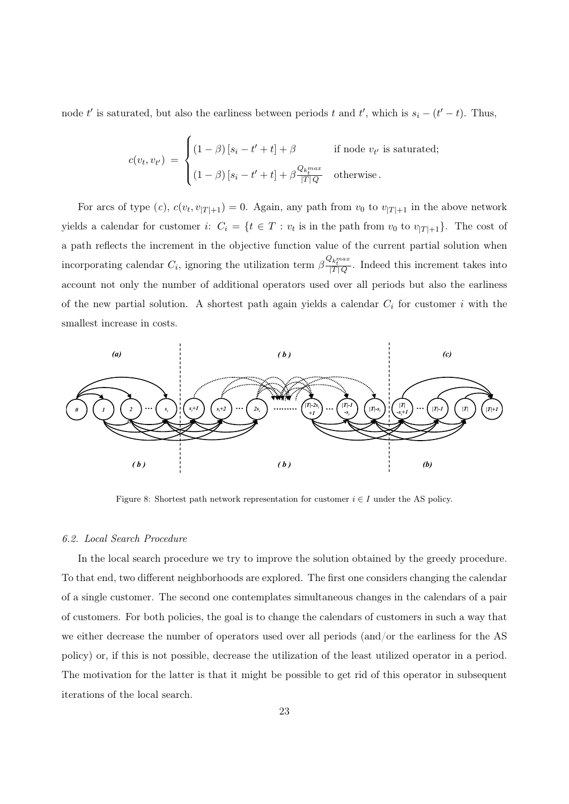node t' is saturated, but also the earliness between periods t and t', which is  $s_i - (t' - t)$ . Thus,

$$
c(v_t, v_{t'}) = \begin{cases} (1 - \beta) [s_i - t' + t] + \beta & \text{if node } v_{t'} \text{ is saturated;} \\ (1 - \beta) [s_i - t' + t] + \beta \frac{Q_{k_t^{max}}}{|T|Q} & \text{otherwise.} \end{cases}
$$

For arcs of type  $(c)$ ,  $c(v_t, v_{|T|+1}) = 0$ . Again, any path from  $v_0$  to  $v_{|T|+1}$  in the above network yields a calendar for customer i:  $C_i = \{t \in T : v_t$  is in the path from  $v_0$  to  $v_{|T|+1}\}$ . The cost of a path reflects the increment in the objective function value of the current partial solution when incorporating calendar  $C_i$ , ignoring the utilization term  $\beta \frac{Q_{k_i^m} a x}{|T| Q}$ . Indeed this increment takes into account not only the number of additional operators used over all periods but also the earliness of the new partial solution. A shortest path again yields a calendar  $C_i$  for customer i with the smallest increase in costs.



Figure 8: Shortest path network representation for customer  $i \in I$  under the AS policy.

#### 6.2. Local Search Procedure

In the local search procedure we try to improve the solution obtained by the greedy procedure. To that end, two different neighborhoods are explored. The first one considers changing the calendar of a single customer. The second one contemplates simultaneous changes in the calendars of a pair of customers. For both policies, the goal is to change the calendars of customers in such a way that we either decrease the number of operators used over all periods (and/or the earliness for the AS policy) or, if this is not possible, decrease the utilization of the least utilized operator in a period. The motivation for the latter is that it might be possible to get rid of this operator in subsequent iterations of the local search.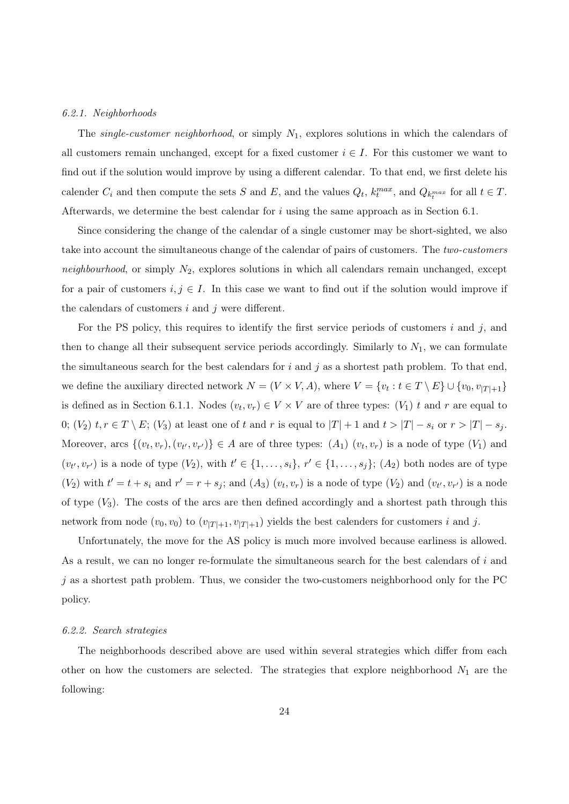#### 6.2.1. Neighborhoods

The single-customer neighborhood, or simply  $N_1$ , explores solutions in which the calendars of all customers remain unchanged, except for a fixed customer  $i \in I$ . For this customer we want to find out if the solution would improve by using a different calendar. To that end, we first delete his calender  $C_i$  and then compute the sets S and E, and the values  $Q_t$ ,  $k_t^{max}$ , and  $Q_{k_t^{max}}$  for all  $t \in T$ . Afterwards, we determine the best calendar for  $i$  using the same approach as in Section 6.1.

Since considering the change of the calendar of a single customer may be short-sighted, we also take into account the simultaneous change of the calendar of pairs of customers. The two-customers neighbourhood, or simply  $N_2$ , explores solutions in which all calendars remain unchanged, except for a pair of customers  $i, j \in I$ . In this case we want to find out if the solution would improve if the calendars of customers  $i$  and  $j$  were different.

For the PS policy, this requires to identify the first service periods of customers  $i$  and  $j$ , and then to change all their subsequent service periods accordingly. Similarly to  $N_1$ , we can formulate the simultaneous search for the best calendars for i and j as a shortest path problem. To that end, we define the auxiliary directed network  $N = (V \times V, A)$ , where  $V = \{v_t : t \in T \setminus E\} \cup \{v_0, v_{|T|+1}\}\$ is defined as in Section 6.1.1. Nodes  $(v_t, v_r) \in V \times V$  are of three types:  $(V_1)$  t and r are equal to 0;  $(V_2)$   $t, r \in T \setminus E$ ;  $(V_3)$  at least one of t and r is equal to  $|T| + 1$  and  $t > |T| - s_i$  or  $r > |T| - s_j$ . Moreover, arcs  $\{(v_t, v_r), (v_{t'}, v_{r'})\} \in A$  are of three types:  $(A_1)$   $(v_t, v_r)$  is a node of type  $(V_1)$  and  $(v_{t'}, v_{r'})$  is a node of type  $(V_2)$ , with  $t' \in \{1, \ldots, s_i\}$ ,  $r' \in \{1, \ldots, s_j\}$ ;  $(A_2)$  both nodes are of type  $(V_2)$  with  $t' = t + s_i$  and  $r' = r + s_j$ ; and  $(A_3)$   $(v_t, v_r)$  is a node of type  $(V_2)$  and  $(v_{t'}, v_{r'})$  is a node of type  $(V_3)$ . The costs of the arcs are then defined accordingly and a shortest path through this network from node  $(v_0, v_0)$  to  $(v_{|T|+1}, v_{|T|+1})$  yields the best calenders for customers i and j.

Unfortunately, the move for the AS policy is much more involved because earliness is allowed. As a result, we can no longer re-formulate the simultaneous search for the best calendars of i and  $j$  as a shortest path problem. Thus, we consider the two-customers neighborhood only for the PC policy.

#### 6.2.2. Search strategies

The neighborhoods described above are used within several strategies which differ from each other on how the customers are selected. The strategies that explore neighborhood  $N_1$  are the following: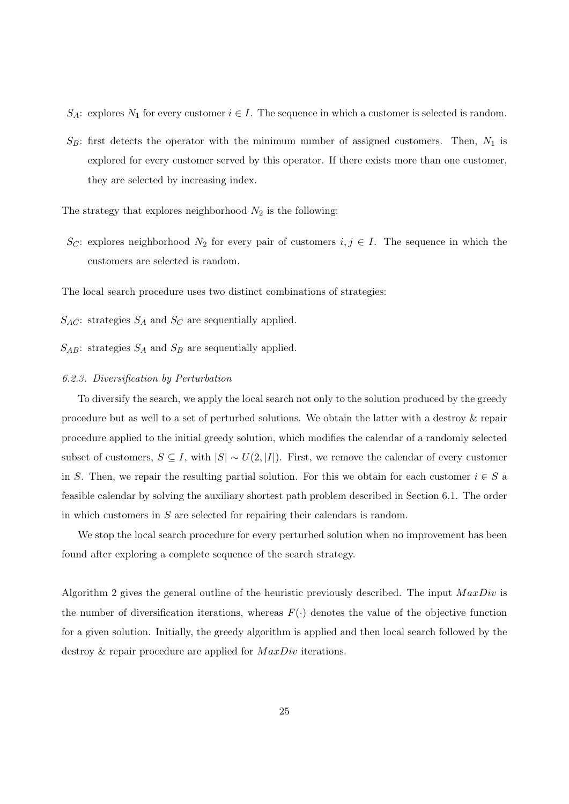$S_A$ : explores  $N_1$  for every customer  $i \in I$ . The sequence in which a customer is selected is random.

 $S_B$ : first detects the operator with the minimum number of assigned customers. Then,  $N_1$  is explored for every customer served by this operator. If there exists more than one customer, they are selected by increasing index.

The strategy that explores neighborhood  $N_2$  is the following:

S<sub>C</sub>: explores neighborhood  $N_2$  for every pair of customers  $i, j \in I$ . The sequence in which the customers are selected is random.

The local search procedure uses two distinct combinations of strategies:

 $S_{AC}$ : strategies  $S_A$  and  $S_C$  are sequentially applied.

 $S_{AB}$ : strategies  $S_A$  and  $S_B$  are sequentially applied.

#### 6.2.3. Diversification by Perturbation

To diversify the search, we apply the local search not only to the solution produced by the greedy procedure but as well to a set of perturbed solutions. We obtain the latter with a destroy & repair procedure applied to the initial greedy solution, which modifies the calendar of a randomly selected subset of customers,  $S \subseteq I$ , with  $|S| \sim U(2, |I|)$ . First, we remove the calendar of every customer in S. Then, we repair the resulting partial solution. For this we obtain for each customer  $i \in S$  a feasible calendar by solving the auxiliary shortest path problem described in Section 6.1. The order in which customers in S are selected for repairing their calendars is random.

We stop the local search procedure for every perturbed solution when no improvement has been found after exploring a complete sequence of the search strategy.

Algorithm 2 gives the general outline of the heuristic previously described. The input  $MaxDiv$  is the number of diversification iterations, whereas  $F(\cdot)$  denotes the value of the objective function for a given solution. Initially, the greedy algorithm is applied and then local search followed by the destroy & repair procedure are applied for  $MaxDiv$  iterations.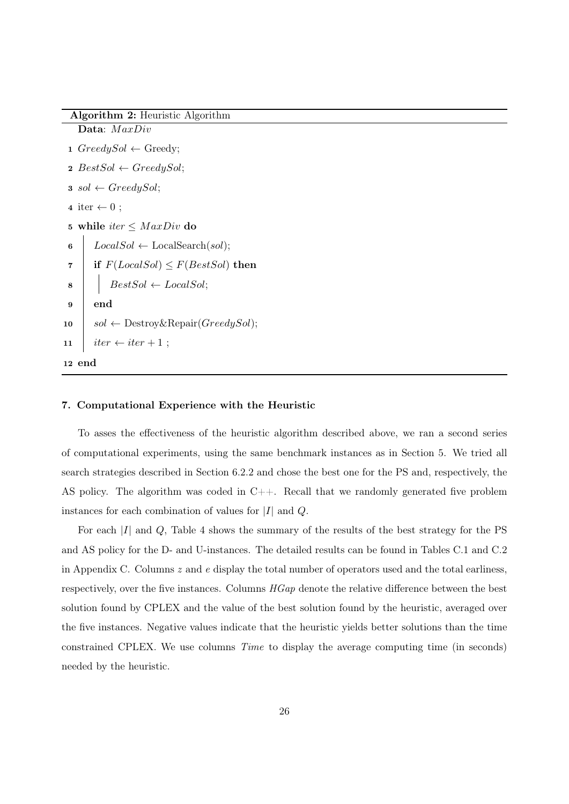```
Data: MaxDiv
 1 Greedy Sol \leftarrow Greedy;2 BestSol \leftarrow GreedySol;3 \text{ sol } \leftarrow GreedySol;4 iter \leftarrow 0;
 5 while iter \leq MaxDiv do
 6 LocalSol \leftarrow LocalSearch(sol);
 7 if F(LocalSol) \leq F(BestSol) then
 \{8\} | BestSol ← LocalSol;
 9 end
10 \mid sol \leftarrow Destroy & Repair(GreedySol);
11 \vert iter \leftarrow iter +1 ;
12 end
```
Algorithm 2: Heuristic Algorithm

#### 7. Computational Experience with the Heuristic

To asses the effectiveness of the heuristic algorithm described above, we ran a second series of computational experiments, using the same benchmark instances as in Section 5. We tried all search strategies described in Section 6.2.2 and chose the best one for the PS and, respectively, the AS policy. The algorithm was coded in  $C++$ . Recall that we randomly generated five problem instances for each combination of values for  $|I|$  and  $Q$ .

For each  $|I|$  and  $Q$ , Table 4 shows the summary of the results of the best strategy for the PS and AS policy for the D- and U-instances. The detailed results can be found in Tables C.1 and C.2 in Appendix C. Columns  $z$  and  $e$  display the total number of operators used and the total earliness, respectively, over the five instances. Columns  $HGap$  denote the relative difference between the best solution found by CPLEX and the value of the best solution found by the heuristic, averaged over the five instances. Negative values indicate that the heuristic yields better solutions than the time constrained CPLEX. We use columns Time to display the average computing time (in seconds) needed by the heuristic.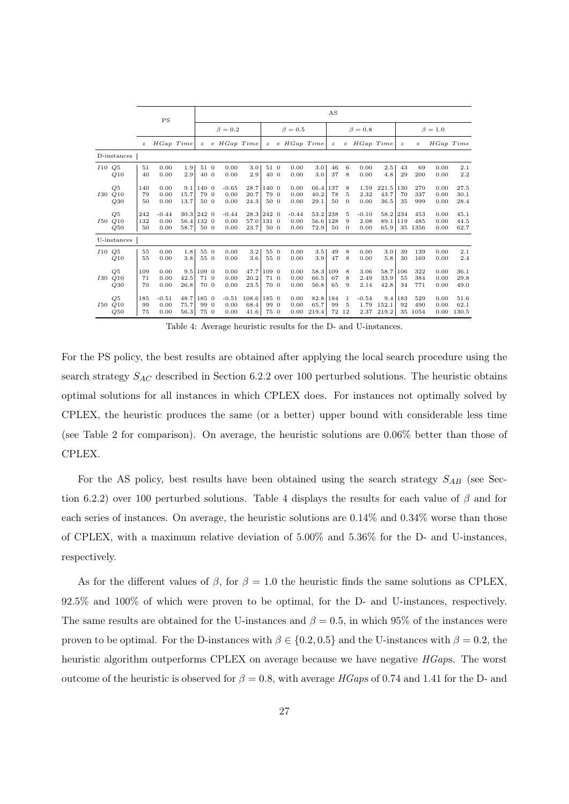|     |                      |                  | PS                      |                      |                       |                                  |                         |                                  |                       |                         |                              | AS                 |                          |                         |                              |                  |                       |                      |                       |
|-----|----------------------|------------------|-------------------------|----------------------|-----------------------|----------------------------------|-------------------------|----------------------------------|-----------------------|-------------------------|------------------------------|--------------------|--------------------------|-------------------------|------------------------------|------------------|-----------------------|----------------------|-----------------------|
|     |                      |                  |                         |                      |                       |                                  | $\beta = 0.2$           |                                  |                       | $\beta = 0.5$           |                              |                    |                          | $\beta = 0.8$           |                              |                  |                       | $\beta = 1.0$        |                       |
|     |                      | $\boldsymbol{z}$ | HGap Time               |                      | $\mathbf{z}$          |                                  | e HGap Time             |                                  | $\boldsymbol{z}$      | $e$ HGap Time           |                              | $\boldsymbol{z}$   |                          | e HGap Time             |                              | $\boldsymbol{z}$ | $\epsilon$            | HGap Time            |                       |
|     | D-instances          |                  |                         |                      |                       |                                  |                         |                                  |                       |                         |                              |                    |                          |                         |                              |                  |                       |                      |                       |
|     | I10Q5<br>Q10         | 51<br>40         | 0.00<br>0.00            | 1.9<br>2.9           | 51 0<br>40 0          |                                  | 0.00<br>0.00            | 3.0<br>2.9                       | 51 0<br>40 0          | 0.00<br>0.00            | 3.0<br>3.0                   | 46<br>37           | 6<br>8                   | 0.00<br>0.00            | 2.5<br>4.8                   | 43<br>29         | 69<br>200             | 0.00<br>0.00         | 2.1<br>2.2            |
| 130 | Q5<br>Q10<br>Q30     | 140<br>79<br>50  | 0.00<br>0.00<br>0.00    | 9.1<br>15.7<br>13.7  | 140<br>79<br>50 0     | $\overline{0}$<br>$\overline{0}$ | $-0.65$<br>0.00<br>0.00 | 28.7<br>20.7<br>24.3             | 140 0<br>79 0<br>50 0 | 0.00<br>0.00<br>0.00    | 66.4 137<br>40.2<br>29.1     | 78<br>50           | 8<br>5<br>$\overline{0}$ | 1.59<br>2.32<br>0.00    | 221.5<br>43.7<br>36.5        | 130<br>70<br>35  | 270<br>337<br>999     | 0.00<br>0.00<br>0.00 | 27.5<br>30.1<br>28.4  |
| 150 | Q5<br>Q10<br>Q50     | 242<br>132<br>50 | $-0.44$<br>0.00<br>0.00 | 56.4 132 0<br>58.7   | $30.3$ 242 0<br>50 0  |                                  | $-0.44$<br>0.00<br>0.00 | 28.3 242 0<br>57.0 131 0<br>23.7 | 50 0                  | $-0.44$<br>0.00<br>0.00 | 53.2 238<br>56.6 128<br>72.9 | 50                 | 5<br>9<br>$\Omega$       | $-0.10$<br>2.08<br>0.00 | 58.2 234<br>89.1 119<br>65.9 |                  | 453<br>485<br>35 1356 | 0.00<br>0.00<br>0.00 | 45.1<br>44.5<br>62.7  |
|     | U-instances          |                  |                         |                      |                       |                                  |                         |                                  |                       |                         |                              |                    |                          |                         |                              |                  |                       |                      |                       |
|     | I10 Q5<br>Q10        | 55<br>55         | 0.00<br>0.00            | 1.8<br>3.8           | 55 0<br>55 0          |                                  | 0.00<br>0.00            | 3.2<br>3.6                       | 55 0<br>55 0          | 0.00<br>0.00            | 3.5<br>3.9                   | 49<br>47           | 8<br>8                   | 0.00<br>0.00            | 3.0<br>5.8                   | 39<br>30         | 139<br>169            | 0.00<br>0.00         | 2.1<br>2.4            |
| 130 | Q5<br>Q10<br>Q30     | 109<br>71<br>70  | 0.00<br>0.00<br>0.00    | 9.5<br>42.5<br>26.8  | 109 0<br>71 0<br>70 0 |                                  | 0.00<br>0.00<br>0.00    | 47.7<br>20.2<br>23.5             | 109 0<br>71 0<br>70 0 | 0.00<br>0.00<br>0.00    | 58.3<br>66.5<br>56.8         | 109<br>67<br>65    | 8<br>8<br>9              | 3.06<br>2.49<br>2.14    | 58.7<br>33.9<br>42.8         | 106<br>55<br>34  | 322<br>384<br>771     | 0.00<br>0.00<br>0.00 | 36.1<br>29.8<br>49.0  |
|     | Q5<br>I50 Q10<br>Q50 | 185<br>99<br>75  | $-0.51$<br>0.00<br>0.00 | 48.7<br>75.7<br>56.3 | 185 0<br>99 0<br>75 0 |                                  | $-0.51$<br>0.00<br>0.00 | $108.6$ 185 0<br>68.4<br>41.6    | 99 0<br>75 0          | 0.00<br>0.00<br>0.00    | 82.8<br>65.7<br>219.4        | 184<br>99<br>72 12 | 1<br>-5                  | $-0.54$<br>1.79<br>2.37 | 9.4<br>152.1<br>219.2        | 183<br>92<br>35  | 529<br>490<br>1054    | 0.00<br>0.00<br>0.00 | 51.6<br>62.1<br>130.5 |

Table 4: Average heuristic results for the D- and U-instances.

For the PS policy, the best results are obtained after applying the local search procedure using the search strategy  $S_{AC}$  described in Section 6.2.2 over 100 perturbed solutions. The heuristic obtains optimal solutions for all instances in which CPLEX does. For instances not optimally solved by CPLEX, the heuristic produces the same (or a better) upper bound with considerable less time (see Table 2 for comparison). On average, the heuristic solutions are 0.06% better than those of CPLEX.

For the AS policy, best results have been obtained using the search strategy  $S_{AB}$  (see Section 6.2.2) over 100 perturbed solutions. Table 4 displays the results for each value of  $\beta$  and for each series of instances. On average, the heuristic solutions are 0.14% and 0.34% worse than those of CPLEX, with a maximum relative deviation of 5.00% and 5.36% for the D- and U-instances, respectively.

As for the different values of  $\beta$ , for  $\beta = 1.0$  the heuristic finds the same solutions as CPLEX, 92.5% and 100% of which were proven to be optimal, for the D- and U-instances, respectively. The same results are obtained for the U-instances and  $\beta = 0.5$ , in which 95% of the instances were proven to be optimal. For the D-instances with  $\beta \in \{0.2, 0.5\}$  and the U-instances with  $\beta = 0.2$ , the heuristic algorithm outperforms CPLEX on average because we have negative HGaps. The worst outcome of the heuristic is observed for  $\beta = 0.8$ , with average HGaps of 0.74 and 1.41 for the D- and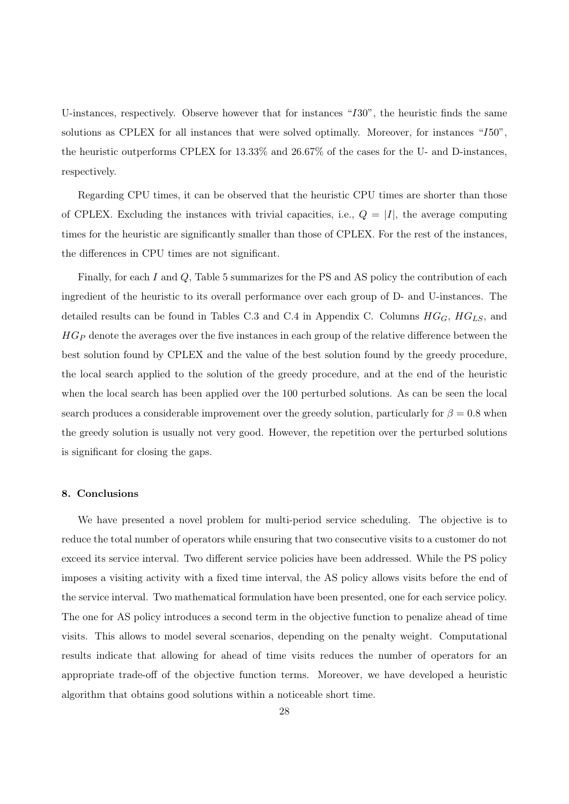U-instances, respectively. Observe however that for instances "I30", the heuristic finds the same solutions as CPLEX for all instances that were solved optimally. Moreover, for instances "I50", the heuristic outperforms CPLEX for 13.33% and 26.67% of the cases for the U- and D-instances, respectively.

Regarding CPU times, it can be observed that the heuristic CPU times are shorter than those of CPLEX. Excluding the instances with trivial capacities, i.e.,  $Q = |I|$ , the average computing times for the heuristic are significantly smaller than those of CPLEX. For the rest of the instances, the differences in CPU times are not significant.

Finally, for each I and Q, Table 5 summarizes for the PS and AS policy the contribution of each ingredient of the heuristic to its overall performance over each group of D- and U-instances. The detailed results can be found in Tables C.3 and C.4 in Appendix C. Columns  $HG_G$ ,  $HG_{LS}$ , and  $HG_P$  denote the averages over the five instances in each group of the relative difference between the best solution found by CPLEX and the value of the best solution found by the greedy procedure, the local search applied to the solution of the greedy procedure, and at the end of the heuristic when the local search has been applied over the 100 perturbed solutions. As can be seen the local search produces a considerable improvement over the greedy solution, particularly for  $\beta = 0.8$  when the greedy solution is usually not very good. However, the repetition over the perturbed solutions is significant for closing the gaps.

#### 8. Conclusions

We have presented a novel problem for multi-period service scheduling. The objective is to reduce the total number of operators while ensuring that two consecutive visits to a customer do not exceed its service interval. Two different service policies have been addressed. While the PS policy imposes a visiting activity with a fixed time interval, the AS policy allows visits before the end of the service interval. Two mathematical formulation have been presented, one for each service policy. The one for AS policy introduces a second term in the objective function to penalize ahead of time visits. This allows to model several scenarios, depending on the penalty weight. Computational results indicate that allowing for ahead of time visits reduces the number of operators for an appropriate trade-off of the objective function terms. Moreover, we have developed a heuristic algorithm that obtains good solutions within a noticeable short time.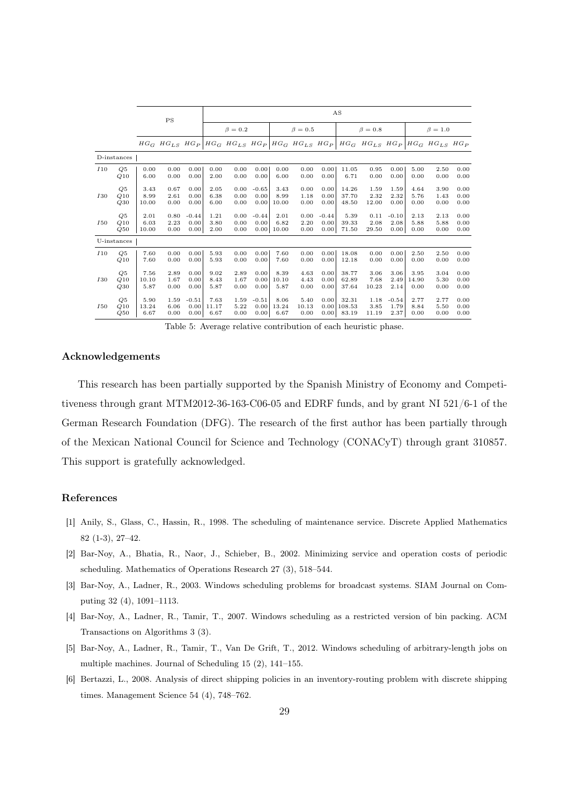|             |             |       |      |         |       |               |         |       |               |         | AS     |               |         |       |                                                                                                                               |      |
|-------------|-------------|-------|------|---------|-------|---------------|---------|-------|---------------|---------|--------|---------------|---------|-------|-------------------------------------------------------------------------------------------------------------------------------|------|
|             |             |       | PS   |         |       | $\beta = 0.2$ |         |       | $\beta = 0.5$ |         |        | $\beta = 0.8$ |         |       | $\beta = 1.0$                                                                                                                 |      |
|             |             |       |      |         |       |               |         |       |               |         |        |               |         |       | $HG_G$ $HG_{LS}$ $HG_P$ $HG_G$ $HG_{LS}$ $HG_{PS}$ $HG_P$ $HG_G$ $HG_{LS}$ $HG_P$ $HG_G$ $HG_{LS}$ $HG_{PS}$ $HG_{LS}$ $HG_P$ |      |
|             | D-instances |       |      |         |       |               |         |       |               |         |        |               |         |       |                                                                                                                               |      |
| I10         | Q5          | 0.00  | 0.00 | 0.00    | 0.00  | 0.00          | 0.00    | 0.00  | 0.00          | 0.00    | 11.05  | 0.95          | 0.00    | 5.00  | 2.50                                                                                                                          | 0.00 |
|             | Q10         | 6.00  | 0.00 | 0.00    | 2.00  | 0.00          | 0.00    | 6.00  | 0.00          | 0.00    | 6.71   | 0.00          | 0.00    | 0.00  | 0.00                                                                                                                          | 0.00 |
| <i>I</i> 30 | Q5          | 3.43  | 0.67 | 0.00    | 2.05  | 0.00          | $-0.65$ | 3.43  | 0.00          | 0.00    | 14.26  | 1.59          | 1.59    | 4.64  | 3.90                                                                                                                          | 0.00 |
|             | Q10         | 8.99  | 2.61 | 0.00    | 6.38  | 0.00          | 0.00    | 8.99  | 1.18          | 0.00    | 37.70  | 2.32          | 2.32    | 5.76  | 1.43                                                                                                                          | 0.00 |
|             | Q30         | 10.00 | 0.00 | 0.00    | 6.00  | 0.00          | 0.00    | 10.00 | 0.00          | 0.00    | 48.50  | 12.00         | 0.00    | 0.00  | 0.00                                                                                                                          | 0.00 |
| <i>I</i> 50 | Q5          | 2.01  | 0.80 | $-0.44$ | 1.21  | 0.00          | $-0.44$ | 2.01  | 0.00          | $-0.44$ | 5.39   | 0.11          | $-0.10$ | 2.13  | 2.13                                                                                                                          | 0.00 |
|             | Q10         | 6.03  | 2.23 | 0.00    | 3.80  | 0.00          | 0.00    | 6.82  | 2.20          | 0.00    | 39.33  | 2.08          | 2.08    | 5.88  | 5.88                                                                                                                          | 0.00 |
|             | Q50         | 10.00 | 0.00 | 0.00    | 2.00  | 0.00          | 0.00    | 10.00 | 0.00          | 0.00    | 71.50  | 29.50         | 0.00    | 0.00  | 0.00                                                                                                                          | 0.00 |
|             | U-instances |       |      |         |       |               |         |       |               |         |        |               |         |       |                                                                                                                               |      |
| I10         | Q5          | 7.60  | 0.00 | 0.00    | 5.93  | 0.00          | 0.00    | 7.60  | 0.00          | 0.00    | 18.08  | 0.00          | 0.00    | 2.50  | 2.50                                                                                                                          | 0.00 |
|             | Q10         | 7.60  | 0.00 | 0.00    | 5.93  | 0.00          | 0.00    | 7.60  | 0.00          | 0.00    | 12.18  | 0.00          | 0.00    | 0.00  | 0.00                                                                                                                          | 0.00 |
| <i>I</i> 30 | Q5          | 7.56  | 2.89 | 0.00    | 9.02  | 2.89          | 0.00    | 8.39  | 4.63          | 0.00    | 38.77  | 3.06          | 3.06    | 3.95  | 3.04                                                                                                                          | 0.00 |
|             | Q10         | 10.10 | 1.67 | 0.00    | 8.43  | 1.67          | 0.00    | 10.10 | 4.43          | 0.00    | 62.89  | 7.68          | 2.49    | 14.90 | 5.30                                                                                                                          | 0.00 |
|             | Q30         | 5.87  | 0.00 | 0.00    | 5.87  | 0.00          | 0.00    | 5.87  | 0.00          | 0.00    | 37.64  | 10.23         | 2.14    | 0.00  | 0.00                                                                                                                          | 0.00 |
| <i>I</i> 50 | Q5          | 5.90  | 1.59 | $-0.51$ | 7.63  | 1.59          | $-0.51$ | 8.06  | 5.40          | 0.00    | 32.31  | 1.18          | $-0.54$ | 2.77  | 2.77                                                                                                                          | 0.00 |
|             | Q10         | 13.24 | 6.06 | 0.00    | 11.17 | 5.22          | 0.00    | 13.24 | 10.13         | 0.00    | 108.53 | 3.85          | 1.79    | 8.84  | 5.50                                                                                                                          | 0.00 |
|             | Q50         | 6.67  | 0.00 | 0.00    | 6.67  | 0.00          | 0.00    | 6.67  | 0.00          | 0.00    | 83.19  | 11.19         | 2.37    | 0.00  | 0.00                                                                                                                          | 0.00 |

Table 5: Average relative contribution of each heuristic phase.

#### Acknowledgements

This research has been partially supported by the Spanish Ministry of Economy and Competitiveness through grant MTM2012-36-163-C06-05 and EDRF funds, and by grant NI 521/6-1 of the German Research Foundation (DFG). The research of the first author has been partially through of the Mexican National Council for Science and Technology (CONACyT) through grant 310857. This support is gratefully acknowledged.

#### References

- [1] Anily, S., Glass, C., Hassin, R., 1998. The scheduling of maintenance service. Discrete Applied Mathematics 82 (1-3), 27–42.
- [2] Bar-Noy, A., Bhatia, R., Naor, J., Schieber, B., 2002. Minimizing service and operation costs of periodic scheduling. Mathematics of Operations Research 27 (3), 518–544.
- [3] Bar-Noy, A., Ladner, R., 2003. Windows scheduling problems for broadcast systems. SIAM Journal on Computing 32 (4), 1091–1113.
- [4] Bar-Noy, A., Ladner, R., Tamir, T., 2007. Windows scheduling as a restricted version of bin packing. ACM Transactions on Algorithms 3 (3).
- [5] Bar-Noy, A., Ladner, R., Tamir, T., Van De Grift, T., 2012. Windows scheduling of arbitrary-length jobs on multiple machines. Journal of Scheduling 15 (2), 141–155.
- [6] Bertazzi, L., 2008. Analysis of direct shipping policies in an inventory-routing problem with discrete shipping times. Management Science 54 (4), 748–762.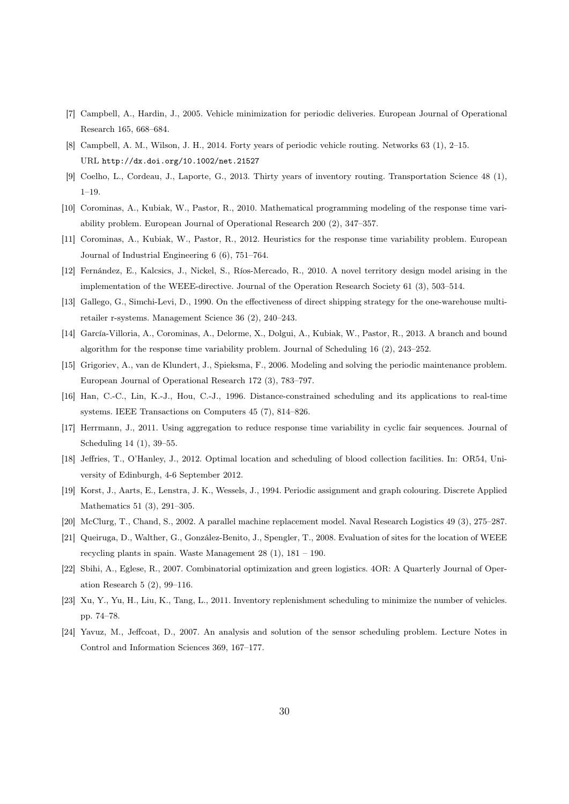- [7] Campbell, A., Hardin, J., 2005. Vehicle minimization for periodic deliveries. European Journal of Operational Research 165, 668–684.
- [8] Campbell, A. M., Wilson, J. H., 2014. Forty years of periodic vehicle routing. Networks 63 (1), 2–15. URL http://dx.doi.org/10.1002/net.21527
- [9] Coelho, L., Cordeau, J., Laporte, G., 2013. Thirty years of inventory routing. Transportation Science 48 (1), 1–19.
- [10] Corominas, A., Kubiak, W., Pastor, R., 2010. Mathematical programming modeling of the response time variability problem. European Journal of Operational Research 200 (2), 347–357.
- [11] Corominas, A., Kubiak, W., Pastor, R., 2012. Heuristics for the response time variability problem. European Journal of Industrial Engineering 6 (6), 751–764.
- [12] Fernández, E., Kalcsics, J., Nickel, S., Ríos-Mercado, R., 2010. A novel territory design model arising in the implementation of the WEEE-directive. Journal of the Operation Research Society 61 (3), 503–514.
- [13] Gallego, G., Simchi-Levi, D., 1990. On the effectiveness of direct shipping strategy for the one-warehouse multiretailer r-systems. Management Science 36 (2), 240–243.
- [14] García-Villoria, A., Corominas, A., Delorme, X., Dolgui, A., Kubiak, W., Pastor, R., 2013. A branch and bound algorithm for the response time variability problem. Journal of Scheduling 16 (2), 243–252.
- [15] Grigoriev, A., van de Klundert, J., Spieksma, F., 2006. Modeling and solving the periodic maintenance problem. European Journal of Operational Research 172 (3), 783–797.
- [16] Han, C.-C., Lin, K.-J., Hou, C.-J., 1996. Distance-constrained scheduling and its applications to real-time systems. IEEE Transactions on Computers 45 (7), 814–826.
- [17] Herrmann, J., 2011. Using aggregation to reduce response time variability in cyclic fair sequences. Journal of Scheduling 14 (1), 39–55.
- [18] Jeffries, T., O'Hanley, J., 2012. Optimal location and scheduling of blood collection facilities. In: OR54, University of Edinburgh, 4-6 September 2012.
- [19] Korst, J., Aarts, E., Lenstra, J. K., Wessels, J., 1994. Periodic assignment and graph colouring. Discrete Applied Mathematics 51 (3), 291–305.
- [20] McClurg, T., Chand, S., 2002. A parallel machine replacement model. Naval Research Logistics 49 (3), 275–287.
- [21] Queiruga, D., Walther, G., González-Benito, J., Spengler, T., 2008. Evaluation of sites for the location of WEEE recycling plants in spain. Waste Management 28 (1), 181 – 190.
- [22] Sbihi, A., Eglese, R., 2007. Combinatorial optimization and green logistics. 4OR: A Quarterly Journal of Operation Research 5 (2), 99–116.
- [23] Xu, Y., Yu, H., Liu, K., Tang, L., 2011. Inventory replenishment scheduling to minimize the number of vehicles. pp. 74–78.
- [24] Yavuz, M., Jeffcoat, D., 2007. An analysis and solution of the sensor scheduling problem. Lecture Notes in Control and Information Sciences 369, 167–177.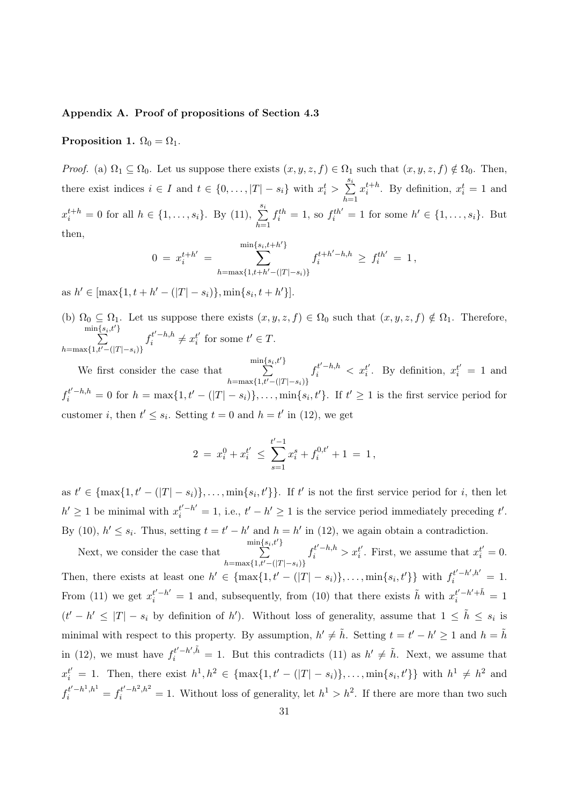#### Appendix A. Proof of propositions of Section 4.3

Proposition 1.  $\Omega_0 = \Omega_1$ .

*Proof.* (a)  $\Omega_1 \subseteq \Omega_0$ . Let us suppose there exists  $(x, y, z, f) \in \Omega_1$  such that  $(x, y, z, f) \notin \Omega_0$ . Then, there exist indices  $i \in I$  and  $t \in \{0, \ldots, |T| - s_i\}$  with  $x_i^t > \sum_{i=1}^{s_i}$  $h=1$  $x_i^{t+h}$ . By definition,  $x_i^t = 1$  and  $x_i^{t+h} = 0$  for all  $h \in \{1, ..., s_i\}$ . By (11),  $\sum_{h=1}^{s_i}$  $f_i^{th} = 1$ , so  $f_i^{th'} = 1$  for some  $h' \in \{1, ..., s_i\}$ . But then,

$$
0 = x_i^{t+h'} = \sum_{h=\max\{1,t+h'-(|T|-s_i)\}}^{\min\{s_i,t+h'\}} f_i^{t+h'-h,h} \ge f_i^{th'} = 1,
$$

as  $h' \in [\max\{1, t + h' - (|T| - s_i)\}, \min\{s_i, t + h'\}].$ 

(b)  $\Omega_0 \subseteq \Omega_1$ . Let us suppose there exists  $(x, y, z, f) \in \Omega_0$  such that  $(x, y, z, f) \notin \Omega_1$ . Therefore,  $\min\{s_i,t'$  $\sum$ }  $h=\max\{1,t'-(|T|-s_i)\}\$  $f_i^{t'-h,h}$  $x_i^{t'-h,h} \neq x_i^{t'}$  $t_i'$  for some  $t' \in T$ .

We first consider the case that  $\min\{s_i,t'$  $\sum$ }  $h=\max\{1,t'-(|T|-s_i)\}$  $f_i^{t'-h,h} < x_i^{t'}$  $t_i'$ . By definition,  $x_i^{t'} = 1$  and  $f_i^{t'-h,h} = 0$  for  $h = \max\{1, t' - (|T| - s_i)\}, \ldots, \min\{s_i, t'\}.$  If  $t' \geq 1$  is the first service period for customer *i*, then  $t' \leq s_i$ . Setting  $t = 0$  and  $h = t'$  in (12), we get

$$
2 = x_i^0 + x_i^{t'} \le \sum_{s=1}^{t'-1} x_i^s + f_i^{0,t'} + 1 = 1,
$$

as  $t' \in \{\max\{1, t' - (|T| - s_i)\}, \ldots, \min\{s_i, t'\}\}\.$  If t' is not the first service period for i, then let  $h' \geq 1$  be minimal with  $x_i^{t'-h'} = 1$ , i.e.,  $t' - h' \geq 1$  is the service period immediately preceding t'. By (10),  $h' \leq s_i$ . Thus, setting  $t = t' - h'$  and  $h = h'$  in (12), we again obtain a contradiction.

Next, we consider the case that  $\min\{s_i,t'$  $\sum$ }  $h=\max\{1,t'-(|T|-s_i)\}$  $f_i^{t'-h,h} > x_i^{t'}$  $i'$ . First, we assume that  $x_i^{t'} = 0$ . Then, there exists at least one  $h' \in \{\max\{1, t' - (|T| - s_i)\}, \ldots, \min\{s_i, t'\}\}\$  with  $f_i^{t'-h',h'} = 1$ . From (11) we get  $x_i^{t'-h'} = 1$  and, subsequently, from (10) that there exists  $\tilde{h}$  with  $x_i^{t'-h'+\tilde{h}} = 1$  $(t'-h' \leq |T|-s_i$  by definition of h'). Without loss of generality, assume that  $1 \leq \tilde{h} \leq s_i$  is minimal with respect to this property. By assumption,  $h' \neq \tilde{h}$ . Setting  $t = t' - h' \geq 1$  and  $h = \tilde{h}$ in (12), we must have  $f_i^{t'-h',\tilde{h}} = 1$ . But this contradicts (11) as  $h' \neq \tilde{h}$ . Next, we assume that  $x_i^{t'} = 1$ . Then, there exist  $h^1, h^2 \in \{\max\{1, t' - (|T| - s_i)\}, \ldots, \min\{s_i, t'\}\}\$  with  $h^1 \neq h^2$  and  $f_i^{t'-h^1,h^1} = f_i^{t'-h^2,h^2} = 1$ . Without loss of generality, let  $h^1 > h^2$ . If there are more than two such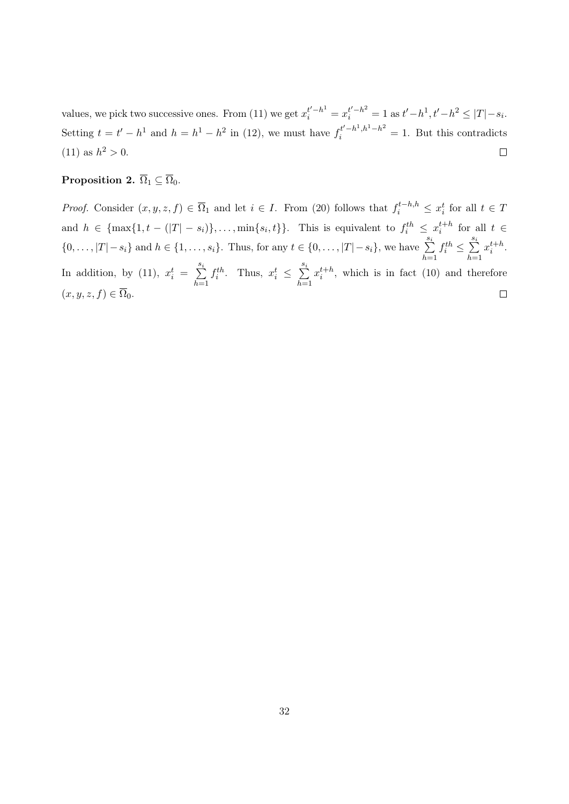values, we pick two successive ones. From (11) we get  $x_i^{t'-h^1} = x_i^{t'-h^2} = 1$  as  $t'-h^1, t'-h^2 \leq |T|-s_i$ . Setting  $t = t' - h^1$  and  $h = h^1 - h^2$  in (12), we must have  $f_i^{t'-h^1,h^1-h^2} = 1$ . But this contradicts (11) as  $h^2 > 0$ .  $\Box$ 

# Proposition 2.  $\overline{\Omega}_1 \subseteq \overline{\Omega}_0$ .

*Proof.* Consider  $(x, y, z, f) \in \overline{\Omega}_1$  and let  $i \in I$ . From (20) follows that  $f_i^{t-h,h} \leq x_i^t$  for all  $t \in T$ and  $h \in \{\max\{1, t - (|T| - s_i)\}, \ldots, \min\{s_i, t\}\}\.$  This is equivalent to  $f_i^{th} \leq x_i^{t+h}$  for all  $t \in$  $\{0, \ldots, |T| - s_i\}$  and  $h \in \{1, \ldots, s_i\}$ . Thus, for any  $t \in \{0, \ldots, |T| - s_i\}$ , we have  $\sum_{i=1}^{s_i}$  $f_i^{th} \leq \sum_{i=1}^{s_i}$  $x_i^{t+h}$ .  $h=1$  $h=1$ In addition, by (11),  $x_i^t = \sum_{i=1}^{s_i}$  $f_i^{th}$ . Thus,  $x_i^t \leq \sum_{i=1}^{s_i}$  $x_i^{t+h}$ , which is in fact (10) and therefore  $h=1$  $h=1$  $(x, y, z, f) \in \overline{\Omega}_0.$  $\Box$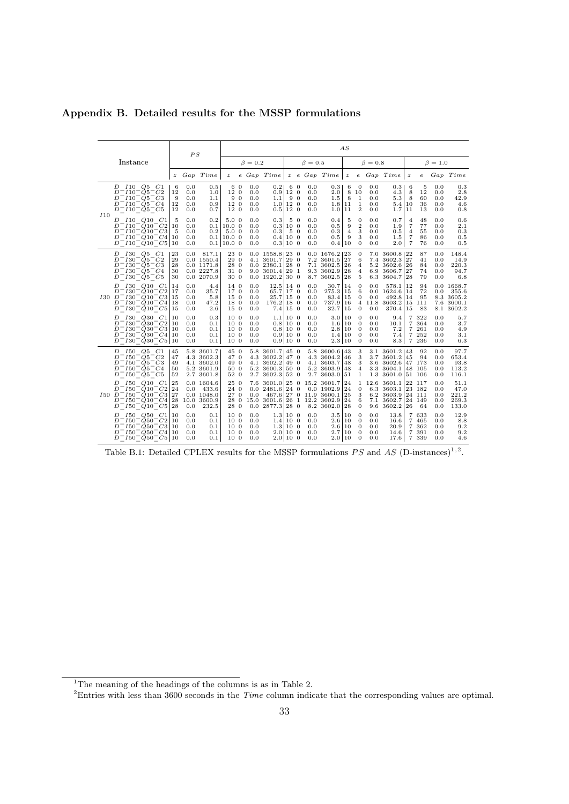|     |                                                                                                                                                                                                                                                               |                            | PS                              |                                                                    |                                                                                   |            |                                 |                                                                                   |                      |          |                                 |                                                                           | AS                            |                                                                      |                                 |                                                                            |                                                 |                                             |                                 |                                                           |
|-----|---------------------------------------------------------------------------------------------------------------------------------------------------------------------------------------------------------------------------------------------------------------|----------------------------|---------------------------------|--------------------------------------------------------------------|-----------------------------------------------------------------------------------|------------|---------------------------------|-----------------------------------------------------------------------------------|----------------------|----------|---------------------------------|---------------------------------------------------------------------------|-------------------------------|----------------------------------------------------------------------|---------------------------------|----------------------------------------------------------------------------|-------------------------------------------------|---------------------------------------------|---------------------------------|-----------------------------------------------------------|
|     | Instance                                                                                                                                                                                                                                                      |                            |                                 |                                                                    |                                                                                   |            | $\beta = 0.2$                   |                                                                                   |                      |          | $\beta = 0.5$                   |                                                                           |                               |                                                                      | $\beta=0.8$                     |                                                                            |                                                 |                                             | $\beta = 1.0$                   |                                                           |
|     |                                                                                                                                                                                                                                                               | $\boldsymbol{z}$           |                                 | Gap Time                                                           | $\boldsymbol{z}$                                                                  |            |                                 | e Gap Time                                                                        |                      |          |                                 | z e Gap Time                                                              | $\boldsymbol{z}$              |                                                                      |                                 | e Gap Time                                                                 | $\boldsymbol{z}$                                | $\epsilon$                                  |                                 | Gap Time                                                  |
| I10 | $D$ $I10$ $Q5$ $C1$<br>$D^-I10^-Q5^-C2$<br>$D^-I10^-O5^-C3$<br>$D^-I10^-Q5^-C4$<br>$D^-I10^-Q5^-C5$                                                                                                                                                           | 6<br>12<br>9<br>12<br>12   | 0.0<br>0.0<br>0.0<br>0.0<br>0.0 | 0.5<br>1.0<br>1.1<br>0.9<br>0.7                                    | 12 <sub>0</sub><br>12 <sub>0</sub><br>12 0                                        | 6 0<br>9 0 | 0.0<br>0.0<br>0.0<br>0.0<br>0.0 | 0.21<br>0.9 <sub>1</sub><br>1.1<br>1.0 <sub>1</sub><br>$0.5112$ 0                 | 6 0<br>12 0<br>12 0  | 9 0      | 0.0<br>0.0<br>0.0<br>0.0<br>0.0 | 0.31<br>2.0<br>1.5<br>1.8<br>1.0                                          | 6<br>8<br>8<br> 11<br>11      | $\mathbf{0}$<br>10<br>1<br>$\mathbf{1}$<br>$\overline{2}$            | 0.0<br>0.0<br>0.0<br>0.0<br>0.0 | 0.31<br>4.3<br>5.3<br>5.4<br>1.7                                           | 6<br>8<br>8<br>10<br>11                         | 5<br>12<br>60<br>36<br>13                   | 0.0<br>0.0<br>0.0<br>0.0<br>0.0 | 0.3<br>2.8<br>42.9<br>4.6<br>0.8                          |
|     | $D$ $I10$ $Q10$ $C1$<br>$D^-I10^-Q10^-C2$<br>$D^-I10^-Q10^-C3$<br>$D^-I10^-Q10^-C4$  10<br>$D^-I10^-Q10^-C5 10$                                                                                                                                               | -5<br>10<br>-5             | 0.0<br>0.0<br>0.0<br>0.0<br>0.0 | 0.2<br>0.1<br>0.2                                                  | 5.0 <sub>0</sub><br>$10.0 \text{ } 0$<br>$5.0\;0$<br>$0.1110.0$ 0<br>0.1   10.0 0 |            | 0.0<br>0.0<br>0.0<br>0.0<br>0.0 | 0.3<br>0.3 <sub>1</sub><br>0.3<br>0.4 100<br>0.3 100                              | 5 0<br>10 0<br>5 0   |          | 0.0<br>0.0<br>0.0<br>0.0<br>0.0 | 0.4<br>0.5<br>0.3<br>0.5<br>0.4 10                                        | 5<br>9<br>$\overline{4}$<br>9 | $\theta$<br>$\mathbf{2}$<br>3<br>3<br>$\mathbf{0}$                   | 0.0<br>0.0<br>0.0<br>0.0<br>0.0 | 0.7<br>1.9<br>0.5<br>1.5<br>2.0                                            | $\overline{4}$<br>7<br>$\overline{4}$<br>7<br>7 | 48<br>77<br>55<br>86<br>76                  | 0.0<br>0.0<br>0.0<br>0.0<br>0.0 | 0.6<br>2.1<br>0.3<br>0.5<br>0.5                           |
|     | D 130 Q5 C1<br>$D^-$ 130 <sup>-</sup> $Q5$ <sup>-</sup> $C2$<br>$D^-$ <i>I</i> 30 <sup>-</sup> $Q$ 5 <sup>-</sup> $C$ 3<br>$D^-$ <i>I</i> 30 <sup>-</sup> Q <sub>5</sub> <sup>-</sup> C <sub>4</sub><br>$D^-$ <i>1</i> 30 <sup>-</sup> $Q5$ <sup>-</sup> $C5$ | 23<br>29<br>28<br>30<br>30 | $0.0^{\circ}$                   | 817.1<br>0.0 1550.4<br>0.01171.8<br>0.02227.8<br>0.0 2070.9        | 23 0<br>29 0<br>28 0<br>31 0<br>30 0                                              |            | 4.1                             | $0.0$ 1558.8123 0<br>$3601.7$ 29 0<br>0.02380.11280<br>9.0 3601.4<br>$0.0$ 1920.2 | 29<br>30 0           | -1       |                                 | $0.0$ 1676.2   23<br>7.2 3601.5<br>7.1 3602.5<br>9.3 3602.9<br>8.7 3602.5 | 27<br>26<br> 28<br>28         | $\theta$<br>6<br>$\overline{4}$<br>$\overline{4}$<br>5               |                                 | 7.0 3600.8   22<br>7.4 3602.3 27<br>5.2 3602.6<br>6.9 3606.7<br>6.3 3604.7 | 26<br>27<br>28                                  | 87<br>41<br>84<br>74<br>79                  | 0.0<br>0.0<br>0.0<br>0.0<br>0.0 | 148.4<br>14.9<br>220.3<br>94.7<br>6.8                     |
|     | <i>I</i> 30 <i>Q</i> 10 <i>C</i> 1<br>D<br>$D^- I 30^- Q 10^- C 2$<br>$I30\,D^-I30^-Q10^-C3$<br>$D^- I 30^- Q 10^- C 4$<br>$D^-$ <i>I</i> 30 <sup>-</sup> <i>Q</i> 10 <sup>-</sup> <i>C</i> 5                                                                 | 14<br>17<br>15<br>18<br>15 | 0.0<br>0.0<br>0.0<br>0.0<br>0.0 | 4.4<br>35.7<br>5.8<br>47.2<br>2.6                                  | 14 0<br>17 0<br>15 <sub>0</sub><br>18 0<br>15 <sub>0</sub>                        |            | 0.0<br>0.0<br>0.0<br>0.0<br>0.0 | 12.5 140<br>65.7<br>25.7<br>176.2<br>$7.4 15$ 0                                   | 17 0<br>15 0<br>18 0 |          | 0.0<br>0.0<br>0.0<br>0.0<br>0.0 | 30.7<br>275.3   15<br>83.4<br>737.9<br>32.7                               | 14<br>  15<br>16<br>15        | $\theta$<br>6<br>$\mathbf{0}$<br>$\overline{4}$<br>$\mathbf{0}$      | 0.0<br>0.0<br>11.8<br>0.0       | 578.1<br>0.01624.6<br>492.8<br>3603.2<br>370.4                             | 12<br>14<br>14<br>15                            | 94<br>72<br>95<br>15 111<br>83              | 0.0<br>0.0                      | 1668.7<br>355.6<br>8.3 3605.2<br>7.6 3600.1<br>8.1 3602.2 |
|     | D 130 Q30 C1<br>$D^-$ <i>I</i> 30 <sup>-</sup> <i>Q</i> 30 <sup>-</sup> <i>C</i> 2<br>$D^-$ I30 <sup>-</sup> Q30 <sup>-</sup> C3 10<br>$D^-$ I30 <sup>-</sup> Q30 <sup>-</sup> C4<br>$D^-$ I30 <sup>-</sup> Q30 <sup>-</sup> C5 10                            | 10<br>110<br>10            | 0.0<br>0.0<br>0.0<br>0.0<br>0.0 | 0.3<br>0.1<br>0.1<br>0.1<br>0.1                                    | 10 <sub>0</sub><br>10 0<br>10 0<br>10 0<br>10 0                                   |            | 0.0<br>0.0<br>0.0<br>0.0<br>0.0 | 1.1 100<br>0.8 100<br>0.8 100<br>0.9 100<br>0.9 100                               |                      |          | 0.0<br>0.0<br>0.0<br>0.0<br>0.0 | 3.0<br>1.6 10<br>2.8 10<br>1.4 10<br>2.3 10                               | $\frac{1}{0}$                 | $\theta$<br>$\mathbf{0}$<br>$\theta$<br>$\mathbf{0}$<br>$\mathbf{0}$ | 0.0<br>0.0<br>0.0<br>0.0<br>0.0 | 9.4<br>10.1<br>7.2<br>7.4<br>8.3                                           | $\overline{7}$<br>7<br>$\overline{7}$           | 322<br>364<br>261<br>7 252<br>7 236         | 0.0<br>0.0<br>0.0<br>0.0<br>0.0 | 5.7<br>3.7<br>4.9<br>3.1<br>6.3                           |
|     | <i>I</i> 50 <i>Q</i> 5 <i>C</i> 1<br>D<br>$D^- I 50^- Q 5^- C2$<br>$D^- I 50^- Q 5^- C 3$<br>$D^- I_{50}^- O_5^- C_4$<br>$D^- I 50^- Q 5^- C 5$                                                                                                               | 45<br>47<br>49<br>50<br>52 |                                 | 5.8 3601.7<br>4.3 3602.3<br>4.1 3602.0<br>5.2 3601.9<br>2.7 3601.8 | 45 0<br>47 0<br>49 0<br>50 0<br>52 0                                              |            | 4.1<br>5.2<br>2.7               | 5.8 3601.7   45 0<br>4.3 $3602.2$<br>3602.2<br>3600.3<br>$3602.3152$ 0            | 47 0<br>49 0<br>50 0 |          | 5.2<br>2.7                      | 5.8 3600.6   43<br>4.3 3604.2<br>4.1 3603.7<br>3603.9<br>3603.0           | 146<br>48<br>48<br>51         | 3<br>3<br>3<br>$\overline{4}$<br>1                                   | 3.7                             | $3.1$ $3601.2$   43<br>3601.2<br>3.6 3602.6<br>3.3 3604.1<br>1.3 3601.0    | 45                                              | 92<br>94<br>47 173<br>48 105<br>51 106      | 0.0<br>0.0<br>0.0<br>0.0<br>0.0 | 97.7<br>653.4<br>93.8<br>113.2<br>116.1                   |
|     | D 150 Q10 C1<br>$D^- I 50^- Q 10^- C2$<br>$I50 \ D^- I50^- O10^- C3$<br>$D^- I 50^- Q 10^- C 4$<br>$D^- I 50^- Q 10^- C 5$                                                                                                                                    | 25<br>24<br>27<br>28<br>28 | 0.0<br>0.0                      | 0.01604.6<br>433.6<br>0.01048.0<br>10.0 3600.9<br>232.5            | 250<br>24 0<br>27 0<br>28 0<br>28 0                                               |            | 0.0<br>0.0                      | 7.6 3601.0<br>2481.6<br>15.0 3601.6 26 1 12.2 3602.9<br>0.02877.31280             | 24                   | $\Omega$ |                                 | 25 0 15.2 3601.7<br>0.01902.9<br>467.6 27 0 11.9 3600.1 25<br>8.2 3602.0  | 24<br> 24<br>24<br> 28        | $\mathbf{0}$<br>3<br>6<br>$\mathbf{0}$                               |                                 | 1 12.6 3601.1<br>6.3 3603.1<br>6.2 3603.9<br>7.1 3602.7<br>9.6 3602.2      | 26                                              | 22 117<br>23 182<br>24 111<br>24 149<br>-64 | 0.0<br>0.0<br>0.0<br>0.0<br>0.0 | 51.1<br>47.0<br>221.2<br>269.3<br>133.0                   |
|     | <i>I</i> 50 <i>Q</i> 50 <i>C</i> 1<br>D<br>$D^- I 50^- Q 50^- C2$<br>D<br>$\left \lceil \frac{150}{250} \right \rceil \text{C3} \left \lceil \frac{10}{250} \right \rceil$<br>$D^- I 50^- Q 50^- C 4   10$<br>$D^-$ I50 <sup>-</sup> Q50 <sup>-</sup> C5 10   | 10<br>10                   | 0.0<br>0.0<br>0.0<br>0.0<br>0.0 | 0.1<br>0.1<br>0.1<br>0.1<br>0.1                                    | 10 0<br>10 0<br>10 0<br>10 0<br>10 0                                              |            | 0.0<br>0.0<br>0.0<br>0.0<br>0.0 | 1.3 100<br>1.4 100<br>$1.3110$ 0<br>2.0 100<br>2.0 100                            |                      |          | 0.0<br>0.0<br>0.0<br>0.0<br>0.0 | 3.5 10<br>2.6<br>2.6110<br>2.7 10<br>2.0   10                             | $\frac{1}{0}$                 | $\theta$<br>$\theta$<br>$\theta$<br>$\Omega$<br>$\Omega$             | 0.0<br>0.0<br>0.0<br>0.0<br>0.0 | 13.8<br>16.6<br>20.9<br>14.6<br>17.6                                       | 7<br>7                                          | 633<br>7 465<br>7 362<br>391<br>7 339       | 0.0<br>0.0<br>0.0<br>0.0<br>0.0 | 12.9<br>8.8<br>9.2<br>9.2<br>4.6                          |

Appendix B. Detailed results for the MSSP formulations

Table B.1: Detailed CPLEX results for the MSSP formulations  $PS$  and  $AS$  (D-instances)<sup>1,2</sup>.

 $1$ <sup>1</sup>The meaning of the headings of the columns is as in Table 2.

<sup>&</sup>lt;sup>2</sup>Entries with less than 3600 seconds in the *Time* column indicate that the corresponding values are optimal.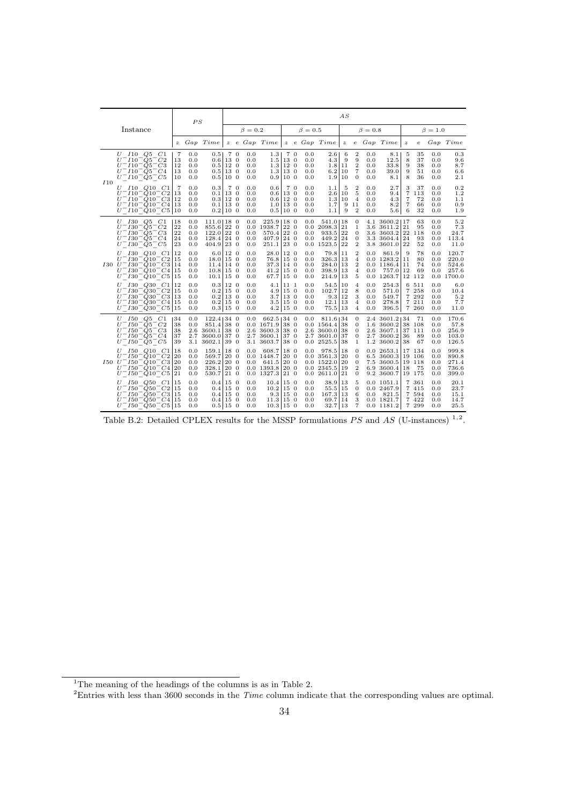|     |                                                                                                                                                                                             |                            | PS                              |                                                    |                                                    |                                  |                                      |                                                              |                                         |     |                                 |                                                                                     | AS                |                                                                                      |                                 |                                                                                     |                                                                 |                                             |                                 |                                            |
|-----|---------------------------------------------------------------------------------------------------------------------------------------------------------------------------------------------|----------------------------|---------------------------------|----------------------------------------------------|----------------------------------------------------|----------------------------------|--------------------------------------|--------------------------------------------------------------|-----------------------------------------|-----|---------------------------------|-------------------------------------------------------------------------------------|-------------------|--------------------------------------------------------------------------------------|---------------------------------|-------------------------------------------------------------------------------------|-----------------------------------------------------------------|---------------------------------------------|---------------------------------|--------------------------------------------|
|     | Instance                                                                                                                                                                                    |                            |                                 |                                                    |                                                    |                                  | $\beta = 0.2$                        |                                                              |                                         |     | $\beta = 0.5$                   |                                                                                     |                   |                                                                                      | $\beta=0.8$                     |                                                                                     |                                                                 |                                             | $\beta = 1.0$                   |                                            |
|     |                                                                                                                                                                                             |                            |                                 | z Gap Time                                         |                                                    |                                  |                                      | $z$ e Gap Time                                               |                                         |     |                                 | $z$ e $Gap$ $Time$                                                                  | $\boldsymbol{z}$  |                                                                                      |                                 | e Gap Time                                                                          | $\boldsymbol{z}$                                                | $\boldsymbol{e}$                            |                                 | Gap Time                                   |
|     | $U$ $I10$ $O5$ $C1$<br>$U^- I 10^- Q 5^- C 2$<br>$U^- I 10^- Q 5^- C 3$<br>$U^- I 10^- Q 5^- C 4$<br>$U^-I10^-Q5^-C5$                                                                       | 7<br>13<br>12<br>13<br>10  | 0.0<br>0.0<br>0.0<br>0.0<br>0.0 | 0.5<br>0.6<br>0.5<br>0.5<br>0.5                    | 13 0<br>12 <sub>0</sub><br>13 0<br>10 <sub>0</sub> | 70                               | 0.0<br>0.0<br>0.0<br>0.0<br>0.0      | 1.3<br>1.5<br>1.3<br>1.3<br>0.9                              | 13 0<br>12 <sub>0</sub><br>13 0<br>10 0 | 7 0 | 0.0<br>0.0<br>0.0<br>0.0<br>0.0 | $2.6\,$<br>4.3<br>1.8 11<br>6.2 10<br>1.9                                           | 6<br>9<br>10      | $\overline{2}$<br>9<br>$\overline{2}$<br>$\scriptstyle{7}$<br>$\mathbf{0}$           | 0.0<br>0.0<br>0.0<br>0.0<br>0.0 | 8.1<br>12.5<br>33.8<br>39.0<br>8.1                                                  | 5<br>8<br>9<br>9<br>8                                           | 35<br>37<br>38<br>51<br>36                  | 0.0<br>0.0<br>0.0<br>0.0<br>0.0 | 0.3<br>9.6<br>8.7<br>6.6<br>2.1            |
| I10 | $U$ $I10$ $Q10$ $C1$<br>$U^- I 10^- Q 10^- C 2$<br>$U^-I10^-Q10^-C3$  12<br>$U^-I10^-Q10^-C4$<br>$U^-I10^-Q10^-C5$  10                                                                      | 7<br>13<br>13              | 0.0<br>0.0<br>0.0<br>0.0<br>0.0 | 0.3<br>0.1<br>0.3<br>$0.1$  13 0<br>0.2 100        | 13 0<br>12 0                                       | 70                               | 0.0<br>0.0<br>0.0<br>0.0<br>0.0      | 0.6<br>0.6<br>$0.6$ 12 0<br>$1.0$   13 0<br>0.5 100          | 13 0                                    | 7 0 | 0.0<br>0.0<br>0.0<br>0.0<br>0.0 | 1.1<br>2.6<br>1.3 10<br>1.7<br>1.1                                                  | 5<br>10<br>9<br>9 | $\mathbf{2}$<br>5<br>$\overline{4}$<br>11<br>$\overline{2}$                          | 0.0<br>0.0<br>0.0<br>0.0<br>0.0 | 2.7<br>9.4<br>4.3<br>8.2<br>5.6                                                     | 3<br>$\overline{7}$<br>$\overline{7}$<br>$\scriptstyle{7}$<br>6 | 37<br>113<br>72<br>66<br>32                 | 0.0<br>0.0<br>0.0<br>0.0<br>0.0 | 0.2<br>1.2<br>1.1<br>0.9<br>1.9            |
|     | $U$ $I30$ $Q5$ $C1$<br>$^-$ 130 $^-$ Q5 $^-$ C2<br>U<br>$U^- I 30^- Q 5^- C 3$<br>$U^- I 30^- Q 5^- C 4$<br>$U^- I 30^- Q 5^- C 5$                                                          | 18<br>22<br>22<br>24<br>23 | 0.0<br>0.0<br>0.0<br>0.0<br>0.0 | $111.0$   18 0<br>855.6<br>122.0<br>128.4<br>404.9 | 22 0<br>22 0<br>24 0<br>23 0                       |                                  | $_{0.0}$<br>0.0<br>0.0<br>0.0        | $225.9$   18 0<br>0.0 1938.7<br>570.4<br>407.9<br>251.1      | 22 0<br>22 0<br>24 0<br>23 0            |     | 0.0<br>0.0<br>0.0<br>0.0        | 541.0 18<br>2098.3 21<br>$933.5$ 22<br>449.2 24<br>$0.0$ 1523.5 22                  |                   | $\mathbf{0}$<br>$\mathbf{1}$<br>$\mathbf{0}$<br>$\boldsymbol{0}$<br>$\boldsymbol{2}$ |                                 | $4.1$ 3600.2   17<br>3.6 3611.2<br>3.6 3603.2 22 118<br>3.3 3604.4 24<br>3.8 3601.0 | 21<br>22                                                        | 63<br>95<br>93<br>52                        | 0.0<br>0.0<br>0.0<br>0.0<br>0.0 | 5.2<br>7.3<br>24.7<br>113.4<br>11.0        |
|     | $U$ $I30$ $Q10$ $C1$<br>$U^- I 30^- Q 10^- C 2$<br>$I30 \; U^- I30^- Q10^- C3$  14<br>$U^- I 30^- \dot{Q} 10^- C4$<br>$U^- I 30^- Q 10^- C5$                                                | 12<br>15<br>15<br>15       | 0.0<br>0.0<br>0.0<br>0.0<br>0.0 | 6.0<br>18.0<br>11.4<br>10.8<br>10.1                | 12 0<br>15 0<br>14 0<br>150<br>15 0                |                                  | 0.0<br>0.0<br>0.0<br>0.0<br>0.0      | 28.0<br>76.8<br>$37.3 \mid 14 \mid 0$<br>41.2<br>67.7        | 12 0<br>15 0<br>15 0<br>15 0            |     | 0.0<br>0.0<br>0.0<br>0.0<br>0.0 | 79.8   11<br>326.3 13<br>$284.0$   13<br>398.9 13<br>$214.9$  13                    |                   | $\mathbf{2}$<br>$\overline{4}$<br>$\boldsymbol{2}$<br>4<br>5                         | 0.0<br>0.0                      | 861.9<br>$0.0$ 1283.2<br>$0.0$ 1186.4   11<br>757.0<br>$0.0$ 1263.7                 | 9<br>11<br>12                                                   | 78<br>80<br>74<br>69<br>12 112              | 0.0<br>0.0<br>0.0<br>0.0<br>0.0 | 120.7<br>220.0<br>524.6<br>257.6<br>1700.0 |
|     | <i>I</i> 30 <i>Q</i> 30<br>C1<br>U<br>$U^- I 30^- Q 30^- C 2$<br>$^-$ I30 <sup>-</sup> Q30 <sup>-</sup> C3 13<br>U<br>$U^- I 30^- Q 30^- C 4$  15<br>$U^- I30^- Q30^- C5$  15               | 12<br>15                   | 0.0<br>0.0<br>0.0<br>0.0<br>0.0 | $0.3$ 12 0<br>0.2<br>0.2<br>$0.2 15$ 0<br>0.3 150  | 15 0<br>13 0                                       |                                  | 0.0<br>0.0<br>0.0<br>0.0<br>0.0      | 4.1<br>4.9<br>3.7 <sup>1</sup><br>3.5 150<br>$4.2$ 15 0      | 11 <sub>1</sub><br>15 0<br>13 0         |     | 0.0<br>0.0<br>0.0<br>0.0<br>0.0 | 54.5 10<br>$102.7$   12<br>9.3 12<br>12.1 13<br>75.5 13                             |                   | $\overline{4}$<br>8<br>3<br>4<br>$\overline{4}$                                      | 0.0<br>0.0<br>0.0<br>0.0<br>0.0 | 254.3<br>571.0<br>549.7<br>278.8<br>396.5                                           |                                                                 | 6 511<br>7 258<br>7 292<br>7 211<br>7 260   | 0.0<br>0.0<br>0.0<br>0.0<br>0.0 | 6.0<br>10.4<br>5.2<br>7.7<br>11.0          |
|     | $U$ 150 $Q5$ $C1$<br>$^-$ 150 $^-$ Q5 $^-$ C2<br>U<br>$U^- I 50^- Q 5^- C 3$<br>$U^- I 50^- O 5^- C 4$<br>$U^- I50^- \tilde{Q}5^- C5$                                                       | 34<br>38<br>38<br>37<br>39 | 0.0<br>0.0<br>2.7<br>3.1        | 122.4<br>851.4<br>2.6 3600.1<br>3600.0<br>3602.1   | 34 0<br>38 0<br>38<br>37 0<br>39                   | $\overline{0}$<br>$\overline{0}$ | $_{0.0}$<br>$2.7^{\circ}$<br>$3.1\,$ | $662.5$ 34 0<br>0.0 1671.9<br>2.6 3600.3<br>3600.1<br>3603.7 | 38 0<br>38 0<br>37 0<br>38 0            |     | 0.0<br>0.0                      | 811.6   34<br>$0.0$ 1564.4   38<br>$2.6$ 3600.0 38<br>2.7 3601.0 37<br>$2525.5$ 38  |                   | $\mathbf{0}$<br>$\mathbf{0}$<br>$\mathbf{0}$<br>$\mathbf{0}$<br>1                    | 2.7<br>1.2                      | 2.4 3601.2 34<br>1.6 3600.2<br>2.6 3607.1<br>3600.2<br>3600.2                       | 36<br>38                                                        | 71<br>38 108<br>37 111<br>89<br>67          | 0.0<br>0.0<br>0.0<br>0.0<br>0.0 | 170.6<br>57.8<br>256.9<br>103.0<br>126.5   |
|     | I50Q10C1<br>U<br>U<br>$^-$ 150 $^-$ Q10 $^-$ C2 <br>$I50 \, U^- I50^- Q10^- C3$  20<br>$U^- I 50^- Q 10^- C 4$<br>$T150^-Q10^-C5$ 21<br>U                                                   | 18<br>20<br>20             | 0.0<br>0.0<br>0.0<br>0.0<br>0.0 | 159.1<br>569.7<br>226.2<br>328.1<br>530.7          | 18 0<br>$20\quad0$<br>20 0<br>20 0<br>$21\quad0$   |                                  | $_{0.0}$<br>0.0                      | 608.7<br>0.0 1448.7<br>641.5<br>$0.0$ 1393.8<br>$0.0$ 1327.3 | 18 0<br>20 0<br>20 0<br>20 0<br>21 0    |     | 0.0                             | 978.5 18<br>$0.0$ 3561.3 20<br>$0.0$ 1522.0   20<br>$0.02345.5$  19<br>0.02611.0121 |                   | 0<br>$\mathbf{0}$<br>$\mathbf{0}$<br>$\boldsymbol{2}$<br>$\mathbf{0}$                |                                 | 0.02653.1<br>6.5 3600.3<br>7.5 3600.5<br>6.9 3600.4<br>9.2 3600.7                   | 18                                                              | 17 134<br>19 106<br>19 118<br>75<br>19 175  | 0.0<br>0.0<br>0.0<br>0.0<br>0.0 | 999.8<br>890.8<br>271.4<br>736.6<br>399.0  |
|     | <i>I</i> 50 <i>Q</i> 50<br>C1<br>U<br>$T150$ <sup>-</sup> Q50 <sup>-</sup> C2 15<br>U<br>$^-$ I50 $^-$ Q50 $^-$ C3 15<br>U<br>$^-$ I50 $^-$ Q50 $^-$ C4 15<br>U<br>$U^- I50^- Q50^- C5$  15 | 15                         | 0.0<br>0.0<br>0.0<br>0.0<br>0.0 | 0.4<br>0.4<br>0.4<br>0.4<br>0.5 150                | 15 0<br>15 <sub>0</sub><br>15 0<br>15 0            |                                  | 0.0<br>0.0<br>0.0<br>0.0<br>0.0      | 10.4<br>10.2<br>9.3<br>11.3 150<br>$10.3 15$ 0               | 15 0<br>15 0<br>15 0                    |     | 0.0<br>0.0<br>0.0<br>0.0<br>0.0 | 38.9 13<br>$55.5$   15<br>167.3 13<br>69.7   14<br>32.7 13                          |                   | 5<br>$\mathbf{0}$<br>6<br>3<br>$\overline{7}$                                        | 0.0                             | $0.0$ 1051.1<br>0.0 2467.9<br>821.5<br>0.01821.7<br>0.0 1181.2                      | $\overline{7}$                                                  | 361<br>7 415<br>7 5 9 4<br>7 4 2 2<br>7 299 | 0.0<br>0.0<br>0.0<br>0.0<br>0.0 | 20.1<br>23.7<br>15.1<br>14.7<br>25.5       |

Table B.2: Detailed CPLEX results for the MSSP formulations  $PS$  and AS (U-instances)  $1.2$ .

<sup>&</sup>lt;sup>1</sup>The meaning of the headings of the columns is as in Table 2.

<sup>&</sup>lt;sup>2</sup>Entries with less than 3600 seconds in the *Time* column indicate that the corresponding values are optimal.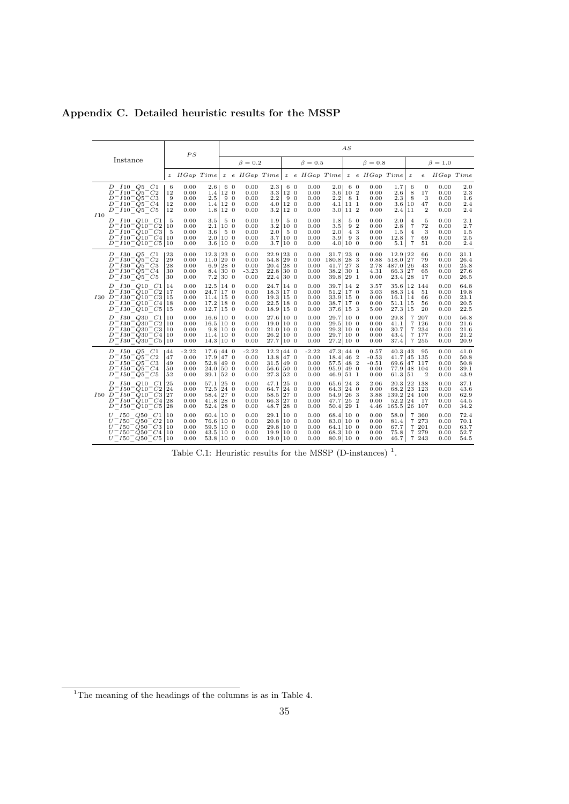|             |                                                                                                                                                                                                                                                                         |                            | PS                                      |                                                            |                                              |     |                                         |                                                                                  |                                      |            |                                         |                                                                        | AS                                       |                             |                                            |                                                             |                                                              |                                                 |                                      |                                      |
|-------------|-------------------------------------------------------------------------------------------------------------------------------------------------------------------------------------------------------------------------------------------------------------------------|----------------------------|-----------------------------------------|------------------------------------------------------------|----------------------------------------------|-----|-----------------------------------------|----------------------------------------------------------------------------------|--------------------------------------|------------|-----------------------------------------|------------------------------------------------------------------------|------------------------------------------|-----------------------------|--------------------------------------------|-------------------------------------------------------------|--------------------------------------------------------------|-------------------------------------------------|--------------------------------------|--------------------------------------|
|             | Instance                                                                                                                                                                                                                                                                |                            |                                         |                                                            |                                              |     | $\beta = 0.2$                           |                                                                                  |                                      |            | $\beta = 0.5$                           |                                                                        |                                          |                             | $\beta = 0.8$                              |                                                             |                                                              |                                                 | $\beta = 1.0$                        |                                      |
|             |                                                                                                                                                                                                                                                                         | $\boldsymbol{z}$           | $HGap$ $Time$                           |                                                            |                                              |     | $z$ e HGap Time                         |                                                                                  |                                      |            |                                         |                                                                        |                                          |                             | z e HGap Time   z e HGap Time   z          |                                                             |                                                              | $\boldsymbol{e}$                                | HGap Time                            |                                      |
| I10         | D 110 Q5 C1<br>$D^-I10^-Q5^-C2$<br>$D^-$ I10 <sup>-</sup> O5 <sup>-</sup> C3<br>$D^-I10^-Q5^-C4$<br>$D^-I10^-Q5^-C5$                                                                                                                                                    | 6<br>12<br>9<br>12<br>12   | 0.00<br>0.00<br>0.00<br>0.00<br>0.00    | 2.6<br>1.4 <sub>1</sub><br>$2.5\,$<br>1.4<br>1.8           | 6 0<br>12 0<br>90<br>12 0<br>12 <sub>0</sub> |     | 0.00<br>0.00<br>0.00<br>0.00<br>0.00    | 2.3 <sub>1</sub><br>3.3<br>$2.2\,$<br>4.0<br>$3.2\,$                             | 60<br>12 0<br>12 0<br>12 0           | 9 0        | 0.00<br>0.00<br>0.00<br>0.00<br>0.00    | 2.01<br>3.6 102<br>2.2                                                 | 6 0<br>8 1<br>$4.1$  11 1<br>$3.0$  11 2 |                             | 0.00<br>0.00<br>0.00<br>0.00<br>0.00       | 1.7<br>2.6<br>2.3<br>3.6 10<br>2.4 <sub>1</sub>             | 6<br>8<br>-8<br>11                                           | $\mathbf{0}$<br>17<br>3<br>47<br>$\overline{2}$ | 0.00<br>0.00<br>0.00<br>0.00<br>0.00 | 2.0<br>2.3<br>1.6<br>2.4<br>2.4      |
|             | $I10$ $Q10$ $C1$<br>D<br>$D^-I10^-Q10^-C2$<br>$D^-I10^-Q10^-C3$<br>$D^-I10^-Q10^-C4$<br>$D^-$ <i>I</i> 10 <sup>-</sup> $\dot{Q}$ 10 <sup>-</sup> C <sub>5</sub>  10                                                                                                     | 5<br>10<br>5<br>10         | 0.00<br>0.00<br>0.00<br>0.00<br>0.00    | $3.5\,$<br>2.1<br>3.6<br>$2.0110$ 0<br>3.6 100             | 10 <sub>0</sub><br>5 0                       | 5 0 | 0.00<br>0.00<br>0.00<br>0.00<br>0.00    | 1.9<br>$3.2\,$<br>2.0                                                            | 10 0<br>3.7 100<br>3.7 100           | 5 0<br>5 0 | 0.00<br>0.00<br>0.00<br>0.00<br>0.00    | 1.8<br>$3.5\,$<br>2.0<br>3.9<br>4.0 100                                |                                          | 5 0<br>9 2<br>$4\,3$<br>9 3 | 0.00<br>0.00<br>0.00<br>0.00<br>0.00       | 2.0<br>2.8<br>1.5<br>12.8<br>5.1                            | $\overline{4}$<br>$\overline{7}$<br>$\overline{4}$<br>7<br>7 | 5<br>72<br>3<br>69<br>51                        | 0.00<br>0.00<br>0.00<br>0.00<br>0.00 | 2.1<br>2.7<br>1.5<br>2.5<br>2.4      |
|             | D 130 Q5 C1<br>$D^-$ <i>I</i> 30 <sup>-</sup> $O5^-$ <i>C</i> 2<br>$D^-$ <i>1</i> 30 <sup>-</sup> $Q5^-$ <i>C</i> 3<br>$D^- I 30^- Q 5^- C 4$<br>$D^-$ <i>I</i> 30 <sup>-</sup> <i>Q</i> 5 <sup>-</sup> <i>C</i> 5                                                      | 23<br>29<br>28<br>30<br>30 | 0.00<br>0.00<br>0.00<br>0.00<br>0.00    | 12.3 230<br>$11.0$ 29 0<br>$6.9$   28 0<br>8.4<br>7.2      | 30 0<br>30 0                                 |     | 0.00<br>0.00<br>0.00<br>$-3.23$<br>0.00 | 22.9   23 0<br>54.8 290<br>$20.4$ 28 0<br>22.8<br>22.4                           | 30 0<br>30 0                         |            | 0.00<br>0.00<br>0.00<br>0.00<br>0.00    | $31.7$   23 0<br>180.8 28 3<br>$41.7$ 27 3<br>38.2 301<br>39.8 291     |                                          |                             | 0.00<br>0.88<br>2.78<br>4.31<br>0.00       | 12.9   22<br>518.0   27<br>487.0 26<br>66.3 27<br>23.4 28   |                                                              | 66<br>79<br>43<br>65<br>17                      | 0.00<br>0.00<br>0.00<br>0.00<br>0.00 | 31.1<br>26.4<br>25.8<br>27.6<br>26.5 |
| <i>I</i> 30 | <i>I</i> 30 <i>Q</i> 10 <i>C</i> 1<br>D<br>$D^-$ <i>I</i> 30 <sup>-</sup> Q10 <sup>-</sup> C2<br>$D^-$ <i>I</i> 30 <sup>-</sup> Q <sub>10</sub> <sup>-</sup> C <sub>3</sub><br>$D^-$ I30 <sup>-</sup> Q10 <sup>-</sup> C4<br>$D^-$ I30 <sup>-</sup> Q10 <sup>-</sup> C5 | 14<br>17<br>15<br>18<br>15 | 0.00<br>0.00<br>0.00<br>0.00<br>0.00    | 12.5<br>24.7<br>$11.4$   15 0<br>17.2<br>$12.7 15$ 0       | 14 0<br>17 0<br>18 0                         |     | 0.00<br>0.00<br>0.00<br>0.00<br>0.00    | 24.7<br>18.3<br>19.3 150<br>$22.5 18$ 0<br>$18.9$   15 0                         | 14 0<br>17 0                         |            | 0.00<br>0.00<br>0.00<br>0.00<br>0.00    | 39.7 142<br>$51.2$  17 0<br>$33.9 15$ 0<br>$38.7$  17 0<br>$37.6$ 15 3 |                                          |                             | 3.57<br>3.03<br>0.00<br>0.00<br>5.00       | 35.6 12<br>88.3 14<br>$16.1$   14<br>$51.1$  15<br>27.3 15  |                                                              | 144<br>51<br>66<br>56<br>20                     | 0.00<br>0.00<br>0.00<br>0.00<br>0.00 | 64.8<br>19.8<br>23.1<br>20.5<br>22.5 |
|             | <i>I</i> 30 <i>Q</i> 30 <i>C</i> 1<br>D<br>$D^-$ 130 <sup>-</sup> $O$ 30 <sup>-</sup> $C$ 2<br>$D^-$ I30 <sup>-</sup> Q30 <sup>-</sup> C3<br>$^-$ 130 $^-$ Q30 $^-$ C4 <br>D<br>$D^-$ I30 <sup>-</sup> Q30 <sup>-</sup> C5 10                                           | 10<br>10<br>10<br>10       | 0.00<br>0.00<br>0.00<br>0.00<br>0.00    | 16.6 100<br>16.5 100<br>9.8 100<br>$11.4$ 10 0<br>14.3 100 |                                              |     | 0.00<br>0.00<br>0.00<br>0.00<br>0.00    | 27.6 100<br>$19.0 \,   \, 10 \, 0$<br>$21.0 \,   \, 10 \, 0$<br>26.2<br>27.7 100 | 10 0                                 |            | 0.00<br>0.00<br>0.00<br>0.00<br>0.00    | 29.7 100<br>$29.5 \,   \, 10 \, 0$<br>29.3 100<br>29.7 100<br>27.2 100 |                                          |                             | 0.00<br>0.00<br>0.00<br>0.00<br>0.00       | 29.8<br>41.1<br>30.7<br>43.4<br>37.4                        | $\overline{7}$<br>7                                          | 207<br>126<br>7 234<br>7 177<br>7 255           | 0.00<br>0.00<br>0.00<br>0.00<br>0.00 | 56.8<br>21.6<br>21.6<br>21.2<br>20.9 |
|             | $D$ $I50$ $Q5$ $C1$<br>D 150 Q5 C2<br>$D^- I 50^- Q 5^- C 3$<br>$D^- I 50^- \dot{Q} 5^- C 4$<br>$D^- I 50^- Q 5^- C 5$                                                                                                                                                  | 44<br>47<br>49<br>50<br>52 | $-2.22$<br>0.00<br>0.00<br>0.00<br>0.00 | $17.6$   44 0<br>17.9<br>52.8<br>24.0 500<br>$39.1$ 52 0   | 47 0<br>49 0                                 |     | $-2.22$<br>0.00<br>0.00<br>0.00<br>0.00 | 12.21440<br>13.8<br>31.5<br>56.6<br>27.3                                         | 47 0<br>49 0<br>50 0<br>52 0         |            | $-2.22$<br>0.00<br>0.00<br>0.00<br>0.00 | $47.3144$ 0<br>18.4 462<br>57.5 48 2<br>95.9 49.0<br>$46.9$ 51 1       |                                          |                             | 0.57<br>$-0.53$<br>$-0.51$<br>0.00<br>0.00 | 40.3 43<br>41.7 45 135<br>69.6 47 117<br>77.9 48<br>61.3 51 |                                                              | 95<br>104<br>$\overline{\mathbf{2}}$            | 0.00<br>0.00<br>0.00<br>0.00<br>0.00 | 41.0<br>50.8<br>50.8<br>39.1<br>43.9 |
|             | D 150 Q10 C1<br>$^-$ 150 $^-$ Q10 $^-$ C2<br>D<br>$I50$ $D^ I50^ Q10^ C3$<br>$D^- I 50^- Q 10^- C 4$<br>$D^- I 50^- Q 10^- C5$                                                                                                                                          | 25<br>24<br>27<br>28<br>28 | 0.00<br>0.00<br>0.00<br>0.00<br>0.00    | $57.1$ 25 0<br>72.5 24 0<br>58.4 27 0<br>41.8<br>52.4 28 0 | 28 0                                         |     | 0.00<br>0.00<br>0.00<br>0.00<br>0.00    | 47.1<br>64.7<br>58.5<br>66.3<br>48.71                                            | 25 0<br>24 0<br>27 0<br>27 0<br>28 0 |            | 0.00<br>0.00<br>0.00<br>0.00<br>0.00    | 65.6 24.3<br>64.3 240<br>54.9 263<br>47.7   25 2<br>$50.4$ 29 1        |                                          |                             | 2.06<br>0.00<br>3.88<br>0.00<br>4.46       | 20.3<br>68.2 23 123<br>139.2<br>52.2<br>165.5 26 107        | 24                                                           | 22 138<br>24 100<br>17                          | 0.00<br>0.00<br>0.00<br>0.00<br>0.00 | 37.1<br>43.6<br>62.9<br>44.5<br>34.2 |
|             | $U$ $I50$ $Q50$ $C1$<br>$^-$ 150 $^-$ Q50 $^-$ C2<br>U<br>$U^- I 50^- Q 50^- C3$<br>$U^- I50^- O50^- C4$<br>$U^- I50^- Q50^- C5$  10                                                                                                                                    | 10<br>10<br>10<br>10       | 0.00<br>0.00<br>0.00<br>0.00<br>0.00    | 60.4 10 0<br>76.6 10 0<br>59.5 10 0<br>43.5<br>53.8 10 0   | 10 0                                         |     | 0.00<br>0.00<br>0.00<br>0.00<br>0.00    | 29.1<br>20.8 100<br>29.8 100<br>19.9 100<br>19.0 100                             | 10 0                                 |            | 0.00<br>0.00<br>0.00<br>0.00<br>0.00    | 68.4 100<br>83.0 100<br>64.1 100<br>68.3 100<br>80.9 100               |                                          |                             | 0.00<br>0.00<br>0.00<br>0.00<br>0.00       | 58.0<br>81.4<br>67.7<br>75.8<br>46.7                        | $\overline{7}$<br>7                                          | 360<br>7 273<br>201<br>7 279<br>7 243           | 0.00<br>0.00<br>0.00<br>0.00<br>0.00 | 72.4<br>70.1<br>63.7<br>52.7<br>54.5 |

Appendix C. Detailed heuristic results for the MSSP

Table C.1: Heuristic results for the MSSP (D-instances)<sup>1</sup>.

 $1$ <sup>1</sup>The meaning of the headings of the columns is as in Table 4.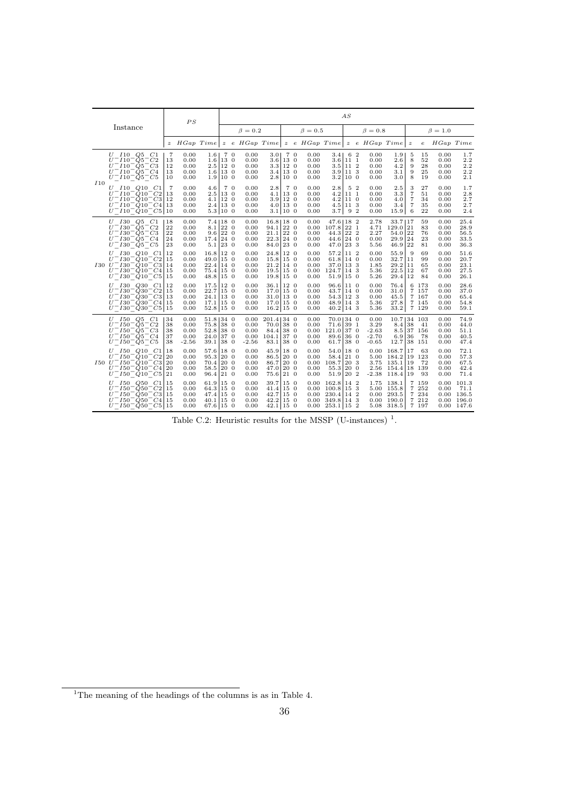|     |                                                                                                                                                                                                   |                            | PS                                      |                                                                           |                                      |                                         |                                                                               |      |                                      |                                                                                                    | AS                            |                                             |                                                               |                                                 |                                               |                                      |                                                 |
|-----|---------------------------------------------------------------------------------------------------------------------------------------------------------------------------------------------------|----------------------------|-----------------------------------------|---------------------------------------------------------------------------|--------------------------------------|-----------------------------------------|-------------------------------------------------------------------------------|------|--------------------------------------|----------------------------------------------------------------------------------------------------|-------------------------------|---------------------------------------------|---------------------------------------------------------------|-------------------------------------------------|-----------------------------------------------|--------------------------------------|-------------------------------------------------|
|     | Instance                                                                                                                                                                                          |                            |                                         |                                                                           |                                      | $\beta = 0.2$                           |                                                                               |      | $\beta = 0.5$                        |                                                                                                    |                               | $\beta=0.8$                                 |                                                               |                                                 |                                               | $\beta = 1.0$                        |                                                 |
|     |                                                                                                                                                                                                   | $\boldsymbol{z}$           | $HGap$ Time                             |                                                                           |                                      | $z$ e HGap Time                         |                                                                               |      |                                      |                                                                                                    |                               | $z$ e HGap Time $z$ e HGap Time             |                                                               | $\boldsymbol{z}$                                | $\epsilon$                                    | HGap Time                            |                                                 |
|     | $U$ $I10$ $Q5$ $C1$<br>$U^-I10^-Q5^-C2$<br>$U^-$ 110 <sup>-</sup> Q5 <sup>-</sup> C3<br>$U^-I10^-Q5^-C4$<br>$U^- I 10^- Q 5^- C 5$                                                                | 7<br>13<br>12<br>13<br>10  | 0.00<br>0.00<br>0.00<br>0.00<br>0.00    | 1.61<br>1.6 13.0                                                          | 70<br>2.5 120<br>1.6 13.0<br>1.9 100 | 0.00<br>0.00<br>0.00<br>0.00<br>0.00    | 3.01<br>3.6 13.0<br>$3.3 12$ 0<br>3.4 13.0<br>2.8 100                         | 70   | 0.00<br>0.00<br>0.00<br>0.00<br>0.00 | $3.4$   6 2<br>3.6 <sub>1</sub><br>$3.5$ 11 2<br>$3.9$  11 3<br>3.2 100                            | 11 1                          | 0.00<br>0.00<br>0.00<br>0.00<br>0.00        | 1.9<br>2.6<br>4.2<br>3.1<br>3.0                               | 5<br>8<br>9<br>9<br>8                           | 15<br>52<br>28<br>25<br>19                    | 0.00<br>0.00<br>0.00<br>0.00<br>0.00 | 1.7<br>2.2<br>2.2<br>2.2<br>2.1                 |
| I10 | $U$ $I10$ $Q10$ $C1$<br>$U^-I10^-Q10^-C2$<br>$U^-I10^-Q10^-C3$  12<br>$U^-I10^-Q10^-C4$<br>$U^-I10^-Q10^-C5 10$                                                                                   | 7<br>13<br>13              | 0.00<br>0.00<br>0.00<br>0.00<br>0.00    | 4.6<br>$2.5 \,   \, 13 \,   \, 0$<br>$4.1$   12 0<br>2.4 13.0<br>5.3 100  | 70                                   | 0.00<br>0.00<br>0.00<br>0.00<br>0.00    | $2.8\,$<br>$4.1 13$ 0<br>$3.9 12$ 0<br>$4.0$   13 0<br>3.1   10 0             | 7 0  | 0.00<br>0.00<br>0.00<br>0.00<br>0.00 | 2.8<br>$4.2^{\circ}$<br>$4.2$ 11 0<br>$4.5$  11 3<br>3.7                                           | 5 2<br>11 <sub>1</sub><br>9 2 | 0.00<br>0.00<br>0.00<br>0.00<br>0.00        | $2.5\,$<br>3.3<br>4.0<br>3.4<br>15.9                          | 3<br>$\overline{7}$<br>7<br>$\overline{7}$<br>6 | 27<br>51<br>34<br>35<br>22                    | 0.00<br>0.00<br>0.00<br>0.00<br>0.00 | 1.7<br>2.8<br>2.7<br>2.7<br>2.4                 |
|     | $U$ $I30$ $Q5$ $C1$<br>$U^- I 30^- Q 5^- C 2$<br>$U^- I 30^- Q 5^- C 3$<br>$U^- I 30^- Q 5^- C 4$<br>$U^- I 30^- Q 5^- C 5$                                                                       | 18<br>22<br>22<br>24<br>23 | 0.00<br>0.00<br>0.00<br>0.00<br>0.00    | $8.1$   22 0<br>9.6 220<br>17.4 240<br>$5.1$ 23 0                         | $7.4 18$ 0                           | 0.00<br>0.00<br>0.00<br>0.00<br>0.00    | $16.8$   18 0<br>$94.1$ 22 0<br>$21.1$ 22 0<br>22.3 24.0<br>$84.0$ 23 0       |      | 0.00<br>0.00<br>0.00<br>0.00<br>0.00 | 47.6   18 2<br>107.8<br>44.3 22 2<br>$44.6$ 24 0<br>$47.0$ 23 3                                    | 22 1                          | 2.78<br>4.71<br>2.27<br>0.00<br>5.56        | 33.7 17<br>129.0 21<br>$54.0$ 22<br>29.9 24<br>46.9 22        |                                                 | 59<br>83<br>76<br>23<br>81                    | 0.00<br>0.00<br>0.00<br>0.00<br>0.00 | 25.4<br>28.9<br>56.5<br>33.5<br>36.3            |
|     | $U$ $I30$ $Q10$ $C1$<br>$U^- I 30^- Q 10^- C2$<br>$I30 \; U^- I30^- Q10^- C3 \mid 14$<br>$U^- I 30^- Q 10^- C 4$<br>$U^- I 30^- Q 10^- C 5$                                                       | 12<br>15<br>15<br>15       | 0.00<br>0.00<br>0.00<br>0.00<br>0.00    | $16.8$ 12 0<br>49.0 15.0<br>22.4 14.0<br>75.4 15.0<br>48.8 15.0           |                                      | 0.00<br>0.00<br>0.00<br>0.00<br>0.00    | 24.8<br>15.8 15.0<br>$21.2$  14 0<br>$19.5 15$ 0<br>19.8 150                  | 12 0 | 0.00<br>0.00<br>0.00<br>0.00<br>0.00 | 57.2<br>$61.8$ 14 0<br>$37.0$   13 3<br>124.7<br>51.9                                              | 11 2<br>14 3<br>15 0          | 0.00<br>0.00<br>1.85<br>5.36<br>5.26        | 55.9<br>$32.7$ 11<br>29.2 11<br>22.5 12<br>29.4               | -9<br>12                                        | 69<br>99<br>65<br>67<br>84                    | 0.00<br>0.00<br>0.00<br>0.00<br>0.00 | 51.6<br>20.7<br>23.1<br>27.5<br>26.1            |
|     | <i>I</i> 30 <i>Q</i> 30<br> C1 <br>U<br>$U^-$ I30 <sup>-</sup> Q30 <sup>-</sup> C2 15<br>$U^- I 30^- Q 30^- C 3$<br>$U^- I 30^- Q 30^- C 4   15$<br>$U^-$ I30 <sup>-</sup> Q30 <sup>-</sup> C5 15 | 12<br>13                   | 0.00<br>0.00<br>0.00<br>0.00<br>0.00    | $17.5$ 12 0<br>$22.7 15$ 0<br>$24.1$ 13 0<br>$17.1 15$ 0<br>52.8 150      |                                      | 0.00<br>0.00<br>0.00<br>0.00<br>0.00    | $36.1$ 12 0<br>$17.0$ 15 0<br>$31.0$  13 0<br>$17.0$   15 0<br>16.2 15.0      |      | 0.00<br>0.00<br>0.00<br>0.00<br>0.00 | $96.6$  11 0<br>$43.7 14$ 0<br>54.3 123<br>$48.9$ 14 3<br>$40.2$ 14 3                              |                               | 0.00<br>0.00<br>0.00<br>5.36<br>5.36        | 76.4<br>31.0<br>45.5<br>27.8<br>33.2                          |                                                 | 6 173<br>7 157<br>7 167<br>7 1 4 5<br>7 1 2 9 | 0.00<br>0.00<br>0.00<br>0.00<br>0.00 | 28.6<br>37.0<br>65.4<br>54.8<br>59.1            |
|     | $U$ <i>150 Q5 C1</i><br>$150^{\circ}\overline{Q5^{\circ}}C2$<br>U<br>$U^- I 50^- Q 5^- C 3$<br>$U^- I 50^- Q 5^- C 4$<br>$U^- I 50^- Q 5^- C 5$                                                   | 34<br>38<br>38<br>37<br>38 | 0.00<br>0.00<br>0.00<br>0.00<br>$-2.56$ | $51.8$   34 0<br>$75.8$ 38 0<br>$52.8$ 38 0<br>$24.0$ 37 0<br>$39.1$ 38 0 |                                      | 0.00<br>0.00<br>0.00<br>0.00<br>$-2.56$ | $201.4$   34 0<br>$70.0$ 38 0<br>$84.4$ 38 0<br>$104.1$   37 0<br>$83.1$ 38 0 |      | 0.00<br>0.00<br>0.00<br>0.00<br>0.00 | 70.0134 0<br>$71.6$ 39 1<br>$121.0$ 37 0<br>$89.6$ 36 0<br>61.7                                    | 38 0                          | 0.00<br>3.29<br>$-2.63$<br>$-2.70$<br>-0.65 | 10.7   34 103<br>8.4 38<br>8.5 37<br>$6.9 \,   \, 36$<br>12.7 | 38                                              | 41<br>156<br>78<br>151                        | 0.00<br>0.00<br>0.00<br>0.00<br>0.00 | 74.9<br>44.0<br>51.1<br>40.5<br>47.4            |
|     | I50 Q10 C1<br>U<br>$U^- I 50^- Q 10^- C2$<br>$I50 \, U^- I50^- Q10^- C3$<br>$U^- I 50^- Q 10^- C 4$<br>$U^- I 50^- Q 10^- C5$                                                                     | 18<br>20<br>20<br>20<br>21 | 0.00<br>0.00<br>0.00<br>0.00<br>0.00    | $57.6$ 18 0<br>95.3 20.0<br>70.4 20.0<br>58.5 200<br>96.4 21.0            |                                      | 0.00<br>0.00<br>0.00<br>0.00<br>0.00    | $45.9$   18 0<br>86.5 200<br>86.7 200<br>47.0 200<br>$75.6$ 21 0              |      | 0.00<br>0.00<br>0.00<br>0.00<br>0.00 | $54.0 18$ 0<br>58.4 210<br>108.7<br>55.3<br>$51.9$ 20 2                                            | 20 3<br>20 0                  | 0.00<br>5.00<br>3.75<br>2.56<br>$-2.38$     | 168.7<br>184.2<br>135.1<br>154.4<br>118.4                     | 17<br>19<br>19                                  | 63<br>19 123<br>72<br>18 139<br>93            | 0.00<br>0.00<br>0.00<br>0.00<br>0.00 | 72.1<br>57.3<br>67.5<br>42.4<br>71.4            |
|     | $150\quad, 250\quad, C1$<br>U<br>$U^-$<br>$150 - Q50 - C2$<br>$150 - 050 - C3115$<br>U<br>$750 - Q50 - C4$   15<br>U<br>$U^- I 50^- \dot{Q} 50^- C5$  15                                          | 15<br>15                   | 0.00<br>0.00<br>0.00<br>0.00<br>0.00    | $61.9$   15 0<br>$64.3 15$ 0<br>$47.4 15$ 0<br>$40.1 15$ 0<br>$67.6 15$ 0 |                                      | 0.00<br>0.00<br>0.00<br>0.00<br>0.00    | $39.7 15$ 0<br>$41.4 15$ 0<br>$42.7 15$ 0<br>42.2 15.0<br>$42.1 15$ 0         |      | 0.00<br>0.00<br>0.00                 | $162.8$ 14 2<br>$0.00 \quad 100.8 \mid 15 \quad 3$<br>230.4 14 2<br>349.8 143<br>$0.00$ 253.1 15 2 |                               | 1.75<br>5.00<br>0.00<br>0.00                | 138.1<br>155.8<br>293.5<br>190.0<br>5.08 318.5                |                                                 | 7 159<br>7 252<br>7 234<br>7 212<br>7 197     | 0.00<br>0.00<br>0.00<br>0.00         | 101.3<br>71.1<br>136.5<br>196.0<br>$0.00$ 147.6 |

Table C.2: Heuristic results for the MSSP (U-instances)<sup>1</sup>.

 $1$ <sup>1</sup>The meaning of the headings of the columns is as in Table 4.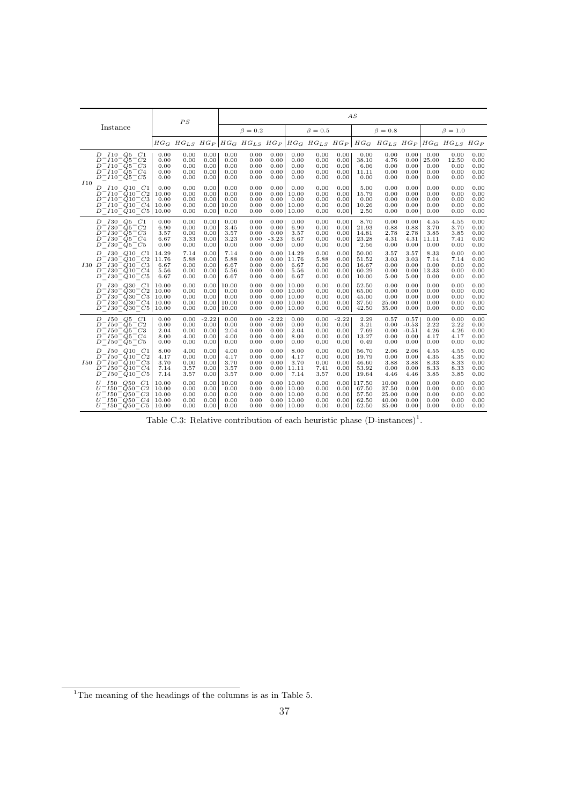|     |                                                                                                                                                                                                                                                                          |                                           | PS                                   |                                         |                                         |                                      |                                         |                                                    |                                      |                                         | AS                                         |                                           |                                            |                                       |                                                                                                                             |                                      |
|-----|--------------------------------------------------------------------------------------------------------------------------------------------------------------------------------------------------------------------------------------------------------------------------|-------------------------------------------|--------------------------------------|-----------------------------------------|-----------------------------------------|--------------------------------------|-----------------------------------------|----------------------------------------------------|--------------------------------------|-----------------------------------------|--------------------------------------------|-------------------------------------------|--------------------------------------------|---------------------------------------|-----------------------------------------------------------------------------------------------------------------------------|--------------------------------------|
|     | Instance                                                                                                                                                                                                                                                                 |                                           |                                      |                                         |                                         | $\beta = 0.2$                        |                                         |                                                    | $\beta = 0.5$                        |                                         |                                            | $\beta=0.8$                               |                                            |                                       | $\beta = 1.0$                                                                                                               |                                      |
|     |                                                                                                                                                                                                                                                                          |                                           |                                      |                                         |                                         |                                      |                                         |                                                    |                                      |                                         |                                            |                                           |                                            |                                       | $HG_G$ $HG_{LS}$ $HG_P$ $HG_G$ $HG_{LS}$ $HG_{P}$ $HG_G$ $HG_G$ $HG_{LS}$ $HG_P$ $HG_G$ $HG_{LS}$ $HG_{C}$ $HG_{LS}$ $HG_P$ |                                      |
|     | D 110 Q5 C1<br>$D^-I10^-Q5^-C2$<br>$D^-I10^-Q5^-C3$<br>$D^-I10^-Q5^-C4$<br>$D^-I10^-Q5^-C5$                                                                                                                                                                              | 0.00<br>0.00<br>0.00<br>0.00<br>0.00      | 0.00<br>0.00<br>0.00<br>0.00<br>0.00 | 0.00<br>0.00<br>0.00<br>0.00<br>0.00    | 0.00<br>0.00<br>0.00<br>0.00<br>0.00    | 0.00<br>0.00<br>0.00<br>0.00<br>0.00 | 0.00<br>0.00<br>0.00<br>0.00<br>0.00    | 0.00<br>0.00<br>0.00<br>0.00<br>0.00               | 0.00<br>0.00<br>0.00<br>0.00<br>0.00 | 0.00<br>0.00<br>0.00<br>0.00<br>0.00    | 0.00<br>38.10<br>6.06<br>11.11<br>0.00     | 0.00<br>4.76<br>0.00<br>0.00<br>0.00      | 0.00<br>0.00<br>0.00<br>0.00<br>0.00       | 0.00<br>25.00<br>0.00<br>0.00<br>0.00 | 0.00<br>12.50<br>0.00<br>0.00<br>0.00                                                                                       | 0.00<br>0.00<br>0.00<br>0.00<br>0.00 |
| I10 | $I10$ $Q10$ $C1$<br>D<br>$D^{\cdot}$<br>$^-I10^-Q10^-C2$<br>$D^-I10^-Q10^-C3$<br>$D^-I10^-Q10^-C4$<br>$D^-I10^-Q10^-C5$                                                                                                                                                  | 0.00<br>10.00<br>0.00<br>10.00<br>10.00   | 0.00<br>0.00<br>0.00<br>0.00<br>0.00 | 0.00<br>0.00<br>0.00<br>0.00<br>0.00    | 0.00<br>0.00<br>0.00<br>10.00<br>0.00   | 0.00<br>0.00<br>0.00<br>0.00<br>0.00 | 0.00<br>0.00<br>0.00<br>0.00<br>0.00    | 0.00<br>10.00<br>0.00<br>10.00<br>10.00            | 0.00<br>0.00<br>0.00<br>0.00<br>0.00 | 0.00<br>0.00<br>0.00<br>0.00<br>0.00    | 5.00<br>15.79<br>0.00<br>10.26<br>2.50     | 0.00<br>0.00<br>0.00<br>0.00<br>0.00      | 0.00<br>0.00<br>0.00<br>0.00<br>0.00       | 0.00<br>0.00<br>0.00<br>0.00<br>0.00  | 0.00<br>0.00<br>0.00<br>0.00<br>0.00                                                                                        | 0.00<br>0.00<br>0.00<br>0.00<br>0.00 |
|     | $I30 \tQ5 \tC1$<br>D<br>$D^-$ 130 <sup>-</sup> $\dot{Q}$ 5 <sup>-</sup> $C2$<br>$D^-$ 130 <sup>-</sup> $\dot{Q}$ 5 <sup>-</sup> C3<br>$D^-$ 130 <sup>-</sup> $Q5$ <sup>-</sup> $C4$<br>$D^-$ <i>I</i> 30 <sup>-</sup> <i>Q</i> 5 <sup>-</sup> <i>C</i> 5                 | 0.00<br>6.90<br>3.57<br>6.67<br>0.00      | 0.00<br>0.00<br>0.00<br>3.33<br>0.00 | 0.00<br>0.00<br>0.00<br>0.00<br>0.00    | 0.00<br>3.45<br>3.57<br>3.23<br>0.00    | 0.00<br>0.00<br>0.00<br>0.00<br>0.00 | 0.00<br>0.00<br>0.00<br>$-3.23$<br>0.00 | 0.00<br>6.90<br>3.57<br>6.67<br>0.00               | 0.00<br>0.00<br>0.00<br>0.00<br>0.00 | 0.00<br>0.00<br>0.00<br>0.00<br>0.00    | 8.70<br>21.93<br>14.81<br>23.28<br>2.56    | 0.00<br>0.88<br>2.78<br>4.31<br>0.00      | 0.00<br>0.88<br>2.78<br>4.31<br>0.00       | 4.55<br>3.70<br>3.85<br>11.11<br>0.00 | 4.55<br>3.70<br>3.85<br>7.41<br>0.00                                                                                        | 0.00<br>0.00<br>0.00<br>0.00<br>0.00 |
|     | D 130 Q10 C1<br>D<br>$\lceil I30^\frown Q10^\frown C2\rceil$<br>$I30 \, D^- I30^- Q10^- C3$<br>$D^-$ I30 <sup>-</sup> Q10 <sup>-</sup> C4<br>$D^-$ <i>I</i> 30 <sup>-</sup> <i>Q</i> 10 <sup>-</sup> <i>C</i> 5                                                          | 14.29<br>11.76<br>6.67<br>5.56<br>6.67    | 7.14<br>5.88<br>0.00<br>0.00<br>0.00 | 0.00<br>0.00<br>0.00<br>0.00<br>0.00    | 7.14<br>5.88<br>6.67<br>5.56<br>6.67    | 0.00<br>0.00<br>0.00<br>0.00<br>0.00 | 0.00<br>0.00<br>0.00<br>0.00<br>0.00    | 14.29<br>11.76<br>6.67<br>5.56<br>6.67             | 0.00<br>5.88<br>0.00<br>0.00<br>0.00 | 0.00<br>0.00<br>0.00<br>0.00<br>0.00    | 50.00<br>51.52<br>16.67<br>60.29<br>10.00  | 3.57<br>3.03<br>0.00<br>0.00<br>5.00      | 3.57<br>3.03<br>0.00<br>0.00<br>5.00       | 8.33<br>7.14<br>0.00<br>13.33<br>0.00 | 0.00<br>7.14<br>0.00<br>0.00<br>0.00                                                                                        | 0.00<br>0.00<br>0.00<br>0.00<br>0.00 |
|     | <i>I</i> 30 <i>Q</i> 30<br>C1<br>D<br>$D^-$ I30 <sup>-</sup> Q30 <sup>-</sup> C2<br>$D^-$ <i>I</i> 30 <sup>-</sup> $\dot{Q}$ 30 <sup>-</sup> C3<br>$D^-$ I30 <sup>-</sup> Q30 <sup>-</sup> C4<br>$D^-$ <i>I</i> 30 <sup>-</sup> $\dot{Q}$ 30 <sup>-</sup> C <sub>5</sub> | 10.00<br>10.00<br>10.00<br>10.00<br>10.00 | 0.00<br>0.00<br>0.00<br>0.00<br>0.00 | 0.00<br>0.00<br>0.00<br>0.00<br>0.00    | 10.00<br>0.00<br>0.00<br>10.00<br>10.00 | 0.00<br>0.00<br>0.00<br>0.00<br>0.00 | 0.00<br>0.00<br>0.00<br>0.00            | 10.00<br>10.00<br>10.00<br>10.00<br>$0.00$   10.00 | 0.00<br>0.00<br>0.00<br>0.00<br>0.00 | 0.00<br>0.00<br>0.00<br>0.00<br>0.00    | 52.50<br>65.00<br>45.00<br>37.50<br>42.50  | 0.00<br>0.00<br>0.00<br>25.00<br>35.00    | 0.00<br>0.00<br>0.00<br>0.00<br>0.00       | 0.00<br>0.00<br>0.00<br>0.00<br>0.00  | 0.00<br>0.00<br>0.00<br>0.00<br>0.00                                                                                        | 0.00<br>0.00<br>0.00<br>0.00<br>0.00 |
|     | D 150 Q5 C1<br>$D^- I 50^- Q 5^- C2$<br>$D^-$ 150 <sup>-</sup> Q5 <sup>-</sup> C3<br>$D^- I 50^- Q 5^- C 4$<br>$D^- I 50^- Q 5^- C 5$                                                                                                                                    | 0.00<br>0.00<br>2.04<br>8.00<br>0.00      | 0.00<br>0.00<br>0.00<br>4.00<br>0.00 | $-2.22$<br>0.00<br>0.00<br>0.00<br>0.00 | 0.00<br>0.00<br>2.04<br>4.00<br>0.00    | 0.00<br>0.00<br>0.00<br>0.00<br>0.00 | $-2.22$<br>0.00<br>0.00<br>0.00<br>0.00 | 0.00<br>0.00<br>2.04<br>8.00<br>0.00               | 0.00<br>0.00<br>0.00<br>0.00<br>0.00 | $-2.22$<br>0.00<br>0.00<br>0.00<br>0.00 | 2.29<br>3.21<br>7.69<br>13.27<br>0.49      | 0.57<br>0.00<br>0.00<br>0.00<br>0.00      | 0.57<br>$-0.53$<br>$-0.51$<br>0.00<br>0.00 | 0.00<br>2.22<br>4.26<br>4.17<br>0.00  | 0.00<br>2.22<br>4.26<br>4.17<br>0.00                                                                                        | 0.00<br>0.00<br>0.00<br>0.00<br>0.00 |
|     | <i>I</i> 50 <i>Q</i> 10 <i>C</i> 1<br>D<br>$D^- I 50^- Q 10^- C2$<br>$I50 \ D^- I50^- Q10^- C3$<br>$D^- I 50^- Q 10^- C4$<br>$D^- I 50^- Q 10^- C5$                                                                                                                      | 8.00<br>4.17<br>3.70<br>7.14<br>7.14      | 4.00<br>0.00<br>0.00<br>3.57<br>3.57 | 0.00<br>0.00<br>0.00<br>0.00<br>0.00    | 4.00<br>4.17<br>3.70<br>3.57<br>3.57    | 0.00<br>0.00<br>0.00<br>0.00<br>0.00 | 0.00<br>0.00<br>0.00<br>0.00<br>0.00    | 8.00<br>4.17<br>3.70<br>11.11<br>7.14              | 0.00<br>0.00<br>0.00<br>7.41<br>3.57 | 0.00<br>0.00<br>0.00<br>0.00<br>0.00    | 56.70<br>19.79<br>46.60<br>53.92<br>19.64  | 2.06<br>0.00<br>3.88<br>0.00<br>4.46      | 2.06<br>0.00<br>3.88<br>0.00<br>4.46       | 4.55<br>4.35<br>8.33<br>8.33<br>3.85  | 4.55<br>4.35<br>8.33<br>8.33<br>3.85                                                                                        | 0.00<br>0.00<br>0.00<br>0.00<br>0.00 |
|     | $U$ $I50$ $Q50$ $C1$<br>$150 - Q50 - C2$<br>$U^-$<br>$U^- I 50^- \dot{Q} 50^- C3$<br>$U^- I 50^- Q 50^- C4$<br>$U^- I 50^- Q 50^- C 5$                                                                                                                                   | 10.00<br>10.00<br>10.00<br>10.00<br>10.00 | 0.00<br>0.00<br>0.00<br>0.00<br>0.00 | 0.00<br>0.00<br>0.00<br>0.00<br>0.00    | 10.00<br>0.00<br>0.00<br>0.00<br>0.00   | 0.00<br>0.00<br>0.00<br>0.00<br>0.00 | 0.00<br>0.00<br>0.00<br>0.00            | 10.00<br>10.00<br>10.00<br>10.00<br>$0.00$   10.00 | 0.00<br>0.00<br>0.00<br>0.00<br>0.00 | 0.00<br>0.00<br>0.00<br>0.00<br>0.00    | 117.50<br>67.50<br>57.50<br>62.50<br>52.50 | 10.00<br>37.50<br>25.00<br>40.00<br>35.00 | 0.00<br>0.00<br>0.00<br>0.00<br>0.00       | 0.00<br>0.00<br>0.00<br>0.00<br>0.00  | 0.00<br>0.00<br>0.00<br>0.00<br>0.00                                                                                        | 0.00<br>0.00<br>0.00<br>0.00<br>0.00 |

Table C.3: Relative contribution of each heuristic phase  $(D\text{-instances})^1$ .

 $1$ <sup>1</sup>The meaning of the headings of the columns is as in Table 5.